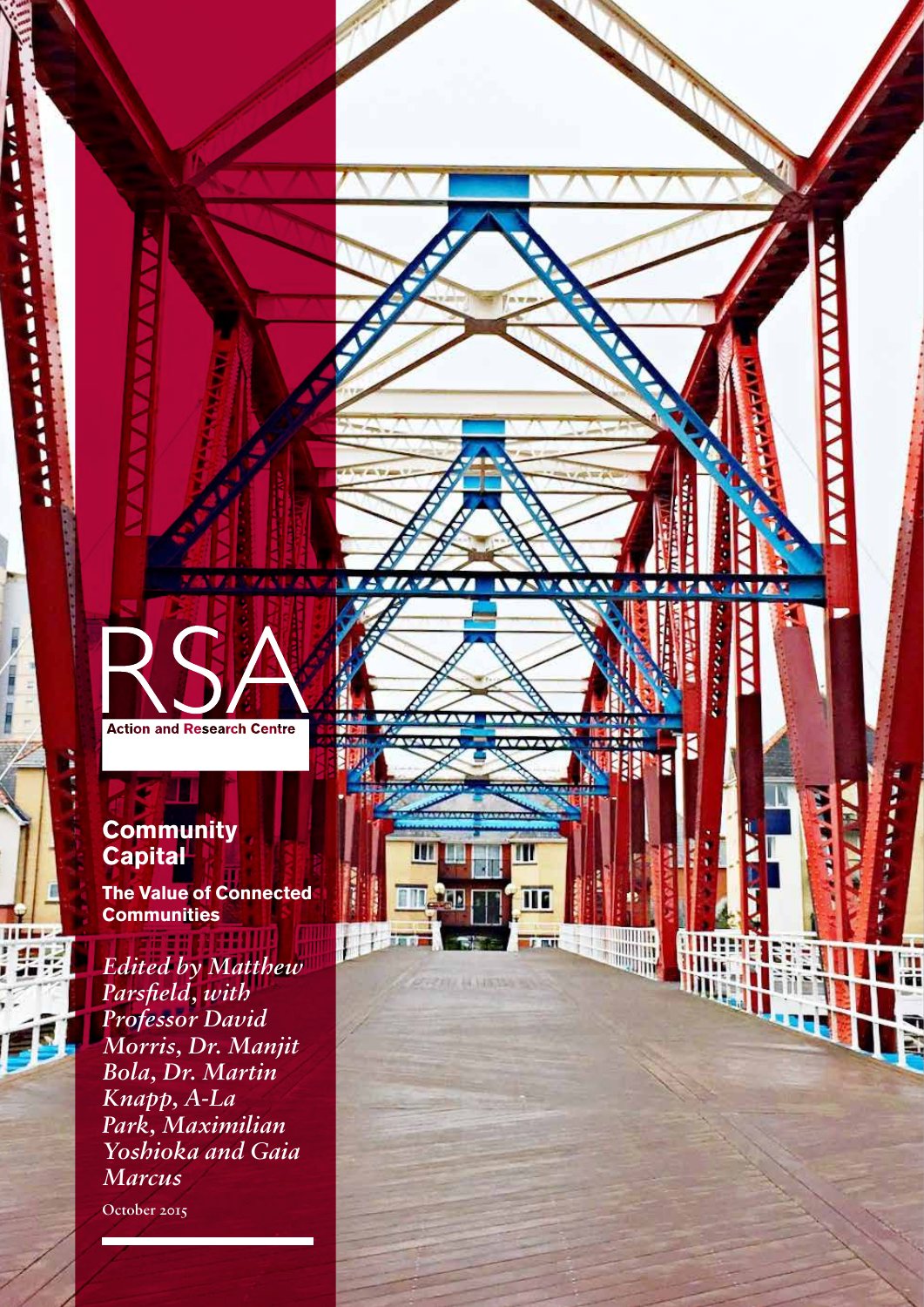

**THUNA** 

**III UH** 

ш.

**TAV** 

и

TF

T mi

4

Ţ

iiii,

**INVAN** 

**Branch** 

**BAK** 

**TELEV** 

# **Community Capital**

i<br>I

 $\ddot{\cdot}$ 

j ٩

*<u>Advanced</u>* 

é

鼎

**The Value of Connected Communities**

*Edited by Matthew Parsfield, with Professor David Morris, Dr. Manjit Bola, Dr. Martin Knapp, A-La Park, Maximilian Yoshioka and Gaia Marcus*

**October 2015**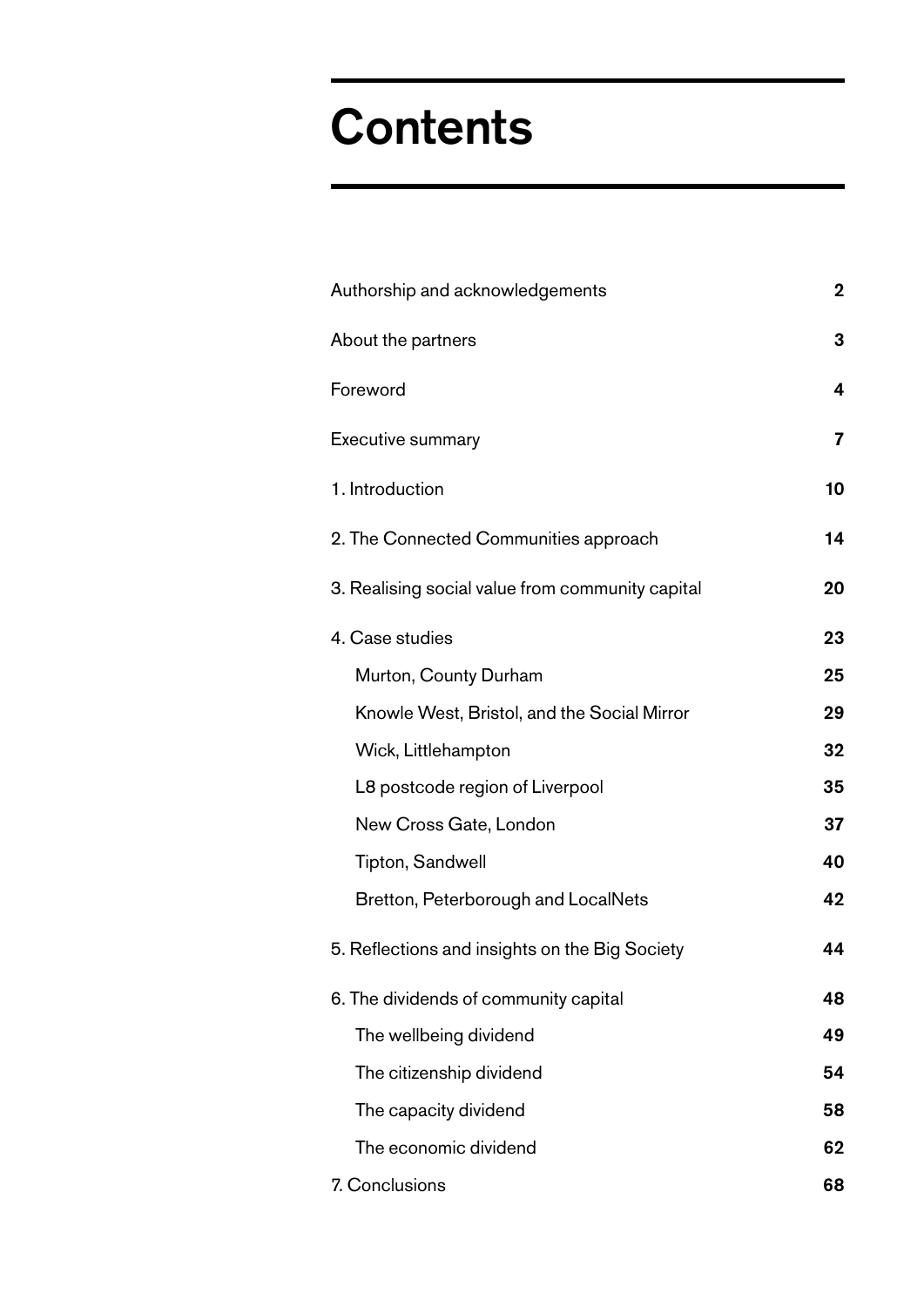# **Contents**

| Authorship and acknowledgements                  | $\overline{2}$ |
|--------------------------------------------------|----------------|
| About the partners                               | 3              |
| Foreword                                         | 4              |
| Executive summary                                | 7              |
| 1. Introduction                                  | 10             |
| 2. The Connected Communities approach            | 14             |
| 3. Realising social value from community capital | 20             |
| 4. Case studies                                  | 23             |
| Murton, County Durham                            | 25             |
| Knowle West, Bristol, and the Social Mirror      | 29             |
| Wick, Littlehampton                              | 32             |
| L8 postcode region of Liverpool                  | 35             |
| New Cross Gate, London                           | 37             |
| Tipton, Sandwell                                 | 40             |
| Bretton, Peterborough and LocalNets              | 42             |
| 5. Reflections and insights on the Big Society   | 44             |
| 6. The dividends of community capital            | 48             |
| The wellbeing dividend                           | 49             |
| The citizenship dividend                         | 54             |
| The capacity dividend                            | 58             |
| The economic dividend                            | 62             |
| 7. Conclusions                                   | 68             |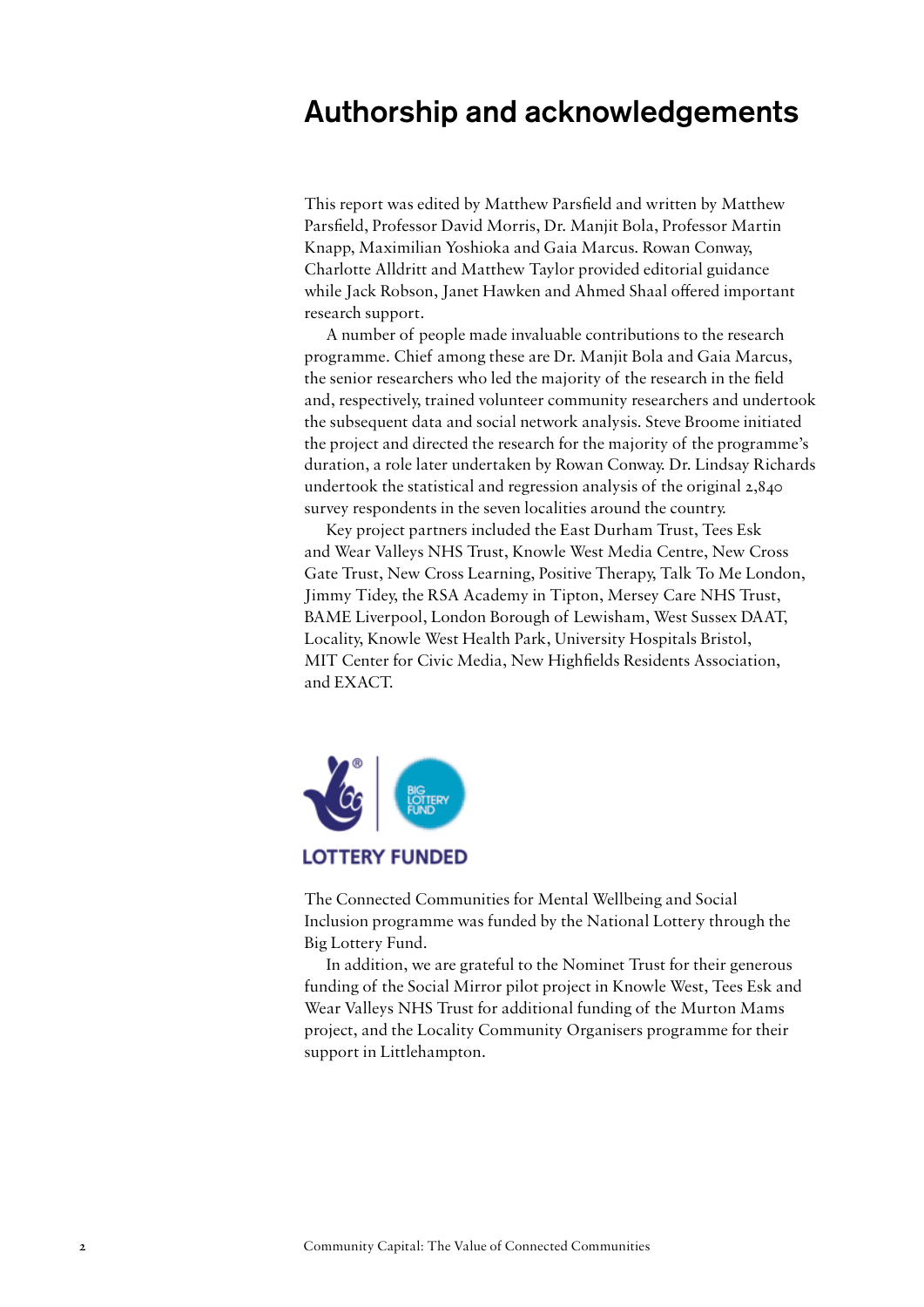# Authorship and acknowledgements

This report was edited by Matthew Parsfield and written by Matthew Parsfield, Professor David Morris, Dr. Manjit Bola, Professor Martin Knapp, Maximilian Yoshioka and Gaia Marcus. Rowan Conway, Charlotte Alldritt and Matthew Taylor provided editorial guidance while Jack Robson, Janet Hawken and Ahmed Shaal offered important research support.

A number of people made invaluable contributions to the research programme. Chief among these are Dr. Manjit Bola and Gaia Marcus, the senior researchers who led the majority of the research in the field and, respectively, trained volunteer community researchers and undertook the subsequent data and social network analysis. Steve Broome initiated the project and directed the research for the majority of the programme's duration, a role later undertaken by Rowan Conway. Dr. Lindsay Richards undertook the statistical and regression analysis of the original 2,840 survey respondents in the seven localities around the country.

Key project partners included the East Durham Trust, Tees Esk and Wear Valleys NHS Trust, Knowle West Media Centre, New Cross Gate Trust, New Cross Learning, Positive Therapy, Talk To Me London, Jimmy Tidey, the RSA Academy in Tipton, Mersey Care NHS Trust, BAME Liverpool, London Borough of Lewisham, West Sussex DAAT, Locality, Knowle West Health Park, University Hospitals Bristol, MIT Center for Civic Media, New Highfields Residents Association, and EXACT.



The Connected Communities for Mental Wellbeing and Social Inclusion programme was funded by the National Lottery through the Big Lottery Fund.

In addition, we are grateful to the Nominet Trust for their generous funding of the Social Mirror pilot project in Knowle West, Tees Esk and Wear Valleys NHS Trust for additional funding of the Murton Mams project, and the Locality Community Organisers programme for their support in Littlehampton.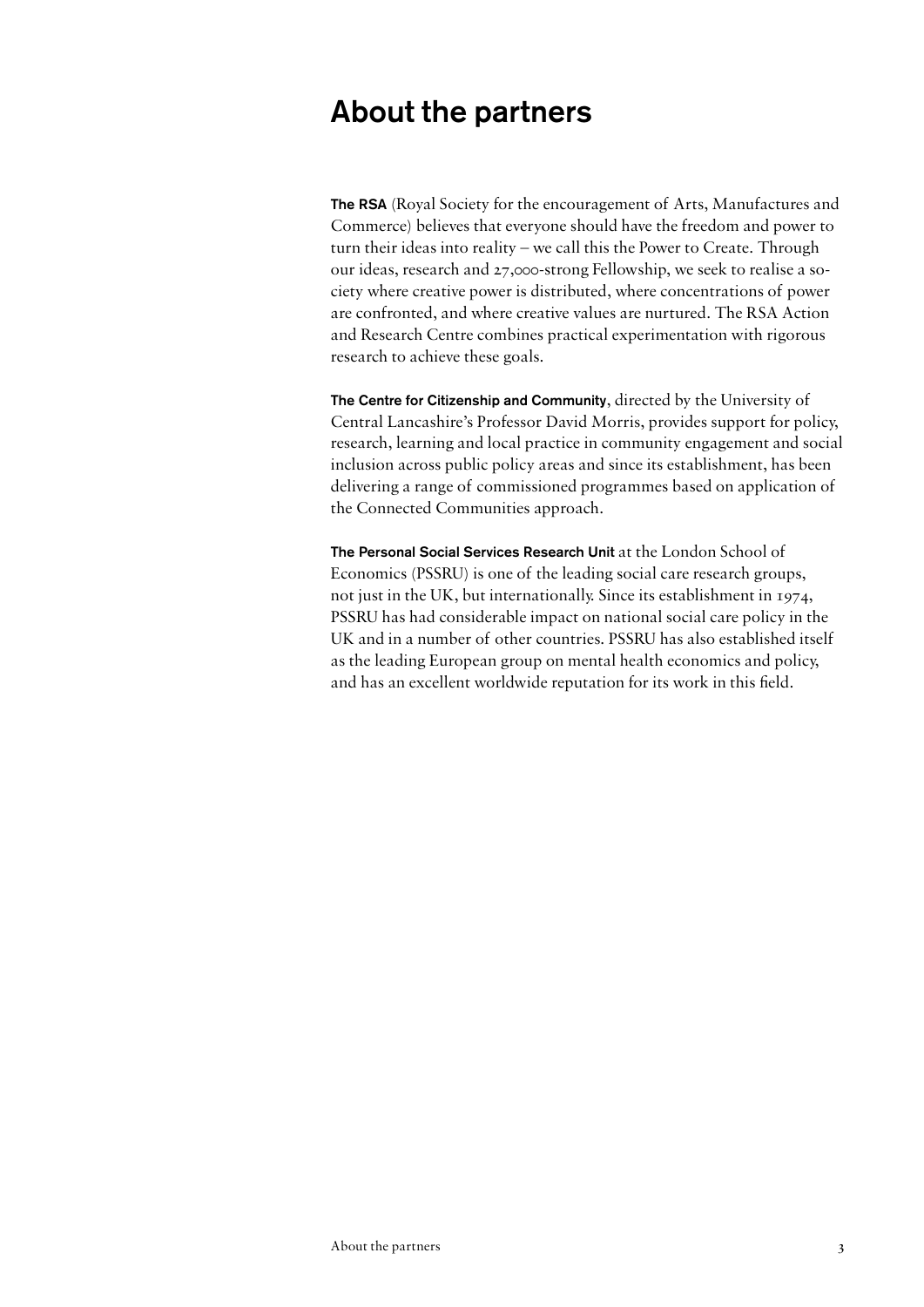# About the partners

The RSA (Royal Society for the encouragement of Arts, Manufactures and Commerce) believes that everyone should have the freedom and power to turn their ideas into reality – we call this the Power to Create. Through our ideas, research and 27,000-strong Fellowship, we seek to realise a society where creative power is distributed, where concentrations of power are confronted, and where creative values are nurtured. The RSA Action and Research Centre combines practical experimentation with rigorous research to achieve these goals.

The Centre for Citizenship and Community, directed by the University of Central Lancashire's Professor David Morris, provides support for policy, research, learning and local practice in community engagement and social inclusion across public policy areas and since its establishment, has been delivering a range of commissioned programmes based on application of the Connected Communities approach.

The Personal Social Services Research Unit at the London School of Economics (PSSRU) is one of the leading social care research groups, not just in the UK, but internationally. Since its establishment in 1974, PSSRU has had considerable impact on national social care policy in the UK and in a number of other countries. PSSRU has also established itself as the leading European group on mental health economics and policy, and has an excellent worldwide reputation for its work in this field.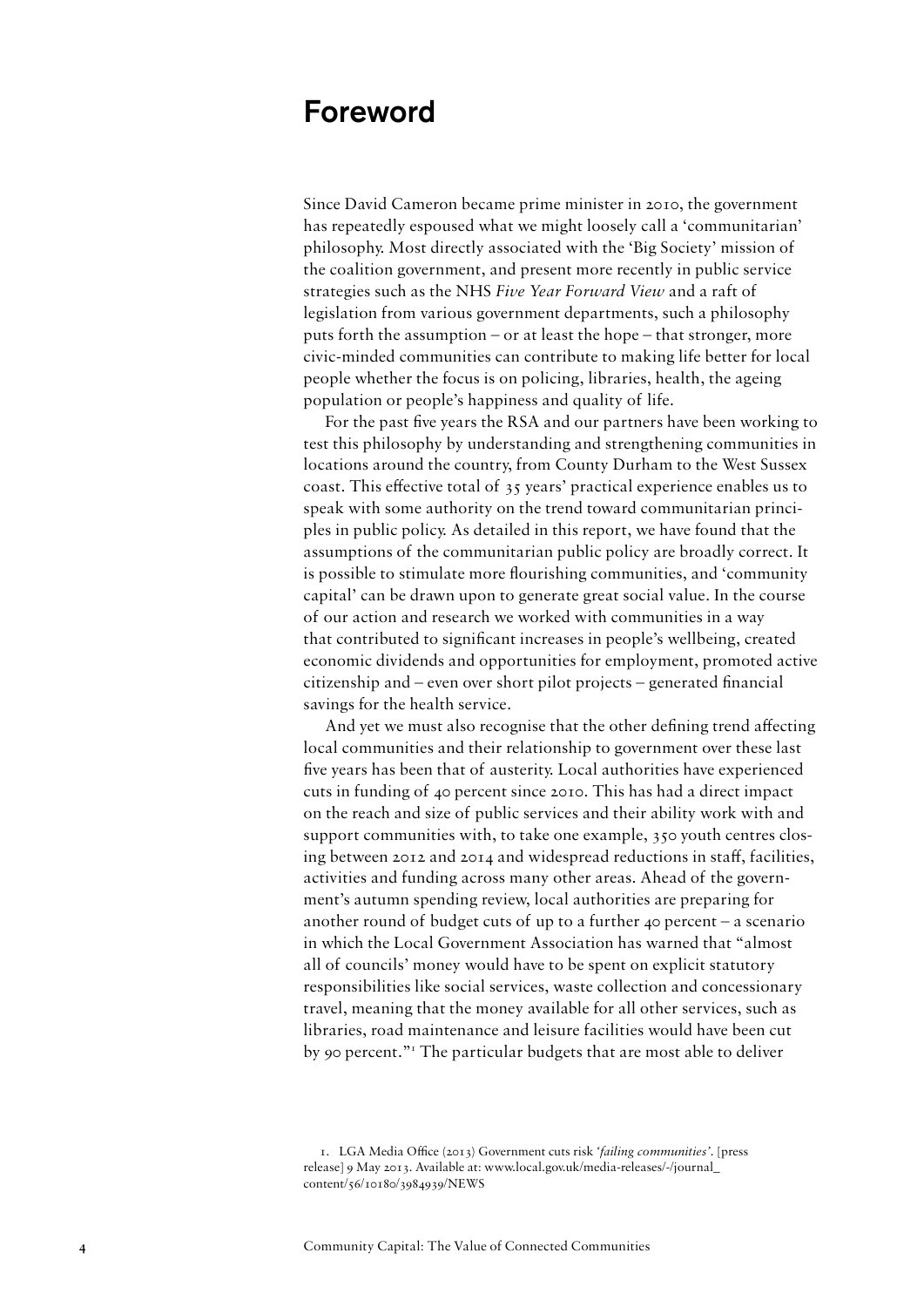# Foreword

Since David Cameron became prime minister in 2010, the government has repeatedly espoused what we might loosely call a 'communitarian' philosophy. Most directly associated with the 'Big Society' mission of the coalition government, and present more recently in public service strategies such as the NHS *Five Year Forward View* and a raft of legislation from various government departments, such a philosophy puts forth the assumption – or at least the hope – that stronger, more civic-minded communities can contribute to making life better for local people whether the focus is on policing, libraries, health, the ageing population or people's happiness and quality of life.

For the past five years the RSA and our partners have been working to test this philosophy by understanding and strengthening communities in locations around the country, from County Durham to the West Sussex coast. This effective total of 35 years' practical experience enables us to speak with some authority on the trend toward communitarian principles in public policy. As detailed in this report, we have found that the assumptions of the communitarian public policy are broadly correct. It is possible to stimulate more flourishing communities, and 'community capital' can be drawn upon to generate great social value. In the course of our action and research we worked with communities in a way that contributed to significant increases in people's wellbeing, created economic dividends and opportunities for employment, promoted active citizenship and – even over short pilot projects – generated financial savings for the health service.

And yet we must also recognise that the other defining trend affecting local communities and their relationship to government over these last five years has been that of austerity. Local authorities have experienced cuts in funding of 40 percent since 2010. This has had a direct impact on the reach and size of public services and their ability work with and support communities with, to take one example, 350 youth centres closing between 2012 and 2014 and widespread reductions in staff, facilities, activities and funding across many other areas. Ahead of the government's autumn spending review, local authorities are preparing for another round of budget cuts of up to a further  $\mu$ o percent – a scenario in which the Local Government Association has warned that "almost all of councils' money would have to be spent on explicit statutory responsibilities like social services, waste collection and concessionary travel, meaning that the money available for all other services, such as libraries, road maintenance and leisure facilities would have been cut by 90 percent."<sup>1</sup> The particular budgets that are most able to deliver

<sup>1.</sup> LGA Media Office (2013) Government cuts risk *'failing communities'*. [press release] 9 May 2013. Available at: www.local.gov.uk/media-releases/-/journal\_ content/56/10180/3984939/NEWS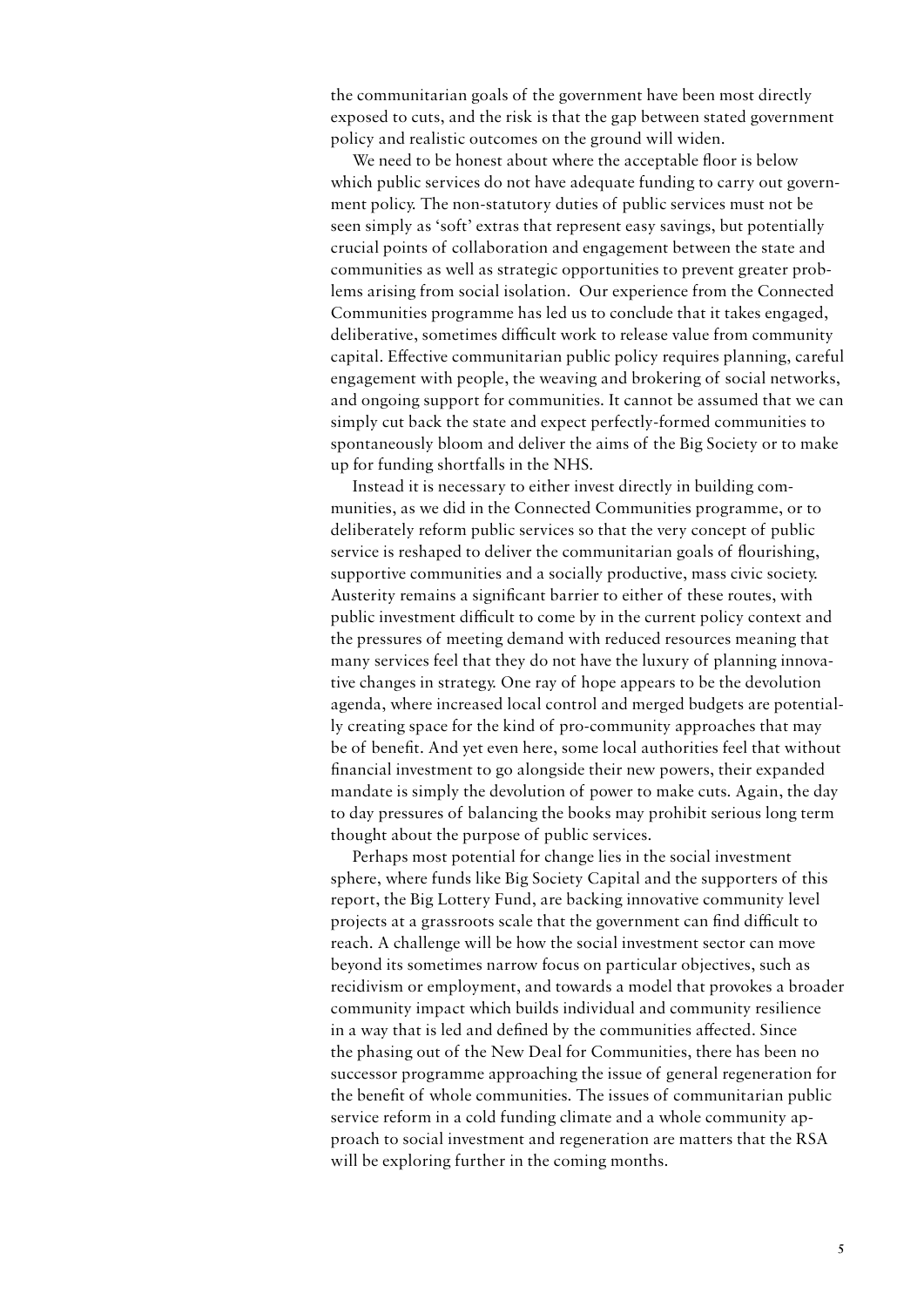the communitarian goals of the government have been most directly exposed to cuts, and the risk is that the gap between stated government policy and realistic outcomes on the ground will widen.

We need to be honest about where the acceptable floor is below which public services do not have adequate funding to carry out government policy. The non-statutory duties of public services must not be seen simply as 'soft' extras that represent easy savings, but potentially crucial points of collaboration and engagement between the state and communities as well as strategic opportunities to prevent greater problems arising from social isolation. Our experience from the Connected Communities programme has led us to conclude that it takes engaged, deliberative, sometimes difficult work to release value from community capital. Effective communitarian public policy requires planning, careful engagement with people, the weaving and brokering of social networks, and ongoing support for communities. It cannot be assumed that we can simply cut back the state and expect perfectly-formed communities to spontaneously bloom and deliver the aims of the Big Society or to make up for funding shortfalls in the NHS.

Instead it is necessary to either invest directly in building communities, as we did in the Connected Communities programme, or to deliberately reform public services so that the very concept of public service is reshaped to deliver the communitarian goals of flourishing, supportive communities and a socially productive, mass civic society. Austerity remains a significant barrier to either of these routes, with public investment difficult to come by in the current policy context and the pressures of meeting demand with reduced resources meaning that many services feel that they do not have the luxury of planning innovative changes in strategy. One ray of hope appears to be the devolution agenda, where increased local control and merged budgets are potentially creating space for the kind of pro-community approaches that may be of benefit. And yet even here, some local authorities feel that without financial investment to go alongside their new powers, their expanded mandate is simply the devolution of power to make cuts. Again, the day to day pressures of balancing the books may prohibit serious long term thought about the purpose of public services.

Perhaps most potential for change lies in the social investment sphere, where funds like Big Society Capital and the supporters of this report, the Big Lottery Fund, are backing innovative community level projects at a grassroots scale that the government can find difficult to reach. A challenge will be how the social investment sector can move beyond its sometimes narrow focus on particular objectives, such as recidivism or employment, and towards a model that provokes a broader community impact which builds individual and community resilience in a way that is led and defined by the communities affected. Since the phasing out of the New Deal for Communities, there has been no successor programme approaching the issue of general regeneration for the benefit of whole communities. The issues of communitarian public service reform in a cold funding climate and a whole community approach to social investment and regeneration are matters that the RSA will be exploring further in the coming months.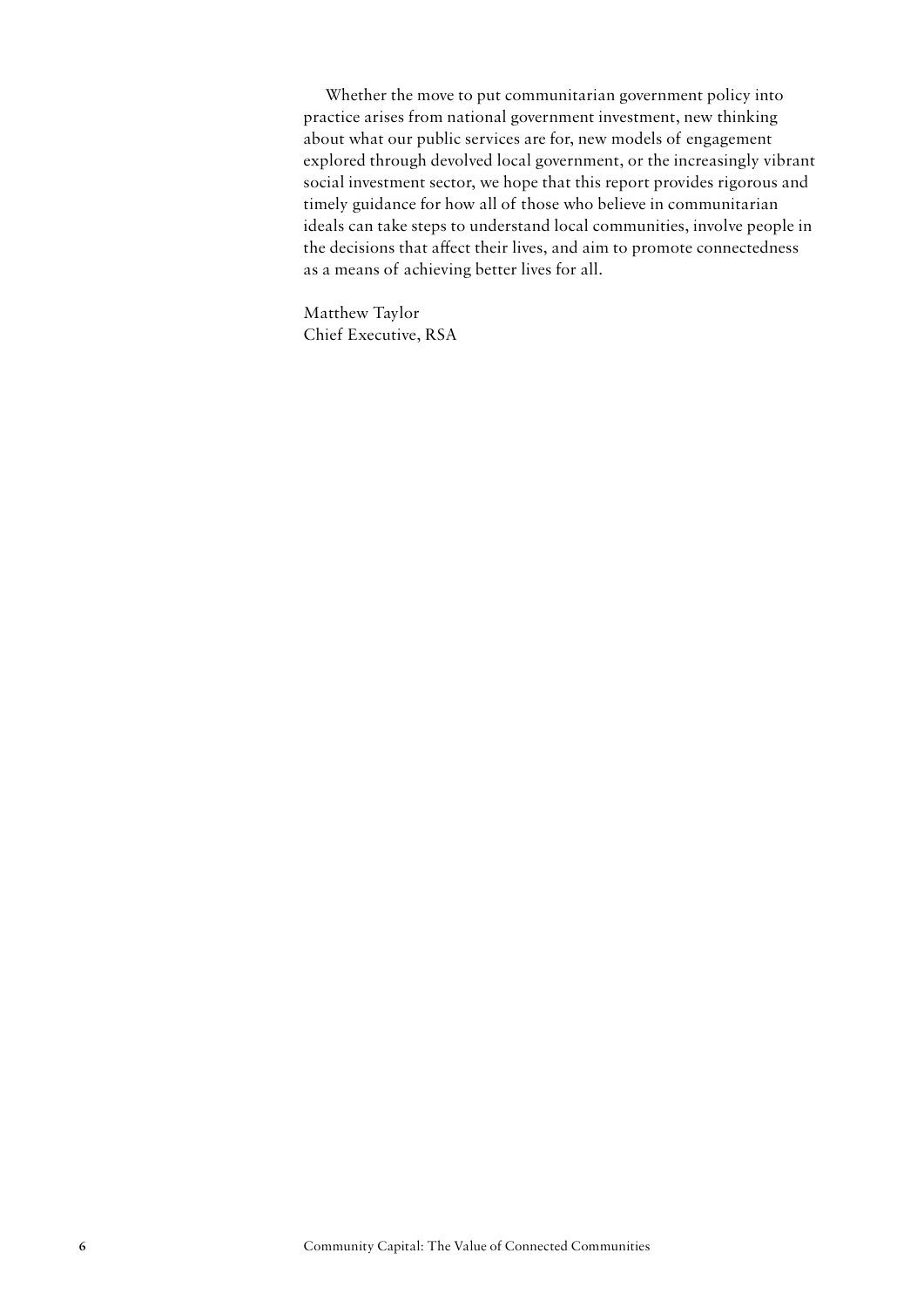Whether the move to put communitarian government policy into practice arises from national government investment, new thinking about what our public services are for, new models of engagement explored through devolved local government, or the increasingly vibrant social investment sector, we hope that this report provides rigorous and timely guidance for how all of those who believe in communitarian ideals can take steps to understand local communities, involve people in the decisions that affect their lives, and aim to promote connectedness as a means of achieving better lives for all.

Matthew Taylor Chief Executive, RSA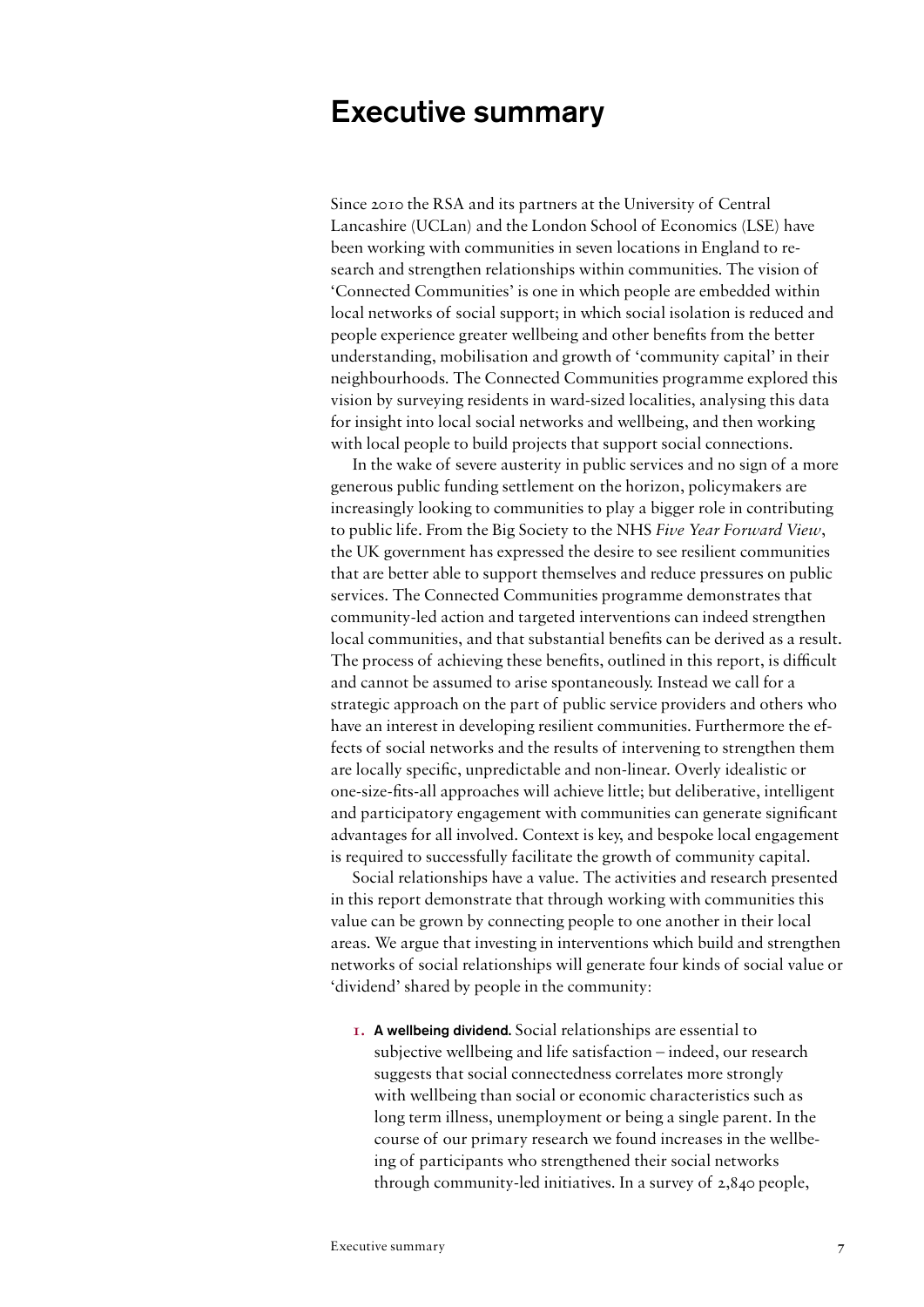# Executive summary

Since 2010 the RSA and its partners at the University of Central Lancashire (UCLan) and the London School of Economics (LSE) have been working with communities in seven locations in England to research and strengthen relationships within communities. The vision of 'Connected Communities' is one in which people are embedded within local networks of social support; in which social isolation is reduced and people experience greater wellbeing and other benefits from the better understanding, mobilisation and growth of 'community capital' in their neighbourhoods. The Connected Communities programme explored this vision by surveying residents in ward-sized localities, analysing this data for insight into local social networks and wellbeing, and then working with local people to build projects that support social connections.

In the wake of severe austerity in public services and no sign of a more generous public funding settlement on the horizon, policymakers are increasingly looking to communities to play a bigger role in contributing to public life. From the Big Society to the NHS *Five Year Forward View*, the UK government has expressed the desire to see resilient communities that are better able to support themselves and reduce pressures on public services. The Connected Communities programme demonstrates that community-led action and targeted interventions can indeed strengthen local communities, and that substantial benefits can be derived as a result. The process of achieving these benefits, outlined in this report, is difficult and cannot be assumed to arise spontaneously. Instead we call for a strategic approach on the part of public service providers and others who have an interest in developing resilient communities. Furthermore the effects of social networks and the results of intervening to strengthen them are locally specific, unpredictable and non-linear. Overly idealistic or one-size-fits-all approaches will achieve little; but deliberative, intelligent and participatory engagement with communities can generate significant advantages for all involved. Context is key, and bespoke local engagement is required to successfully facilitate the growth of community capital.

Social relationships have a value. The activities and research presented in this report demonstrate that through working with communities this value can be grown by connecting people to one another in their local areas. We argue that investing in interventions which build and strengthen networks of social relationships will generate four kinds of social value or 'dividend' shared by people in the community:

**1.** A wellbeing dividend. Social relationships are essential to subjective wellbeing and life satisfaction – indeed, our research suggests that social connectedness correlates more strongly with wellbeing than social or economic characteristics such as long term illness, unemployment or being a single parent. In the course of our primary research we found increases in the wellbeing of participants who strengthened their social networks through community-led initiatives. In a survey of 2,840 people,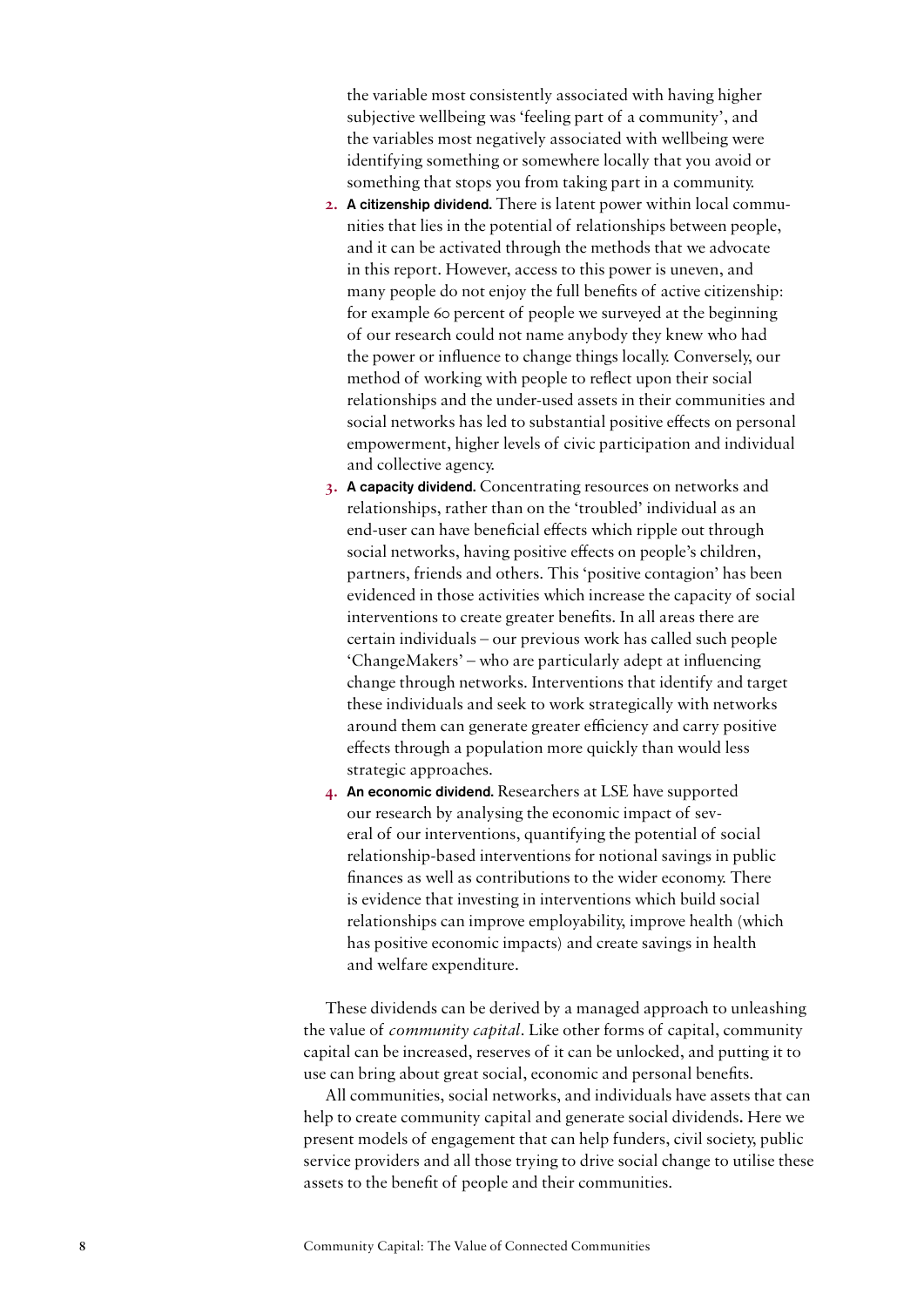the variable most consistently associated with having higher subjective wellbeing was 'feeling part of a community', and the variables most negatively associated with wellbeing were identifying something or somewhere locally that you avoid or something that stops you from taking part in a community.

- **2.** A citizenship dividend. There is latent power within local communities that lies in the potential of relationships between people, and it can be activated through the methods that we advocate in this report. However, access to this power is uneven, and many people do not enjoy the full benefits of active citizenship: for example 60 percent of people we surveyed at the beginning of our research could not name anybody they knew who had the power or influence to change things locally. Conversely, our method of working with people to reflect upon their social relationships and the under-used assets in their communities and social networks has led to substantial positive effects on personal empowerment, higher levels of civic participation and individual and collective agency.
- **3.** A capacity dividend. Concentrating resources on networks and relationships, rather than on the 'troubled' individual as an end-user can have beneficial effects which ripple out through social networks, having positive effects on people's children, partners, friends and others. This 'positive contagion' has been evidenced in those activities which increase the capacity of social interventions to create greater benefits. In all areas there are certain individuals – our previous work has called such people 'ChangeMakers' – who are particularly adept at influencing change through networks. Interventions that identify and target these individuals and seek to work strategically with networks around them can generate greater efficiency and carry positive effects through a population more quickly than would less strategic approaches.
- **4.** An economic dividend. Researchers at LSE have supported our research by analysing the economic impact of several of our interventions, quantifying the potential of social relationship-based interventions for notional savings in public finances as well as contributions to the wider economy. There is evidence that investing in interventions which build social relationships can improve employability, improve health (which has positive economic impacts) and create savings in health and welfare expenditure.

These dividends can be derived by a managed approach to unleashing the value of *community capital.* Like other forms of capital, community capital can be increased, reserves of it can be unlocked, and putting it to use can bring about great social, economic and personal benefits.

All communities, social networks, and individuals have assets that can help to create community capital and generate social dividends**.** Here we present models of engagement that can help funders, civil society, public service providers and all those trying to drive social change to utilise these assets to the benefit of people and their communities.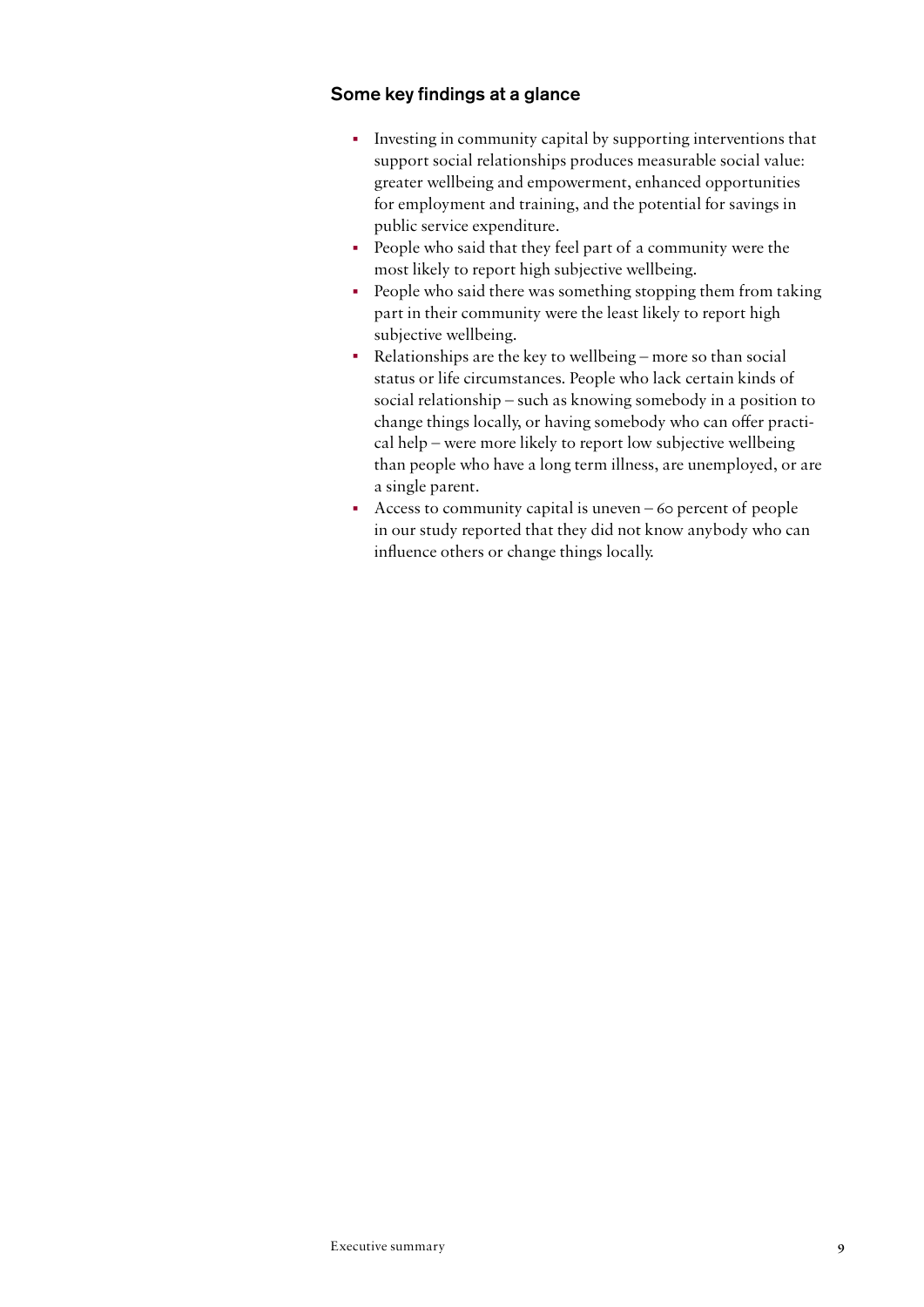# Some key findings at a glance

- Investing in community capital by supporting interventions that support social relationships produces measurable social value: greater wellbeing and empowerment, enhanced opportunities for employment and training, and the potential for savings in public service expenditure.
- People who said that they feel part of a community were the most likely to report high subjective wellbeing.
- People who said there was something stopping them from taking part in their community were the least likely to report high subjective wellbeing.
- Relationships are the key to wellbeing more so than social status or life circumstances. People who lack certain kinds of social relationship – such as knowing somebody in a position to change things locally, or having somebody who can offer practical help – were more likely to report low subjective wellbeing than people who have a long term illness, are unemployed, or are a single parent.
- Access to community capital is uneven  $-6$  percent of people in our study reported that they did not know anybody who can influence others or change things locally.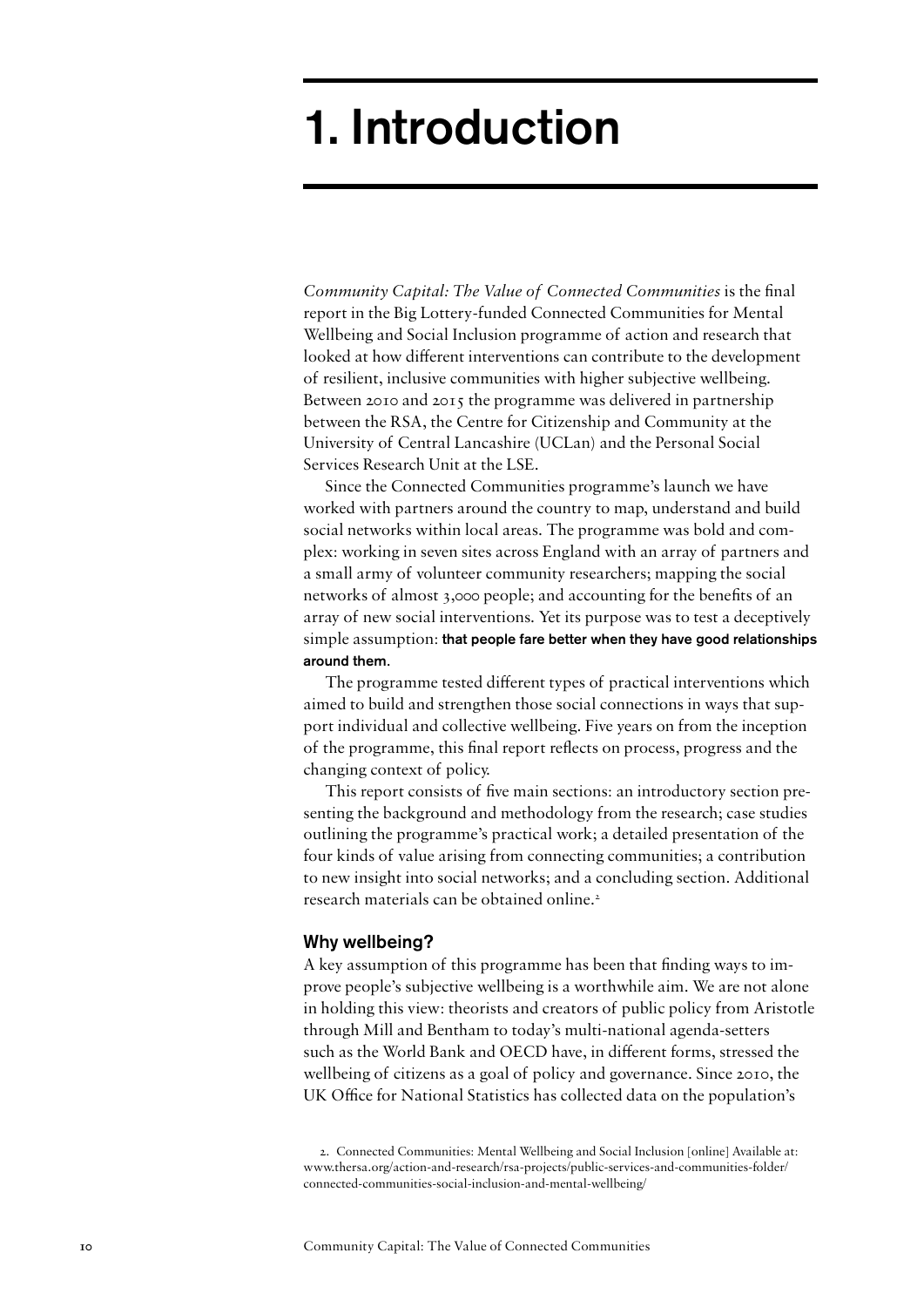# 1. Introduction

*Community Capital: The Value of Connected Communities* is the final report in the Big Lottery-funded Connected Communities for Mental Wellbeing and Social Inclusion programme of action and research that looked at how different interventions can contribute to the development of resilient, inclusive communities with higher subjective wellbeing. Between 2010 and 2015 the programme was delivered in partnership between the RSA, the Centre for Citizenship and Community at the University of Central Lancashire (UCLan) and the Personal Social Services Research Unit at the LSE.

Since the Connected Communities programme's launch we have worked with partners around the country to map, understand and build social networks within local areas. The programme was bold and complex: working in seven sites across England with an array of partners and a small army of volunteer community researchers; mapping the social networks of almost 3,000 people; and accounting for the benefits of an array of new social interventions. Yet its purpose was to test a deceptively simple assumption: that people fare better when they have good relationships around them.

The programme tested different types of practical interventions which aimed to build and strengthen those social connections in ways that support individual and collective wellbeing. Five years on from the inception of the programme, this final report reflects on process, progress and the changing context of policy.

This report consists of five main sections: an introductory section presenting the background and methodology from the research; case studies outlining the programme's practical work; a detailed presentation of the four kinds of value arising from connecting communities; a contribution to new insight into social networks; and a concluding section. Additional research materials can be obtained online.2

# Why wellbeing?

A key assumption of this programme has been that finding ways to improve people's subjective wellbeing is a worthwhile aim. We are not alone in holding this view: theorists and creators of public policy from Aristotle through Mill and Bentham to today's multi-national agenda-setters such as the World Bank and OECD have, in different forms, stressed the wellbeing of citizens as a goal of policy and governance. Since 2010, the UK Office for National Statistics has collected data on the population's

<sup>2.</sup> Connected Communities: Mental Wellbeing and Social Inclusion [online] Available at: www.thersa.org/action-and-research/rsa-projects/public-services-and-communities-folder/ connected-communities-social-inclusion-and-mental-wellbeing/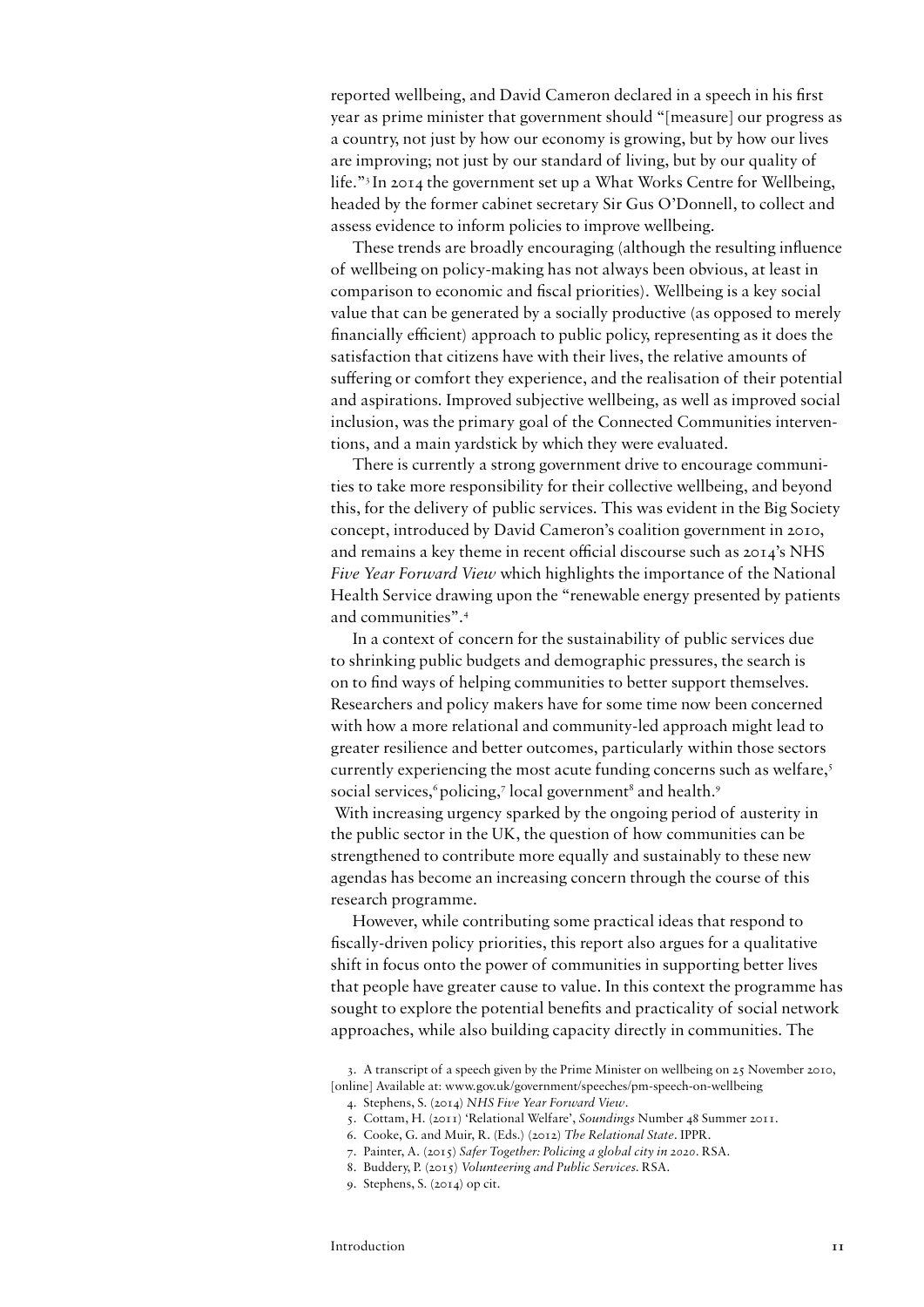reported wellbeing, and David Cameron declared in a speech in his first year as prime minister that government should "[measure] our progress as a country, not just by how our economy is growing, but by how our lives are improving; not just by our standard of living, but by our quality of life."3 In 2014 the government set up a What Works Centre for Wellbeing, headed by the former cabinet secretary Sir Gus O'Donnell, to collect and assess evidence to inform policies to improve wellbeing.

These trends are broadly encouraging (although the resulting influence of wellbeing on policy-making has not always been obvious, at least in comparison to economic and fiscal priorities). Wellbeing is a key social value that can be generated by a socially productive (as opposed to merely financially efficient) approach to public policy, representing as it does the satisfaction that citizens have with their lives, the relative amounts of suffering or comfort they experience, and the realisation of their potential and aspirations. Improved subjective wellbeing, as well as improved social inclusion, was the primary goal of the Connected Communities interventions, and a main yardstick by which they were evaluated.

There is currently a strong government drive to encourage communities to take more responsibility for their collective wellbeing, and beyond this, for the delivery of public services. This was evident in the Big Society concept, introduced by David Cameron's coalition government in 2010, and remains a key theme in recent official discourse such as 2014's NHS *Five Year Forward View* which highlights the importance of the National Health Service drawing upon the "renewable energy presented by patients and communities".4

In a context of concern for the sustainability of public services due to shrinking public budgets and demographic pressures, the search is on to find ways of helping communities to better support themselves. Researchers and policy makers have for some time now been concerned with how a more relational and community-led approach might lead to greater resilience and better outcomes, particularly within those sectors currently experiencing the most acute funding concerns such as welfare,<sup>5</sup> social services, policing,7 local government<sup>8</sup> and health.<sup>9</sup>

 With increasing urgency sparked by the ongoing period of austerity in the public sector in the UK, the question of how communities can be strengthened to contribute more equally and sustainably to these new agendas has become an increasing concern through the course of this research programme.

However, while contributing some practical ideas that respond to fiscally-driven policy priorities, this report also argues for a qualitative shift in focus onto the power of communities in supporting better lives that people have greater cause to value. In this context the programme has sought to explore the potential benefits and practicality of social network approaches, while also building capacity directly in communities. The

<sup>3.</sup> A transcript of a speech given by the Prime Minister on wellbeing on 25 November 2010, [online] Available at: www.gov.uk/government/speeches/pm-speech-on-wellbeing

<sup>4.</sup> Stephens, S. (2014) *NHS Five Year Forward View*.

<sup>5.</sup> Cottam, H. (2011) 'Relational Welfare', *Soundings* Number 48 Summer 2011.

<sup>6.</sup> Cooke, G. and Muir, R. (Eds.) (2012) *The Relational State*. IPPR.

<sup>7.</sup> Painter, A. (2015) *Safer Together: Policing a global city in 2020.* RSA.

<sup>8.</sup> Buddery, P. (2015) *Volunteering and Public Services.* RSA.

<sup>9.</sup> Stephens, S. (2014) op cit.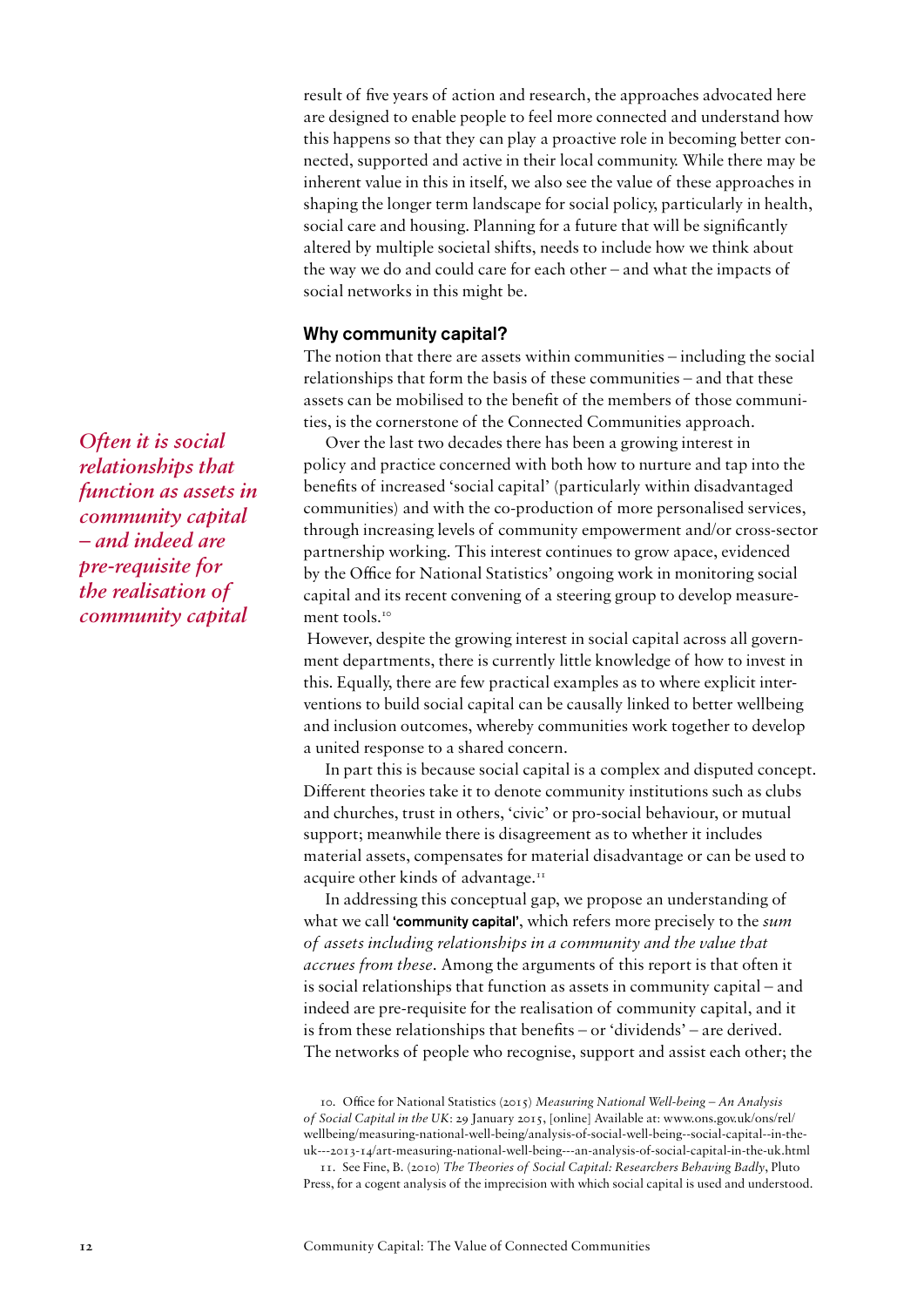result of five years of action and research, the approaches advocated here are designed to enable people to feel more connected and understand how this happens so that they can play a proactive role in becoming better connected, supported and active in their local community. While there may be inherent value in this in itself, we also see the value of these approaches in shaping the longer term landscape for social policy, particularly in health, social care and housing. Planning for a future that will be significantly altered by multiple societal shifts, needs to include how we think about the way we do and could care for each other – and what the impacts of social networks in this might be.

# Why community capital?

The notion that there are assets within communities – including the social relationships that form the basis of these communities – and that these assets can be mobilised to the benefit of the members of those communities, is the cornerstone of the Connected Communities approach.

Over the last two decades there has been a growing interest in policy and practice concerned with both how to nurture and tap into the benefits of increased 'social capital' (particularly within disadvantaged communities) and with the co-production of more personalised services, through increasing levels of community empowerment and/or cross-sector partnership working. This interest continues to grow apace, evidenced by the Office for National Statistics' ongoing work in monitoring social capital and its recent convening of a steering group to develop measurement tools.<sup>10</sup>

 However, despite the growing interest in social capital across all government departments, there is currently little knowledge of how to invest in this. Equally, there are few practical examples as to where explicit interventions to build social capital can be causally linked to better wellbeing and inclusion outcomes, whereby communities work together to develop a united response to a shared concern.

In part this is because social capital is a complex and disputed concept. Different theories take it to denote community institutions such as clubs and churches, trust in others, 'civic' or pro-social behaviour, or mutual support; meanwhile there is disagreement as to whether it includes material assets, compensates for material disadvantage or can be used to acquire other kinds of advantage.<sup>11</sup>

In addressing this conceptual gap, we propose an understanding of what we call 'community capital', which refers more precisely to the *sum of assets including relationships in a community and the value that accrues from these*. Among the arguments of this report is that often it is social relationships that function as assets in community capital – and indeed are pre-requisite for the realisation of community capital, and it is from these relationships that benefits – or 'dividends' – are derived. The networks of people who recognise, support and assist each other; the

*Often it is social relationships that function as assets in community capital – and indeed are pre-requisite for the realisation of community capital*

<sup>10.</sup> Office for National Statistics (2015) *Measuring National Well-being – An Analysis of Social Capital in the UK*: 29 January 2015, [online] Available at: www.ons.gov.uk/ons/rel/ wellbeing/measuring-national-well-being/analysis-of-social-well-being--social-capital--in-theuk---2013-14/art-measuring-national-well-being---an-analysis-of-social-capital-in-the-uk.html 11. See Fine, B. (2010) *The Theories of Social Capital: Researchers Behaving Badly*, Pluto

Press, for a cogent analysis of the imprecision with which social capital is used and understood.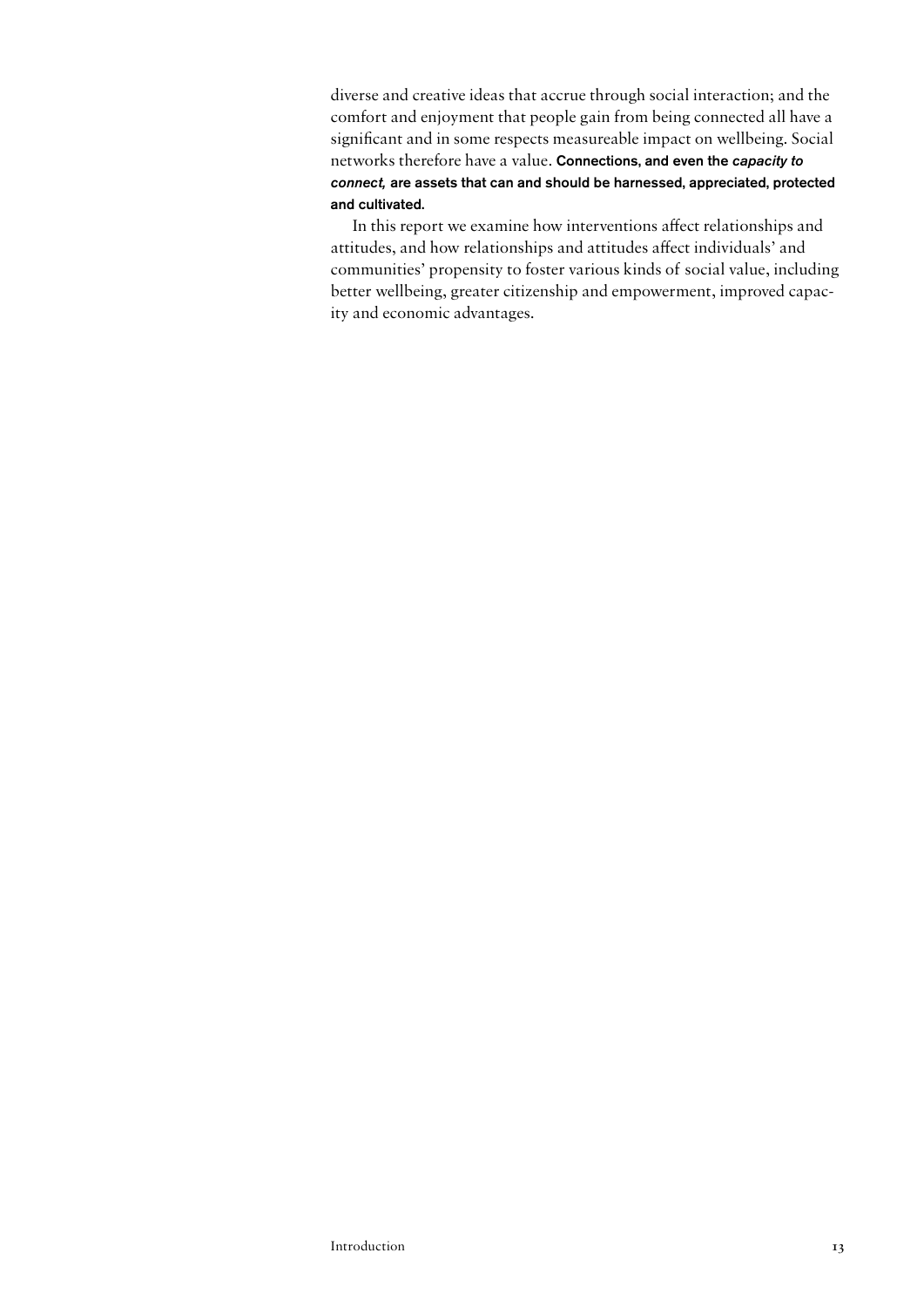diverse and creative ideas that accrue through social interaction; and the comfort and enjoyment that people gain from being connected all have a significant and in some respects measureable impact on wellbeing. Social networks therefore have a value. Connections, and even the *capacity to connect,* are assets that can and should be harnessed, appreciated, protected and cultivated.

In this report we examine how interventions affect relationships and attitudes, and how relationships and attitudes affect individuals' and communities' propensity to foster various kinds of social value, including better wellbeing, greater citizenship and empowerment, improved capacity and economic advantages.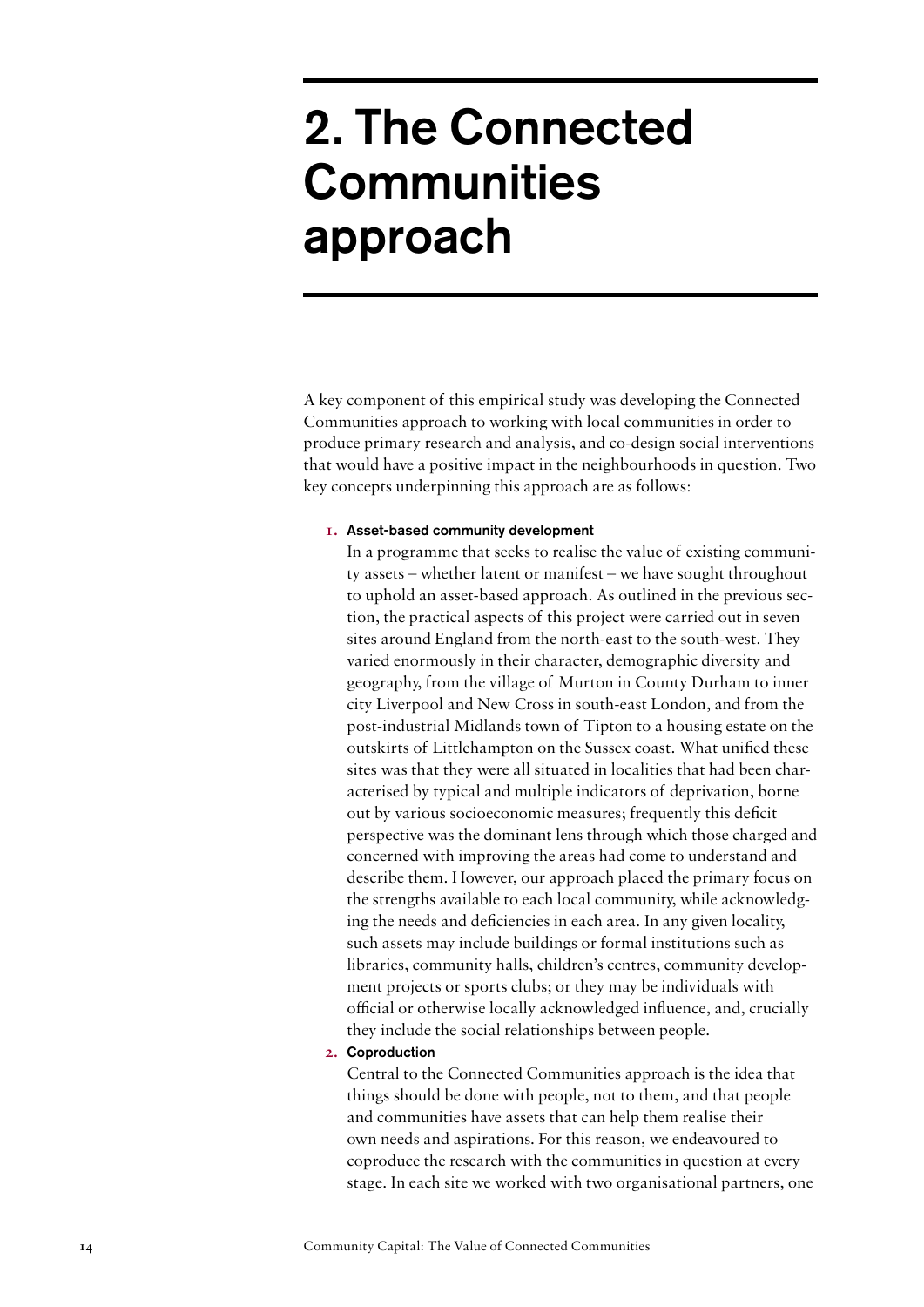# 2. The Connected **Communities** approach

A key component of this empirical study was developing the Connected Communities approach to working with local communities in order to produce primary research and analysis, and co-design social interventions that would have a positive impact in the neighbourhoods in question. Two key concepts underpinning this approach are as follows:

#### **1.** Asset-based community development

In a programme that seeks to realise the value of existing community assets – whether latent or manifest – we have sought throughout to uphold an asset-based approach. As outlined in the previous section, the practical aspects of this project were carried out in seven sites around England from the north-east to the south-west. They varied enormously in their character, demographic diversity and geography, from the village of Murton in County Durham to inner city Liverpool and New Cross in south-east London, and from the post-industrial Midlands town of Tipton to a housing estate on the outskirts of Littlehampton on the Sussex coast. What unified these sites was that they were all situated in localities that had been characterised by typical and multiple indicators of deprivation, borne out by various socioeconomic measures; frequently this deficit perspective was the dominant lens through which those charged and concerned with improving the areas had come to understand and describe them. However, our approach placed the primary focus on the strengths available to each local community, while acknowledging the needs and deficiencies in each area. In any given locality, such assets may include buildings or formal institutions such as libraries, community halls, children's centres, community development projects or sports clubs; or they may be individuals with official or otherwise locally acknowledged influence, and, crucially they include the social relationships between people.

# **2.** Coproduction

Central to the Connected Communities approach is the idea that things should be done with people, not to them, and that people and communities have assets that can help them realise their own needs and aspirations. For this reason, we endeavoured to coproduce the research with the communities in question at every stage. In each site we worked with two organisational partners, one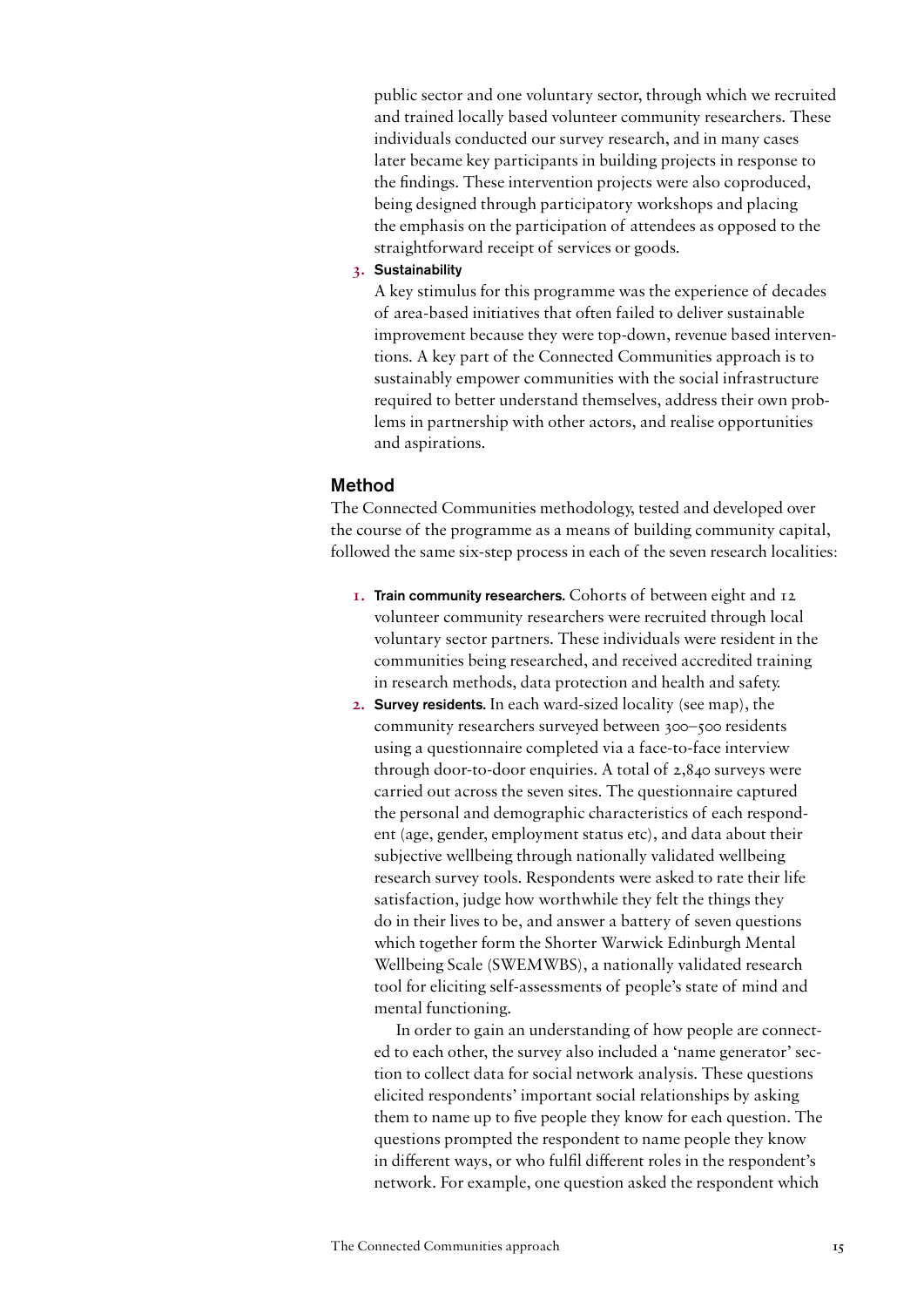public sector and one voluntary sector, through which we recruited and trained locally based volunteer community researchers. These individuals conducted our survey research, and in many cases later became key participants in building projects in response to the findings. These intervention projects were also coproduced, being designed through participatory workshops and placing the emphasis on the participation of attendees as opposed to the straightforward receipt of services or goods.

### **3.** Sustainability

A key stimulus for this programme was the experience of decades of area-based initiatives that often failed to deliver sustainable improvement because they were top-down, revenue based interventions. A key part of the Connected Communities approach is to sustainably empower communities with the social infrastructure required to better understand themselves, address their own problems in partnership with other actors, and realise opportunities and aspirations.

# Method

The Connected Communities methodology, tested and developed over the course of the programme as a means of building community capital, followed the same six-step process in each of the seven research localities:

- **1.** Train community researchers. Cohorts of between eight and 12 volunteer community researchers were recruited through local voluntary sector partners. These individuals were resident in the communities being researched, and received accredited training in research methods, data protection and health and safety.
- **2.** Survey residents. In each ward-sized locality (see map), the community researchers surveyed between 300–500 residents using a questionnaire completed via a face-to-face interview through door-to-door enquiries. A total of 2,840 surveys were carried out across the seven sites. The questionnaire captured the personal and demographic characteristics of each respondent (age, gender, employment status etc), and data about their subjective wellbeing through nationally validated wellbeing research survey tools. Respondents were asked to rate their life satisfaction, judge how worthwhile they felt the things they do in their lives to be, and answer a battery of seven questions which together form the Shorter Warwick Edinburgh Mental Wellbeing Scale (SWEMWBS), a nationally validated research tool for eliciting self-assessments of people's state of mind and mental functioning.

In order to gain an understanding of how people are connected to each other, the survey also included a 'name generator' section to collect data for social network analysis. These questions elicited respondents' important social relationships by asking them to name up to five people they know for each question. The questions prompted the respondent to name people they know in different ways, or who fulfil different roles in the respondent's network. For example, one question asked the respondent which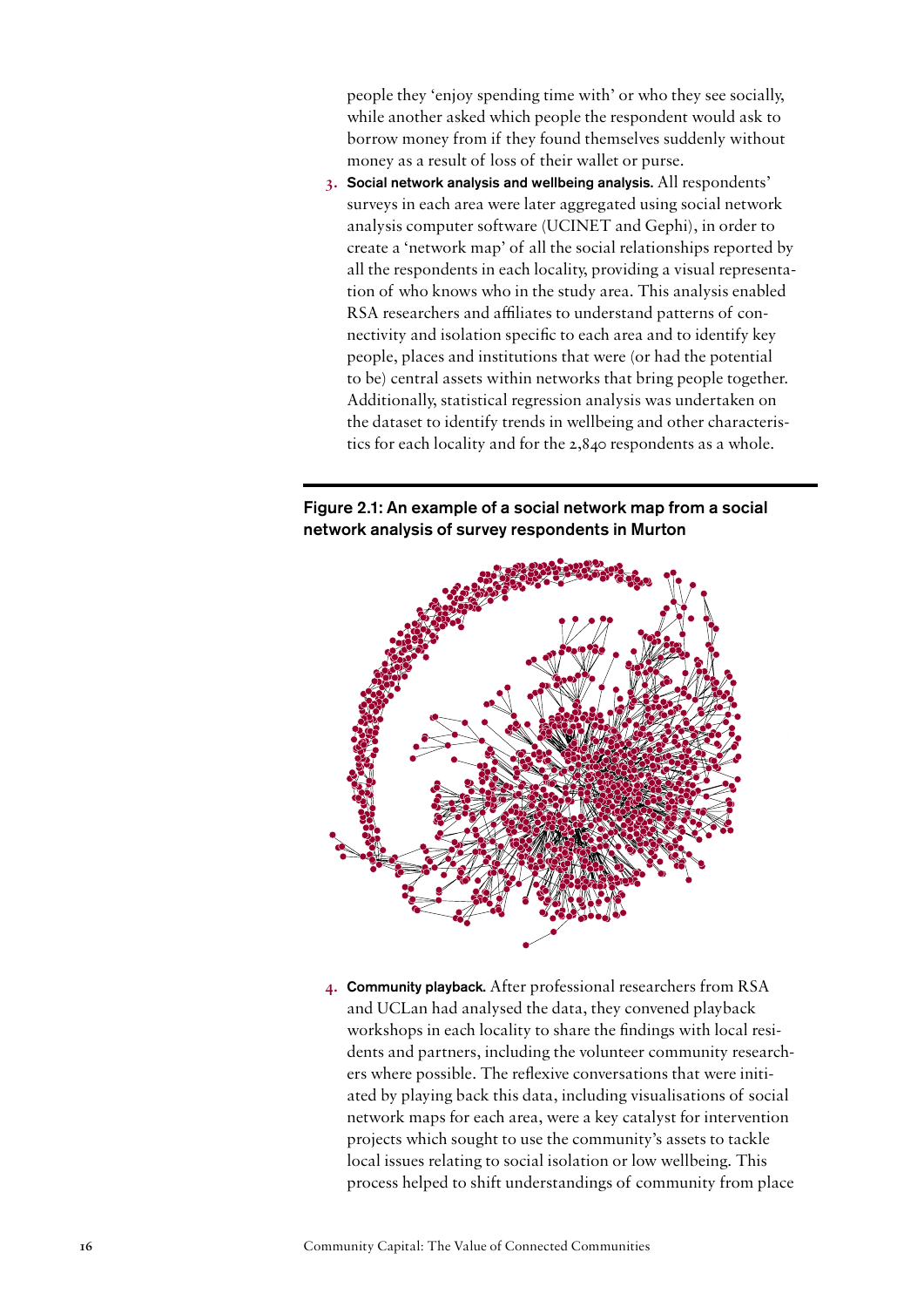people they 'enjoy spending time with' or who they see socially, while another asked which people the respondent would ask to borrow money from if they found themselves suddenly without money as a result of loss of their wallet or purse.

**3.** Social network analysis and wellbeing analysis. All respondents' surveys in each area were later aggregated using social network analysis computer software (UCINET and Gephi), in order to create a 'network map' of all the social relationships reported by all the respondents in each locality, providing a visual representation of who knows who in the study area. This analysis enabled RSA researchers and affiliates to understand patterns of connectivity and isolation specific to each area and to identify key people, places and institutions that were (or had the potential to be) central assets within networks that bring people together. Additionally, statistical regression analysis was undertaken on the dataset to identify trends in wellbeing and other characteristics for each locality and for the 2,840 respondents as a whole.

# Figure 2.1: An example of a social network map from a social network analysis of survey respondents in Murton



**4.** Community playback. After professional researchers from RSA and UCLan had analysed the data, they convened playback workshops in each locality to share the findings with local residents and partners, including the volunteer community researchers where possible. The reflexive conversations that were initiated by playing back this data, including visualisations of social network maps for each area, were a key catalyst for intervention projects which sought to use the community's assets to tackle local issues relating to social isolation or low wellbeing. This process helped to shift understandings of community from place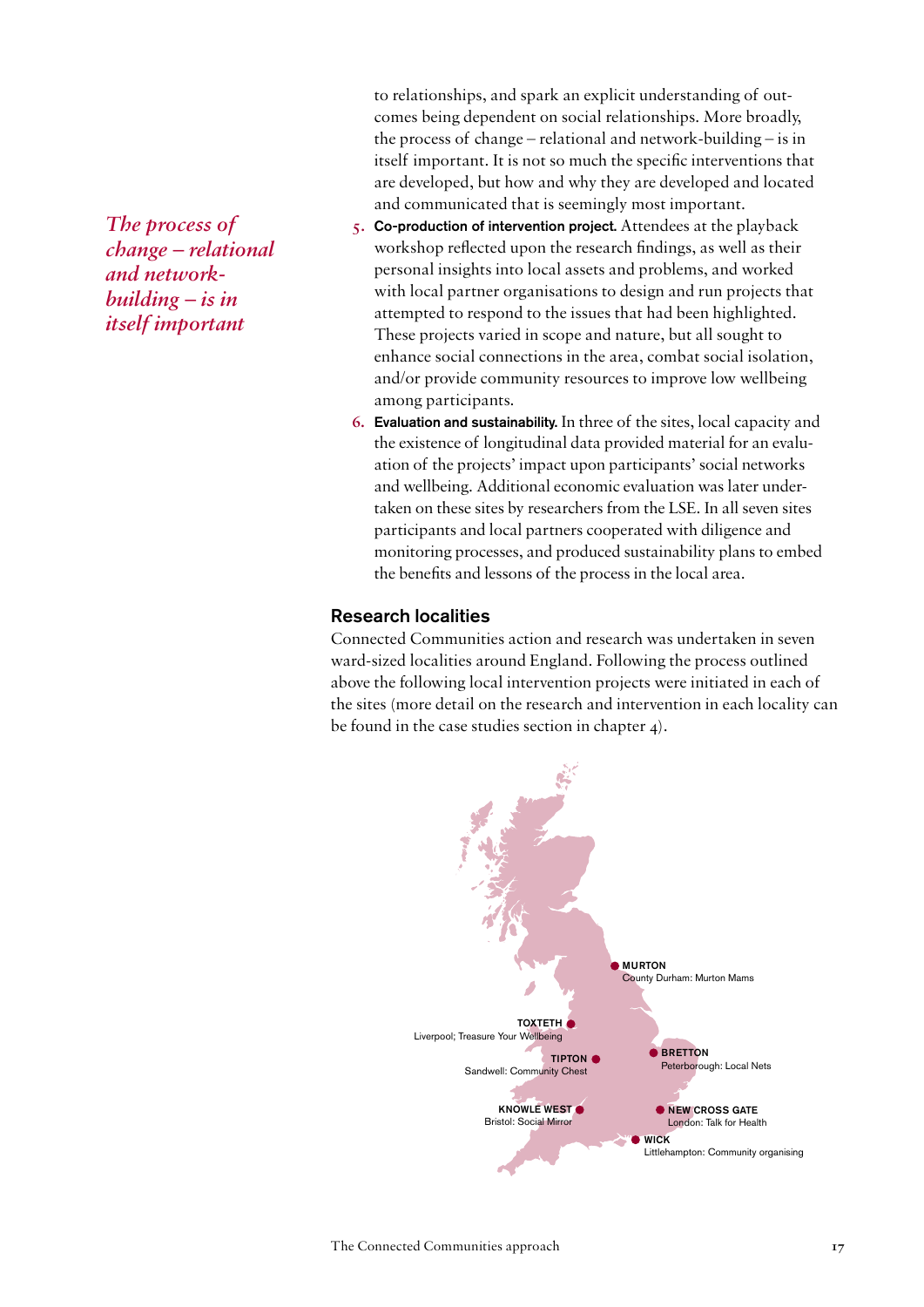to relationships, and spark an explicit understanding of outcomes being dependent on social relationships. More broadly, the process of change – relational and network-building – is in itself important. It is not so much the specific interventions that are developed, but how and why they are developed and located and communicated that is seemingly most important.

- **5.** Co-production of intervention project. Attendees at the playback workshop reflected upon the research findings, as well as their personal insights into local assets and problems, and worked with local partner organisations to design and run projects that attempted to respond to the issues that had been highlighted. These projects varied in scope and nature, but all sought to enhance social connections in the area, combat social isolation, and/or provide community resources to improve low wellbeing among participants.
- **6.** Evaluation and sustainability. In three of the sites, local capacity and the existence of longitudinal data provided material for an evaluation of the projects' impact upon participants' social networks and wellbeing. Additional economic evaluation was later undertaken on these sites by researchers from the LSE. In all seven sites participants and local partners cooperated with diligence and monitoring processes, and produced sustainability plans to embed the benefits and lessons of the process in the local area.

# Research localities

Connected Communities action and research was undertaken in seven ward-sized localities around England. Following the process outlined above the following local intervention projects were initiated in each of the sites (more detail on the research and intervention in each locality can be found in the case studies section in chapter 4).



*The process of change – relational and networkbuilding – is in itself important*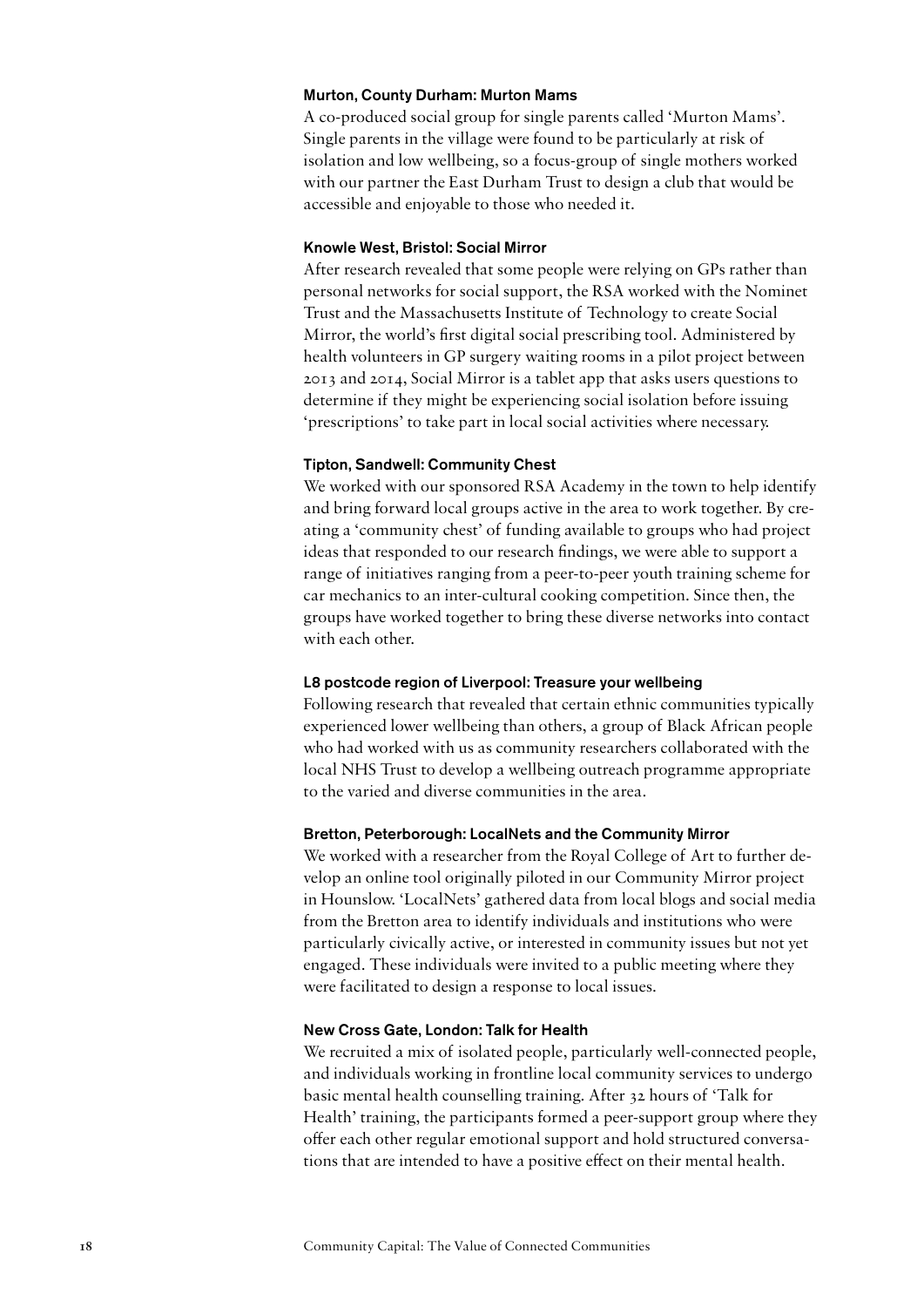#### Murton, County Durham: Murton Mams

A co-produced social group for single parents called 'Murton Mams'. Single parents in the village were found to be particularly at risk of isolation and low wellbeing, so a focus-group of single mothers worked with our partner the East Durham Trust to design a club that would be accessible and enjoyable to those who needed it.

### Knowle West, Bristol: Social Mirror

After research revealed that some people were relying on GPs rather than personal networks for social support, the RSA worked with the Nominet Trust and the Massachusetts Institute of Technology to create Social Mirror, the world's first digital social prescribing tool. Administered by health volunteers in GP surgery waiting rooms in a pilot project between 2013 and 2014, Social Mirror is a tablet app that asks users questions to determine if they might be experiencing social isolation before issuing 'prescriptions' to take part in local social activities where necessary.

### Tipton, Sandwell: Community Chest

We worked with our sponsored RSA Academy in the town to help identify and bring forward local groups active in the area to work together. By creating a 'community chest' of funding available to groups who had project ideas that responded to our research findings, we were able to support a range of initiatives ranging from a peer-to-peer youth training scheme for car mechanics to an inter-cultural cooking competition. Since then, the groups have worked together to bring these diverse networks into contact with each other.

#### L8 postcode region of Liverpool: Treasure your wellbeing

Following research that revealed that certain ethnic communities typically experienced lower wellbeing than others, a group of Black African people who had worked with us as community researchers collaborated with the local NHS Trust to develop a wellbeing outreach programme appropriate to the varied and diverse communities in the area.

#### Bretton, Peterborough: LocalNets and the Community Mirror

We worked with a researcher from the Royal College of Art to further develop an online tool originally piloted in our Community Mirror project in Hounslow. 'LocalNets' gathered data from local blogs and social media from the Bretton area to identify individuals and institutions who were particularly civically active, or interested in community issues but not yet engaged. These individuals were invited to a public meeting where they were facilitated to design a response to local issues.

### New Cross Gate, London: Talk for Health

We recruited a mix of isolated people, particularly well-connected people, and individuals working in frontline local community services to undergo basic mental health counselling training. After 32 hours of 'Talk for Health' training, the participants formed a peer-support group where they offer each other regular emotional support and hold structured conversations that are intended to have a positive effect on their mental health.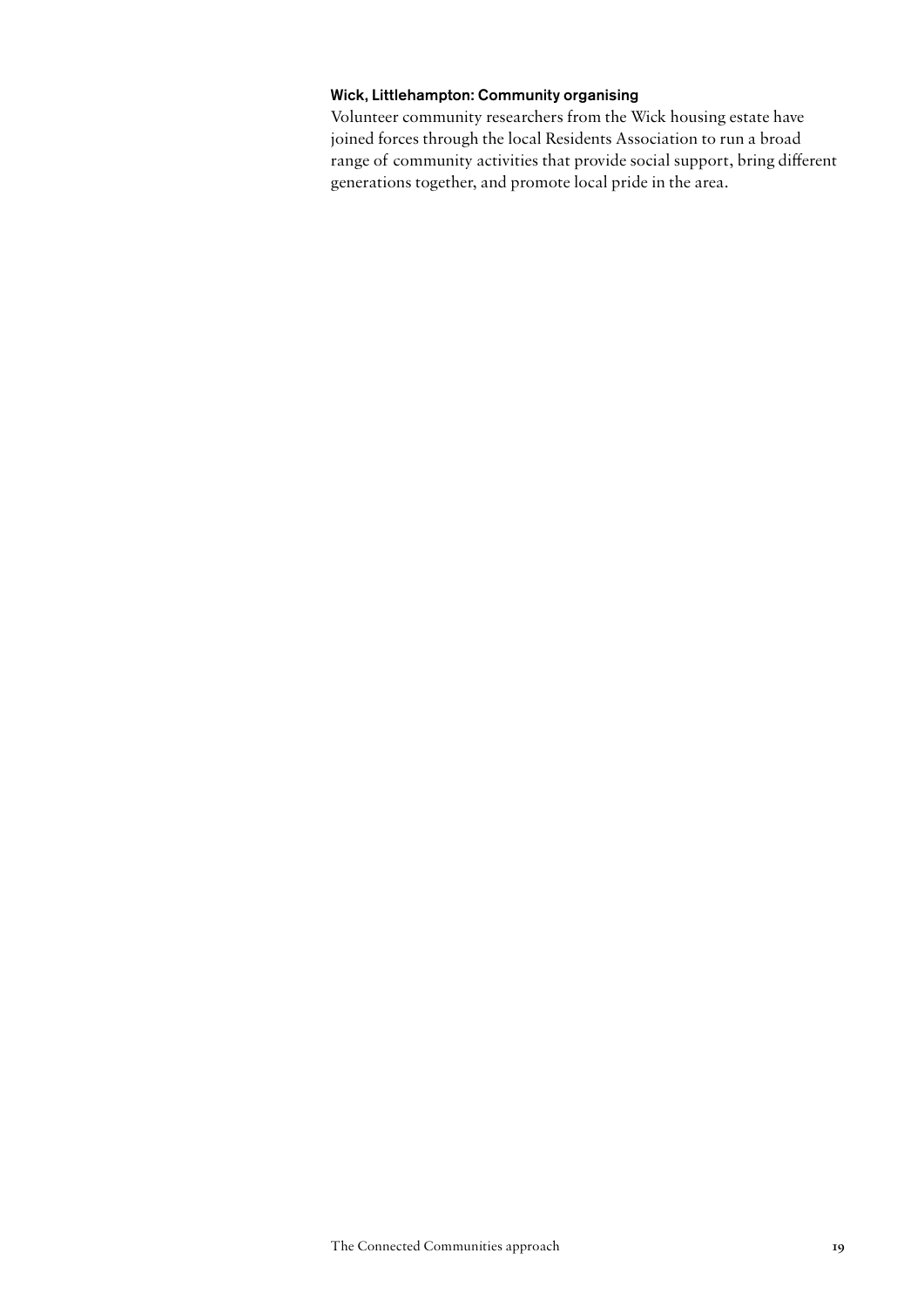# Wick, Littlehampton: Community organising

Volunteer community researchers from the Wick housing estate have joined forces through the local Residents Association to run a broad range of community activities that provide social support, bring different generations together, and promote local pride in the area.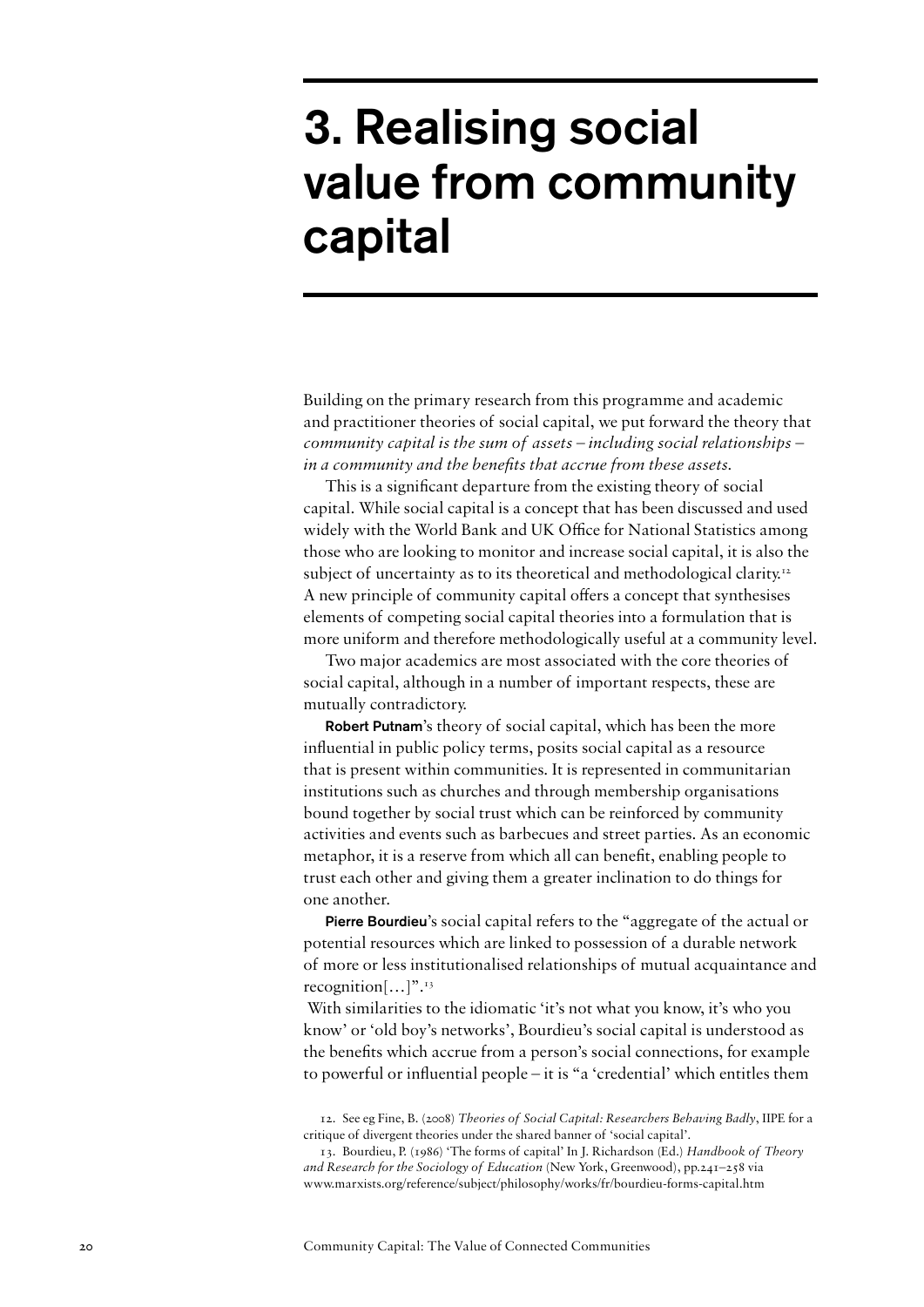# 3. Realising social value from community capital

Building on the primary research from this programme and academic and practitioner theories of social capital, we put forward the theory that *community capital is the sum of assets – including social relationships – in a community and the benefits that accrue from these assets.* 

This is a significant departure from the existing theory of social capital. While social capital is a concept that has been discussed and used widely with the World Bank and UK Office for National Statistics among those who are looking to monitor and increase social capital, it is also the subject of uncertainty as to its theoretical and methodological clarity.<sup>12</sup> A new principle of community capital offers a concept that synthesises elements of competing social capital theories into a formulation that is more uniform and therefore methodologically useful at a community level.

Two major academics are most associated with the core theories of social capital, although in a number of important respects, these are mutually contradictory.

Robert Putnam's theory of social capital, which has been the more influential in public policy terms, posits social capital as a resource that is present within communities. It is represented in communitarian institutions such as churches and through membership organisations bound together by social trust which can be reinforced by community activities and events such as barbecues and street parties. As an economic metaphor, it is a reserve from which all can benefit, enabling people to trust each other and giving them a greater inclination to do things for one another.

Pierre Bourdieu's social capital refers to the "aggregate of the actual or potential resources which are linked to possession of a durable network of more or less institutionalised relationships of mutual acquaintance and recognition $[\dots]^{\nu_{13}}$ 

With similarities to the idiomatic 'it's not what you know, it's who you know' or 'old boy's networks', Bourdieu's social capital is understood as the benefits which accrue from a person's social connections, for example to powerful or influential people – it is "a 'credential' which entitles them

<sup>12.</sup> See eg Fine, B. (2008) *Theories of Social Capital: Researchers Behaving Badly*, IIPE for a critique of divergent theories under the shared banner of 'social capital'.

<sup>13.</sup> Bourdieu, P. (1986) 'The forms of capital' In J. Richardson (Ed.) *Handbook of Theory and Research for the Sociology of Education* (New York, Greenwood), pp.241–258 via www.marxists.org/reference/subject/philosophy/works/fr/bourdieu-forms-capital.htm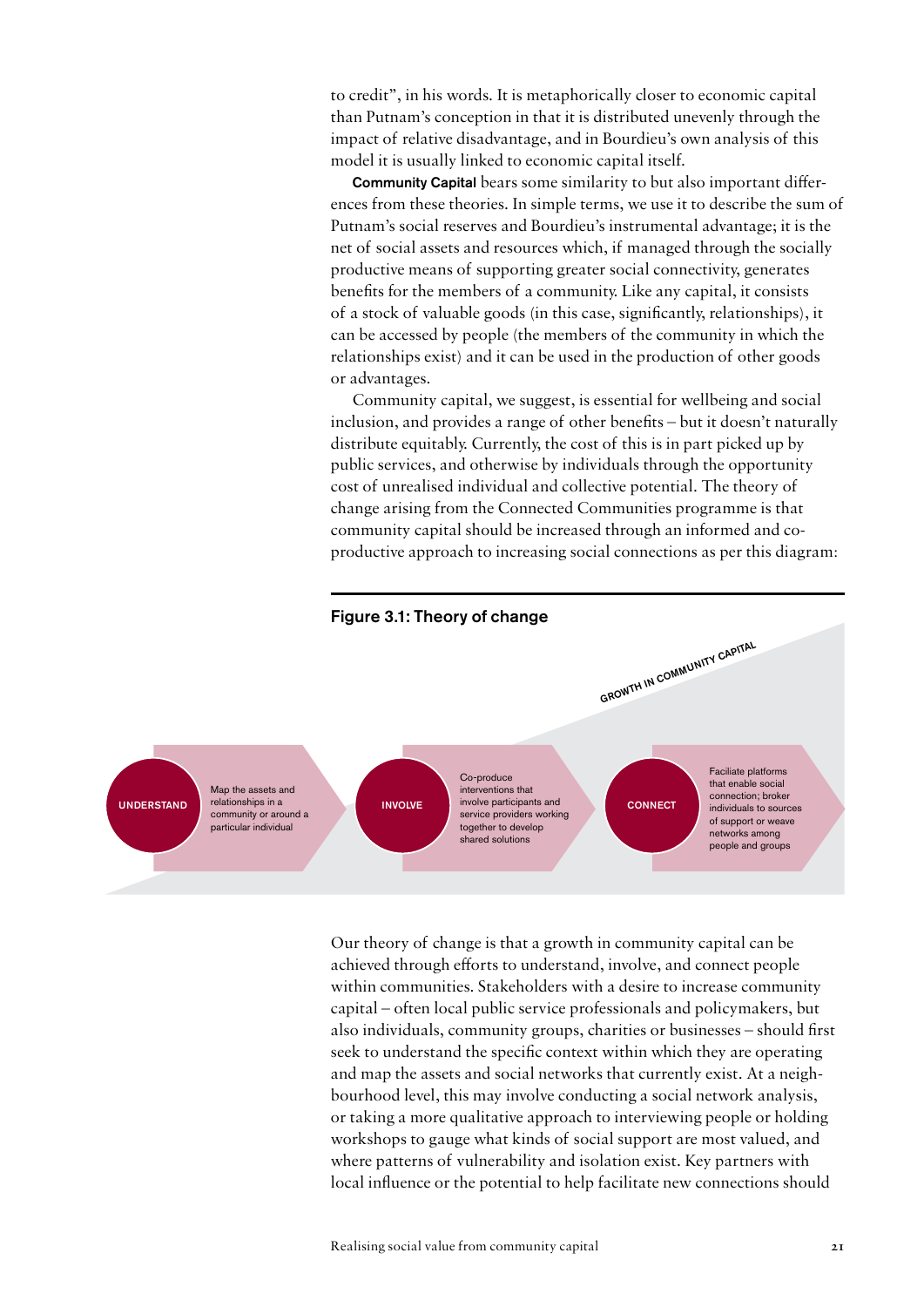to credit", in his words. It is metaphorically closer to economic capital than Putnam's conception in that it is distributed unevenly through the impact of relative disadvantage, and in Bourdieu's own analysis of this model it is usually linked to economic capital itself.

Community Capital bears some similarity to but also important differences from these theories. In simple terms, we use it to describe the sum of Putnam's social reserves and Bourdieu's instrumental advantage; it is the net of social assets and resources which, if managed through the socially productive means of supporting greater social connectivity, generates benefits for the members of a community. Like any capital, it consists of a stock of valuable goods (in this case, significantly, relationships), it can be accessed by people (the members of the community in which the relationships exist) and it can be used in the production of other goods or advantages.

Community capital, we suggest, is essential for wellbeing and social inclusion, and provides a range of other benefits – but it doesn't naturally distribute equitably. Currently, the cost of this is in part picked up by public services, and otherwise by individuals through the opportunity cost of unrealised individual and collective potential. The theory of change arising from the Connected Communities programme is that community capital should be increased through an informed and coproductive approach to increasing social connections as per this diagram:



Our theory of change is that a growth in community capital can be achieved through efforts to understand, involve, and connect people within communities. Stakeholders with a desire to increase community capital – often local public service professionals and policymakers, but also individuals, community groups, charities or businesses – should first seek to understand the specific context within which they are operating and map the assets and social networks that currently exist. At a neighbourhood level, this may involve conducting a social network analysis, or taking a more qualitative approach to interviewing people or holding workshops to gauge what kinds of social support are most valued, and where patterns of vulnerability and isolation exist. Key partners with local influence or the potential to help facilitate new connections should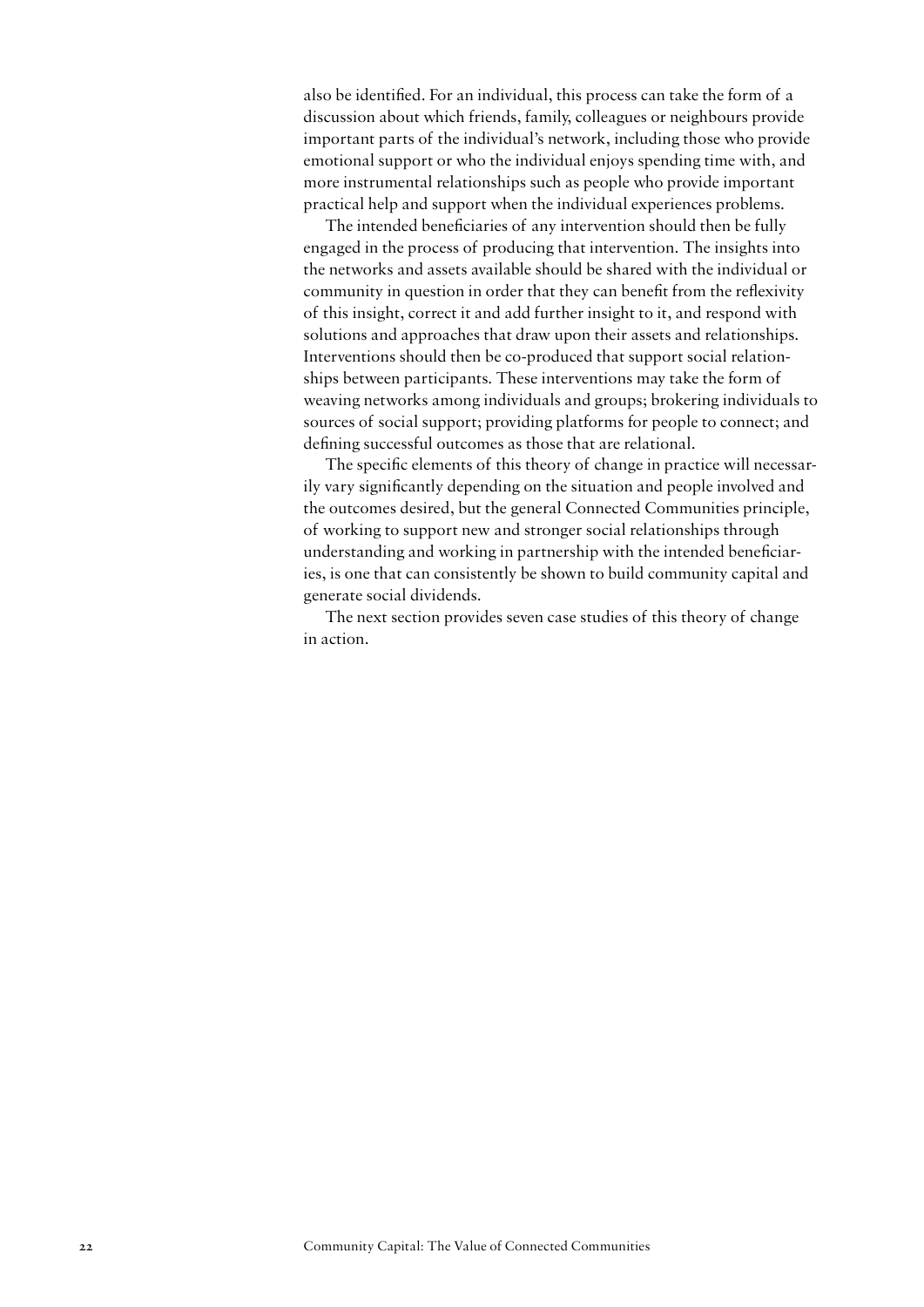also be identified. For an individual, this process can take the form of a discussion about which friends, family, colleagues or neighbours provide important parts of the individual's network, including those who provide emotional support or who the individual enjoys spending time with, and more instrumental relationships such as people who provide important practical help and support when the individual experiences problems.

The intended beneficiaries of any intervention should then be fully engaged in the process of producing that intervention. The insights into the networks and assets available should be shared with the individual or community in question in order that they can benefit from the reflexivity of this insight, correct it and add further insight to it, and respond with solutions and approaches that draw upon their assets and relationships. Interventions should then be co-produced that support social relationships between participants. These interventions may take the form of weaving networks among individuals and groups; brokering individuals to sources of social support; providing platforms for people to connect; and defining successful outcomes as those that are relational.

The specific elements of this theory of change in practice will necessarily vary significantly depending on the situation and people involved and the outcomes desired, but the general Connected Communities principle, of working to support new and stronger social relationships through understanding and working in partnership with the intended beneficiaries, is one that can consistently be shown to build community capital and generate social dividends.

The next section provides seven case studies of this theory of change in action.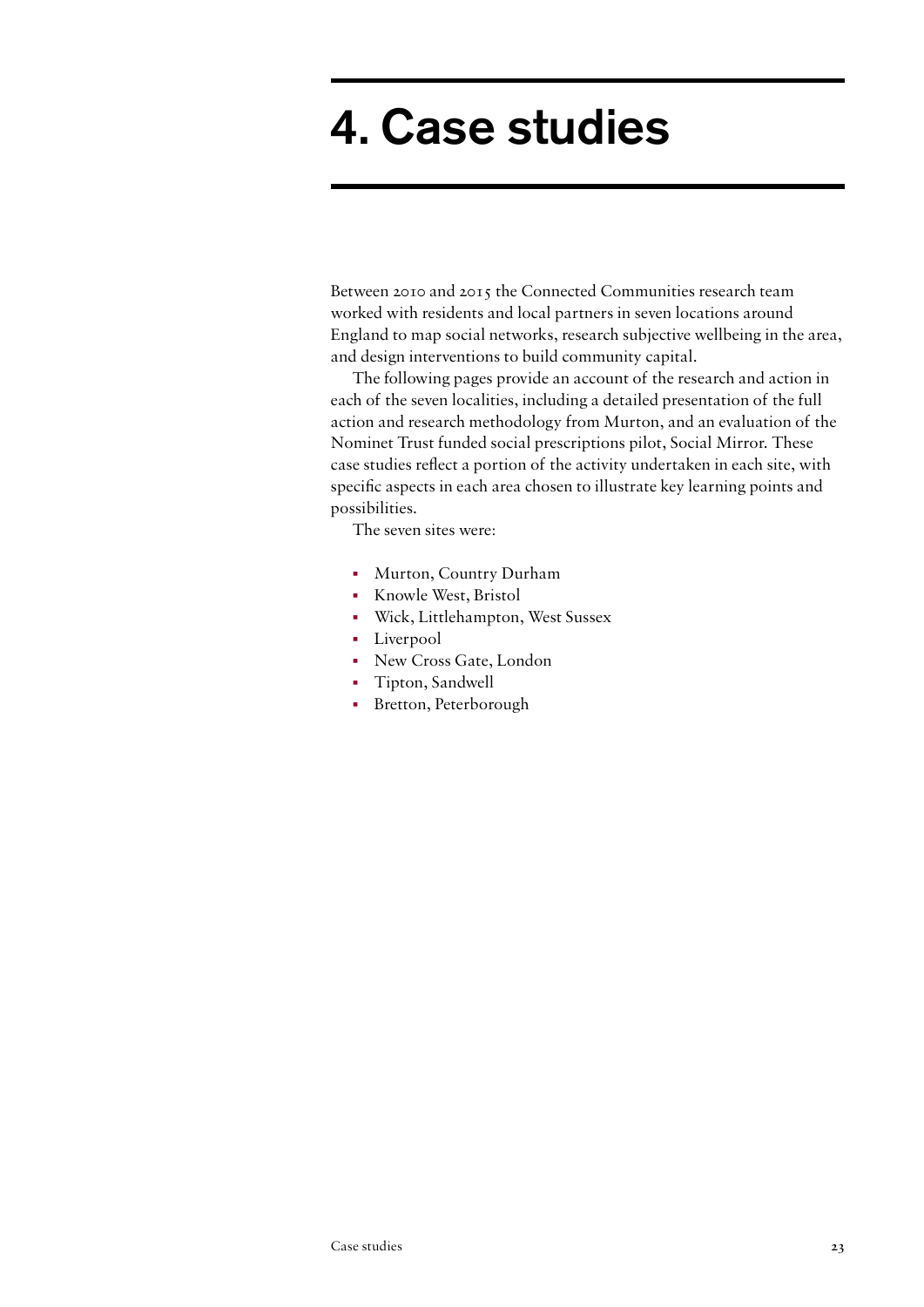# 4. Case studies

Between 2010 and 2015 the Connected Communities research team worked with residents and local partners in seven locations around England to map social networks, research subjective wellbeing in the area, and design interventions to build community capital.

The following pages provide an account of the research and action in each of the seven localities, including a detailed presentation of the full action and research methodology from Murton, and an evaluation of the Nominet Trust funded social prescriptions pilot, Social Mirror. These case studies reflect a portion of the activity undertaken in each site, with specific aspects in each area chosen to illustrate key learning points and possibilities.

The seven sites were:

- Murton, Country Durham
- Knowle West, Bristol
- Wick, Littlehampton, West Sussex
- Liverpool
- New Cross Gate, London
- Tipton, Sandwell
- Bretton, Peterborough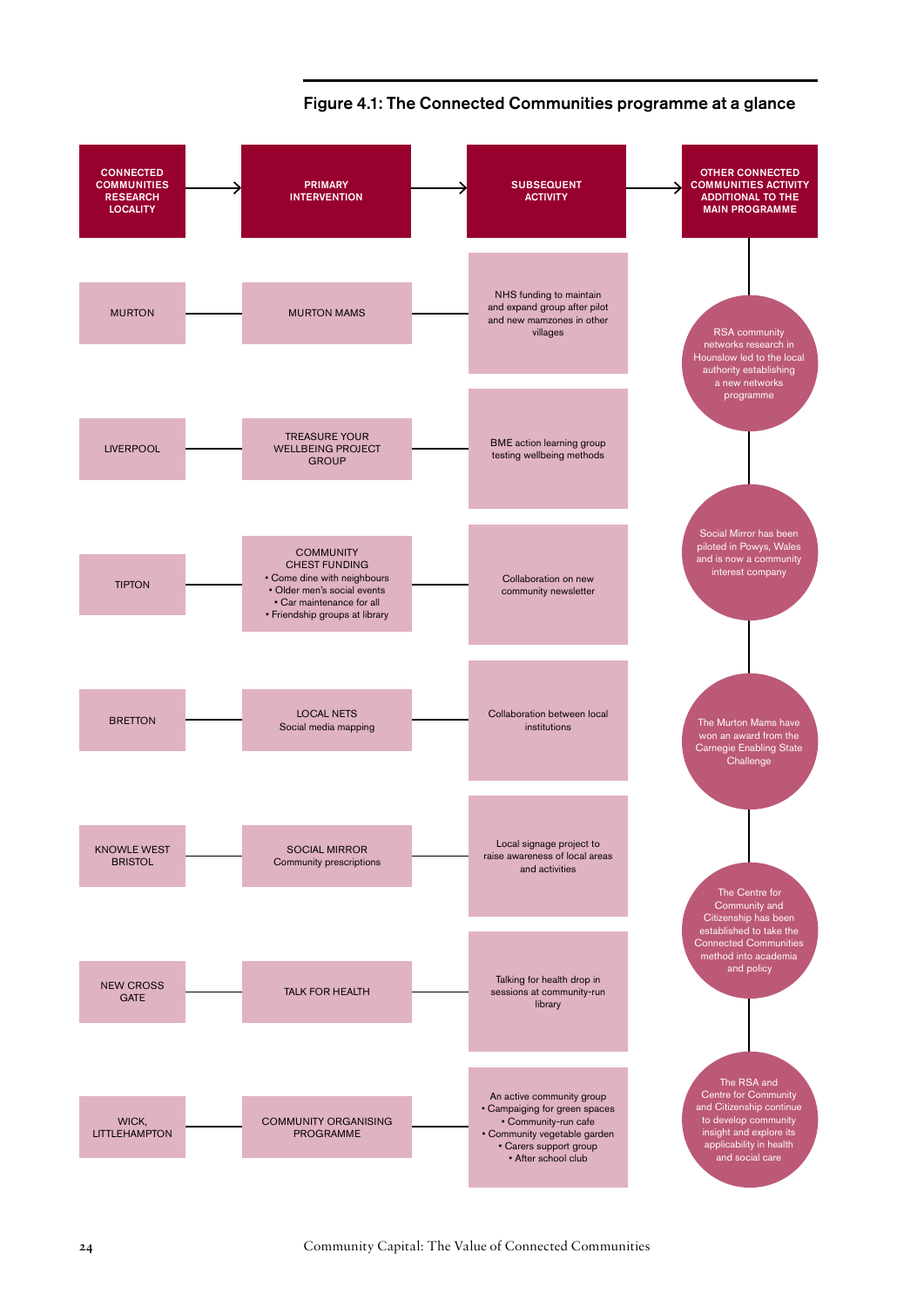

### Figure 4.1: The Connected Communities programme at a glance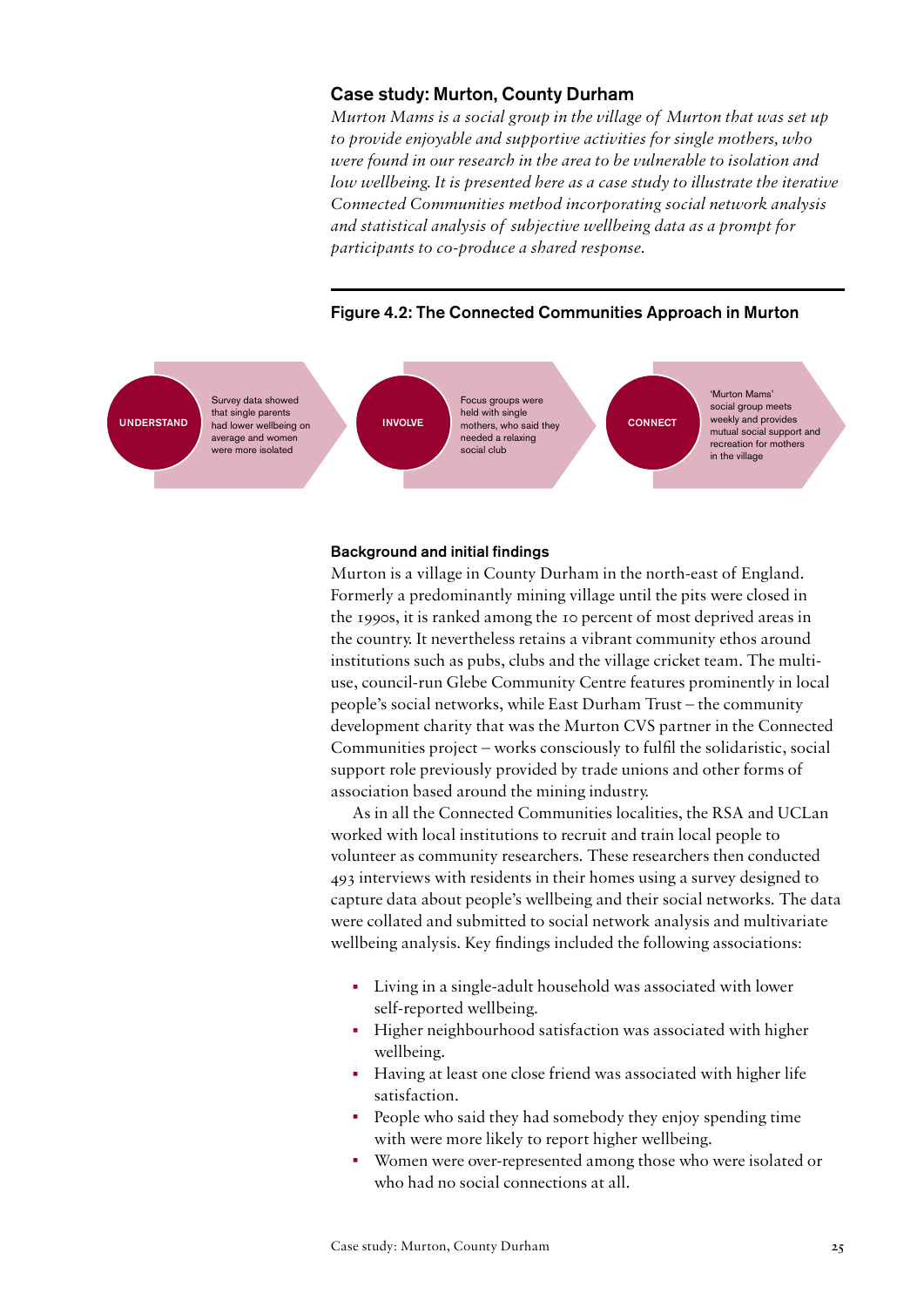## Case study: Murton, County Durham

*Murton Mams is a social group in the village of Murton that was set up to provide enjoyable and supportive activities for single mothers, who were found in our research in the area to be vulnerable to isolation and low wellbeing. It is presented here as a case study to illustrate the iterative Connected Communities method incorporating social network analysis and statistical analysis of subjective wellbeing data as a prompt for participants to co-produce a shared response.* 

Figure 4.2: The Connected Communities Approach in Murton



#### Background and initial findings

Murton is a village in County Durham in the north-east of England. Formerly a predominantly mining village until the pits were closed in the 1990s, it is ranked among the 10 percent of most deprived areas in the country. It nevertheless retains a vibrant community ethos around institutions such as pubs, clubs and the village cricket team. The multiuse, council-run Glebe Community Centre features prominently in local people's social networks, while East Durham Trust – the community development charity that was the Murton CVS partner in the Connected Communities project – works consciously to fulfil the solidaristic, social support role previously provided by trade unions and other forms of association based around the mining industry.

As in all the Connected Communities localities, the RSA and UCLan worked with local institutions to recruit and train local people to volunteer as community researchers. These researchers then conducted 493 interviews with residents in their homes using a survey designed to capture data about people's wellbeing and their social networks. The data were collated and submitted to social network analysis and multivariate wellbeing analysis. Key findings included the following associations:

- Living in a single-adult household was associated with lower self-reported wellbeing.
- Higher neighbourhood satisfaction was associated with higher wellbeing.
- Having at least one close friend was associated with higher life satisfaction.
- People who said they had somebody they enjoy spending time with were more likely to report higher wellbeing.
- Women were over-represented among those who were isolated or who had no social connections at all.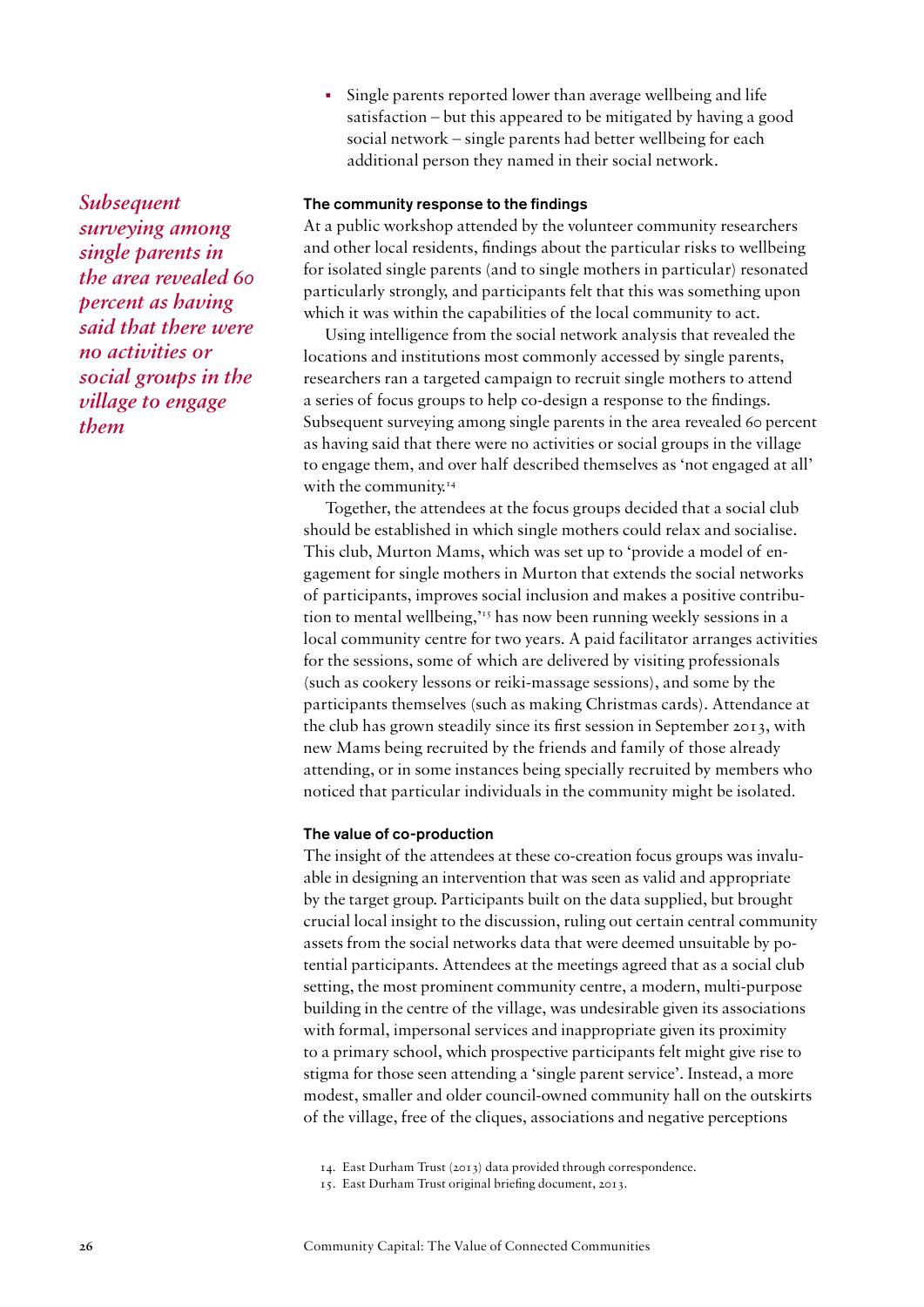• Single parents reported lower than average wellbeing and life satisfaction – but this appeared to be mitigated by having a good social network – single parents had better wellbeing for each additional person they named in their social network.

#### The community response to the findings

At a public workshop attended by the volunteer community researchers and other local residents, findings about the particular risks to wellbeing for isolated single parents (and to single mothers in particular) resonated particularly strongly, and participants felt that this was something upon which it was within the capabilities of the local community to act.

Using intelligence from the social network analysis that revealed the locations and institutions most commonly accessed by single parents, researchers ran a targeted campaign to recruit single mothers to attend a series of focus groups to help co-design a response to the findings. Subsequent surveying among single parents in the area revealed 60 percent as having said that there were no activities or social groups in the village to engage them, and over half described themselves as 'not engaged at all' with the community.<sup>14</sup>

Together, the attendees at the focus groups decided that a social club should be established in which single mothers could relax and socialise. This club, Murton Mams, which was set up to 'provide a model of engagement for single mothers in Murton that extends the social networks of participants, improves social inclusion and makes a positive contribution to mental wellbeing,'15 has now been running weekly sessions in a local community centre for two years. A paid facilitator arranges activities for the sessions, some of which are delivered by visiting professionals (such as cookery lessons or reiki-massage sessions), and some by the participants themselves (such as making Christmas cards). Attendance at the club has grown steadily since its first session in September 2013, with new Mams being recruited by the friends and family of those already attending, or in some instances being specially recruited by members who noticed that particular individuals in the community might be isolated.

#### The value of co-production

The insight of the attendees at these co-creation focus groups was invaluable in designing an intervention that was seen as valid and appropriate by the target group. Participants built on the data supplied, but brought crucial local insight to the discussion, ruling out certain central community assets from the social networks data that were deemed unsuitable by potential participants. Attendees at the meetings agreed that as a social club setting, the most prominent community centre, a modern, multi-purpose building in the centre of the village, was undesirable given its associations with formal, impersonal services and inappropriate given its proximity to a primary school, which prospective participants felt might give rise to stigma for those seen attending a 'single parent service'. Instead, a more modest, smaller and older council-owned community hall on the outskirts of the village, free of the cliques, associations and negative perceptions

*Subsequent surveying among single parents in the area revealed 60 percent as having said that there were no activities or social groups in the village to engage them*

<sup>14.</sup> East Durham Trust (2013) data provided through correspondence.

<sup>15.</sup> East Durham Trust original briefing document, 2013.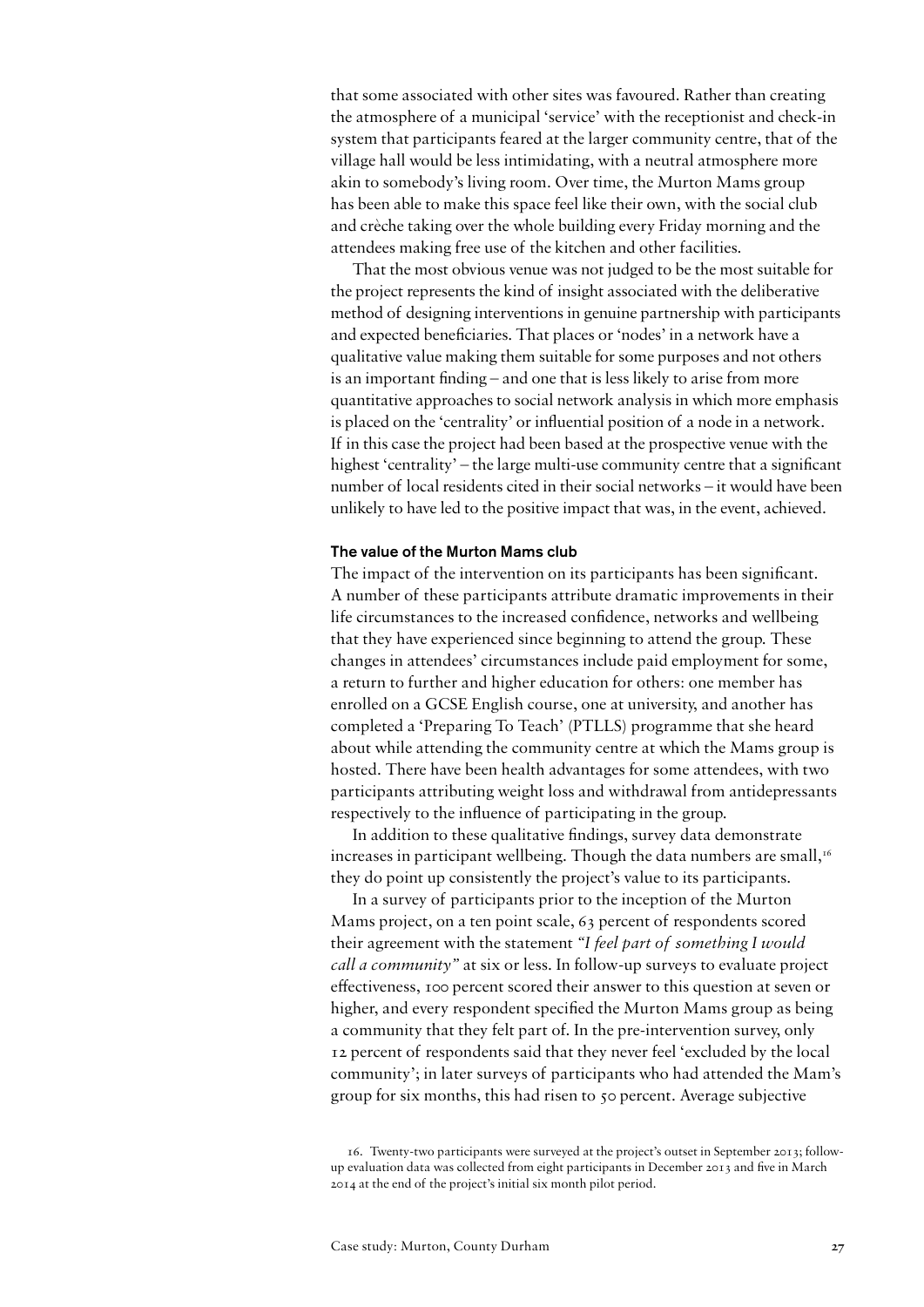that some associated with other sites was favoured. Rather than creating the atmosphere of a municipal 'service' with the receptionist and check-in system that participants feared at the larger community centre, that of the village hall would be less intimidating, with a neutral atmosphere more akin to somebody's living room. Over time, the Murton Mams group has been able to make this space feel like their own, with the social club and crèche taking over the whole building every Friday morning and the attendees making free use of the kitchen and other facilities.

That the most obvious venue was not judged to be the most suitable for the project represents the kind of insight associated with the deliberative method of designing interventions in genuine partnership with participants and expected beneficiaries. That places or 'nodes' in a network have a qualitative value making them suitable for some purposes and not others is an important finding – and one that is less likely to arise from more quantitative approaches to social network analysis in which more emphasis is placed on the 'centrality' or influential position of a node in a network. If in this case the project had been based at the prospective venue with the highest 'centrality' – the large multi-use community centre that a significant number of local residents cited in their social networks – it would have been unlikely to have led to the positive impact that was, in the event, achieved.

#### The value of the Murton Mams club

The impact of the intervention on its participants has been significant. A number of these participants attribute dramatic improvements in their life circumstances to the increased confidence, networks and wellbeing that they have experienced since beginning to attend the group. These changes in attendees' circumstances include paid employment for some, a return to further and higher education for others: one member has enrolled on a GCSE English course, one at university, and another has completed a 'Preparing To Teach' (PTLLS) programme that she heard about while attending the community centre at which the Mams group is hosted. There have been health advantages for some attendees, with two participants attributing weight loss and withdrawal from antidepressants respectively to the influence of participating in the group.

In addition to these qualitative findings, survey data demonstrate increases in participant wellbeing. Though the data numbers are small,<sup>16</sup> they do point up consistently the project's value to its participants.

In a survey of participants prior to the inception of the Murton Mams project, on a ten point scale, 63 percent of respondents scored their agreement with the statement *"I feel part of something I would call a community"* at six or less. In follow-up surveys to evaluate project effectiveness, 100 percent scored their answer to this question at seven or higher, and every respondent specified the Murton Mams group as being a community that they felt part of. In the pre-intervention survey, only 12 percent of respondents said that they never feel 'excluded by the local community'; in later surveys of participants who had attended the Mam's group for six months, this had risen to 50 percent. Average subjective

<sup>16.</sup> Twenty-two participants were surveyed at the project's outset in September 2013; followup evaluation data was collected from eight participants in December 2013 and five in March 2014 at the end of the project's initial six month pilot period.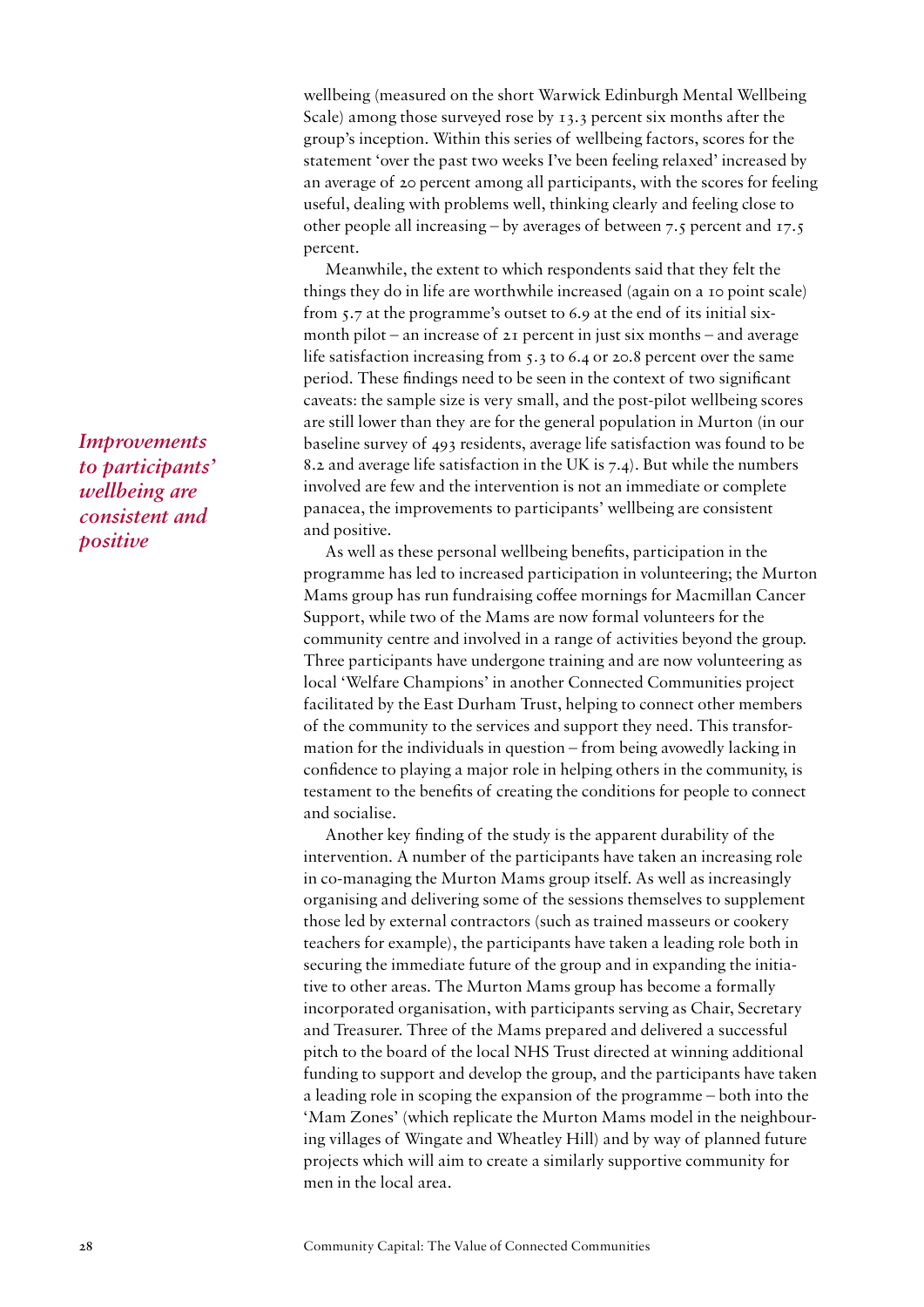wellbeing (measured on the short Warwick Edinburgh Mental Wellbeing Scale) among those surveyed rose by 13.3 percent six months after the group's inception. Within this series of wellbeing factors, scores for the statement 'over the past two weeks I've been feeling relaxed' increased by an average of 20 percent among all participants, with the scores for feeling useful, dealing with problems well, thinking clearly and feeling close to other people all increasing – by averages of between 7.5 percent and 17.5 percent.

Meanwhile, the extent to which respondents said that they felt the things they do in life are worthwhile increased (again on a 10 point scale) from 5.7 at the programme's outset to 6.9 at the end of its initial sixmonth pilot – an increase of 21 percent in just six months – and average life satisfaction increasing from 5.3 to 6.4 or 20.8 percent over the same period. These findings need to be seen in the context of two significant caveats: the sample size is very small, and the post-pilot wellbeing scores are still lower than they are for the general population in Murton (in our baseline survey of 493 residents, average life satisfaction was found to be 8.2 and average life satisfaction in the UK is 7.4). But while the numbers involved are few and the intervention is not an immediate or complete panacea, the improvements to participants' wellbeing are consistent and positive.

As well as these personal wellbeing benefits, participation in the programme has led to increased participation in volunteering; the Murton Mams group has run fundraising coffee mornings for Macmillan Cancer Support, while two of the Mams are now formal volunteers for the community centre and involved in a range of activities beyond the group. Three participants have undergone training and are now volunteering as local 'Welfare Champions' in another Connected Communities project facilitated by the East Durham Trust, helping to connect other members of the community to the services and support they need. This transformation for the individuals in question – from being avowedly lacking in confidence to playing a major role in helping others in the community, is testament to the benefits of creating the conditions for people to connect and socialise.

Another key finding of the study is the apparent durability of the intervention. A number of the participants have taken an increasing role in co-managing the Murton Mams group itself. As well as increasingly organising and delivering some of the sessions themselves to supplement those led by external contractors (such as trained masseurs or cookery teachers for example), the participants have taken a leading role both in securing the immediate future of the group and in expanding the initiative to other areas. The Murton Mams group has become a formally incorporated organisation, with participants serving as Chair, Secretary and Treasurer. Three of the Mams prepared and delivered a successful pitch to the board of the local NHS Trust directed at winning additional funding to support and develop the group, and the participants have taken a leading role in scoping the expansion of the programme – both into the 'Mam Zones' (which replicate the Murton Mams model in the neighbouring villages of Wingate and Wheatley Hill) and by way of planned future projects which will aim to create a similarly supportive community for men in the local area.

*Improvements to participants' wellbeing are consistent and positive*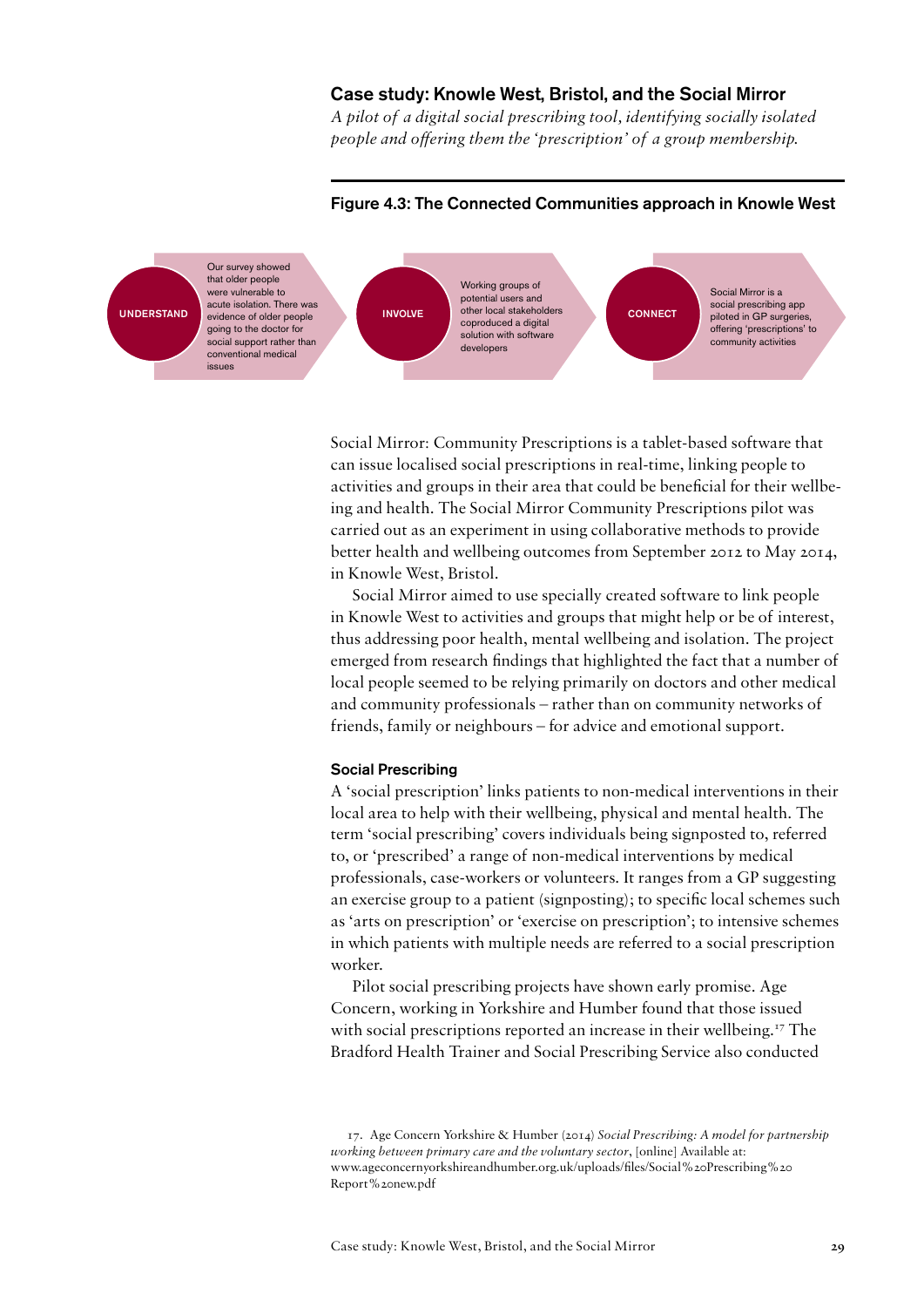## Case study: Knowle West, Bristol, and the Social Mirror

*A pilot of a digital social prescribing tool, identifying socially isolated people and offering them the 'prescription' of a group membership.*

# Figure 4.3: The Connected Communities approach in Knowle West



Social Mirror: Community Prescriptions is a tablet-based software that can issue localised social prescriptions in real-time, linking people to activities and groups in their area that could be beneficial for their wellbeing and health. The Social Mirror Community Prescriptions pilot was carried out as an experiment in using collaborative methods to provide better health and wellbeing outcomes from September 2012 to May 2014, in Knowle West, Bristol.

Social Mirror aimed to use specially created software to link people in Knowle West to activities and groups that might help or be of interest, thus addressing poor health, mental wellbeing and isolation. The project emerged from research findings that highlighted the fact that a number of local people seemed to be relying primarily on doctors and other medical and community professionals – rather than on community networks of friends, family or neighbours – for advice and emotional support.

#### Social Prescribing

A 'social prescription' links patients to non-medical interventions in their local area to help with their wellbeing, physical and mental health. The term 'social prescribing' covers individuals being signposted to, referred to, or 'prescribed' a range of non-medical interventions by medical professionals, case-workers or volunteers. It ranges from a GP suggesting an exercise group to a patient (signposting); to specific local schemes such as 'arts on prescription' or 'exercise on prescription'; to intensive schemes in which patients with multiple needs are referred to a social prescription worker.

Pilot social prescribing projects have shown early promise. Age Concern, working in Yorkshire and Humber found that those issued with social prescriptions reported an increase in their wellbeing.<sup>17</sup> The Bradford Health Trainer and Social Prescribing Service also conducted

<sup>17.</sup> Age Concern Yorkshire & Humber (2014) *Social Prescribing: A model for partnership working between primary care and the voluntary sector*, [online] Available at: www.ageconcernyorkshireandhumber.org.uk/uploads/files/Social%20Prescribing%20 Report%20new.pdf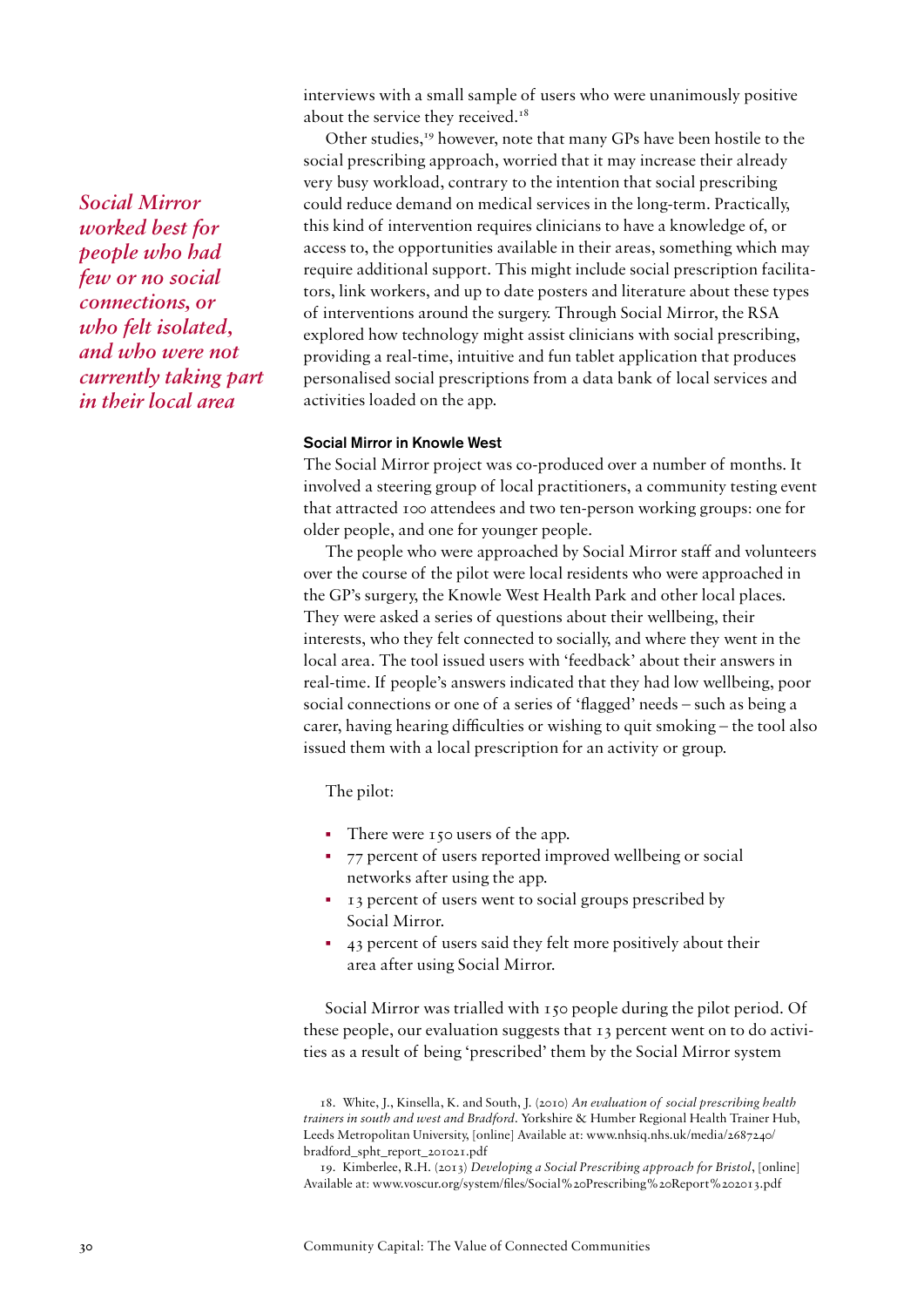*Social Mirror worked best for people who had few or no social connections, or who felt isolated, and who were not currently taking part in their local area*

interviews with a small sample of users who were unanimously positive about the service they received.<sup>18</sup>

Other studies,<sup>19</sup> however, note that many GPs have been hostile to the social prescribing approach, worried that it may increase their already very busy workload, contrary to the intention that social prescribing could reduce demand on medical services in the long-term. Practically, this kind of intervention requires clinicians to have a knowledge of, or access to, the opportunities available in their areas, something which may require additional support. This might include social prescription facilitators, link workers, and up to date posters and literature about these types of interventions around the surgery. Through Social Mirror, the RSA explored how technology might assist clinicians with social prescribing, providing a real-time, intuitive and fun tablet application that produces personalised social prescriptions from a data bank of local services and activities loaded on the app.

#### Social Mirror in Knowle West

The Social Mirror project was co-produced over a number of months. It involved a steering group of local practitioners, a community testing event that attracted 100 attendees and two ten-person working groups: one for older people, and one for younger people.

The people who were approached by Social Mirror staff and volunteers over the course of the pilot were local residents who were approached in the GP's surgery, the Knowle West Health Park and other local places. They were asked a series of questions about their wellbeing, their interests, who they felt connected to socially, and where they went in the local area. The tool issued users with 'feedback' about their answers in real-time. If people's answers indicated that they had low wellbeing, poor social connections or one of a series of 'flagged' needs – such as being a carer, having hearing difficulties or wishing to quit smoking – the tool also issued them with a local prescription for an activity or group.

The pilot:

- There were 150 users of the app.
- 77 percent of users reported improved wellbeing or social networks after using the app.
- 13 percent of users went to social groups prescribed by Social Mirror.
- 43 percent of users said they felt more positively about their area after using Social Mirror.

Social Mirror was trialled with 150 people during the pilot period. Of these people, our evaluation suggests that 13 percent went on to do activities as a result of being 'prescribed' them by the Social Mirror system

19. Kimberlee, R.H. (2013) *Developing a Social Prescribing approach for Bristol*, [online] Available at: www.voscur.org/system/files/Social%20Prescribing%20Report%202013.pdf

<sup>18.</sup> White, J., Kinsella, K. and South, J. (2010) *An evaluation of social prescribing health trainers in south and west and Bradford*. Yorkshire & Humber Regional Health Trainer Hub, Leeds Metropolitan University, [online] Available at: www.nhsiq.nhs.uk/media/2687240/ bradford\_spht\_report\_201021.pdf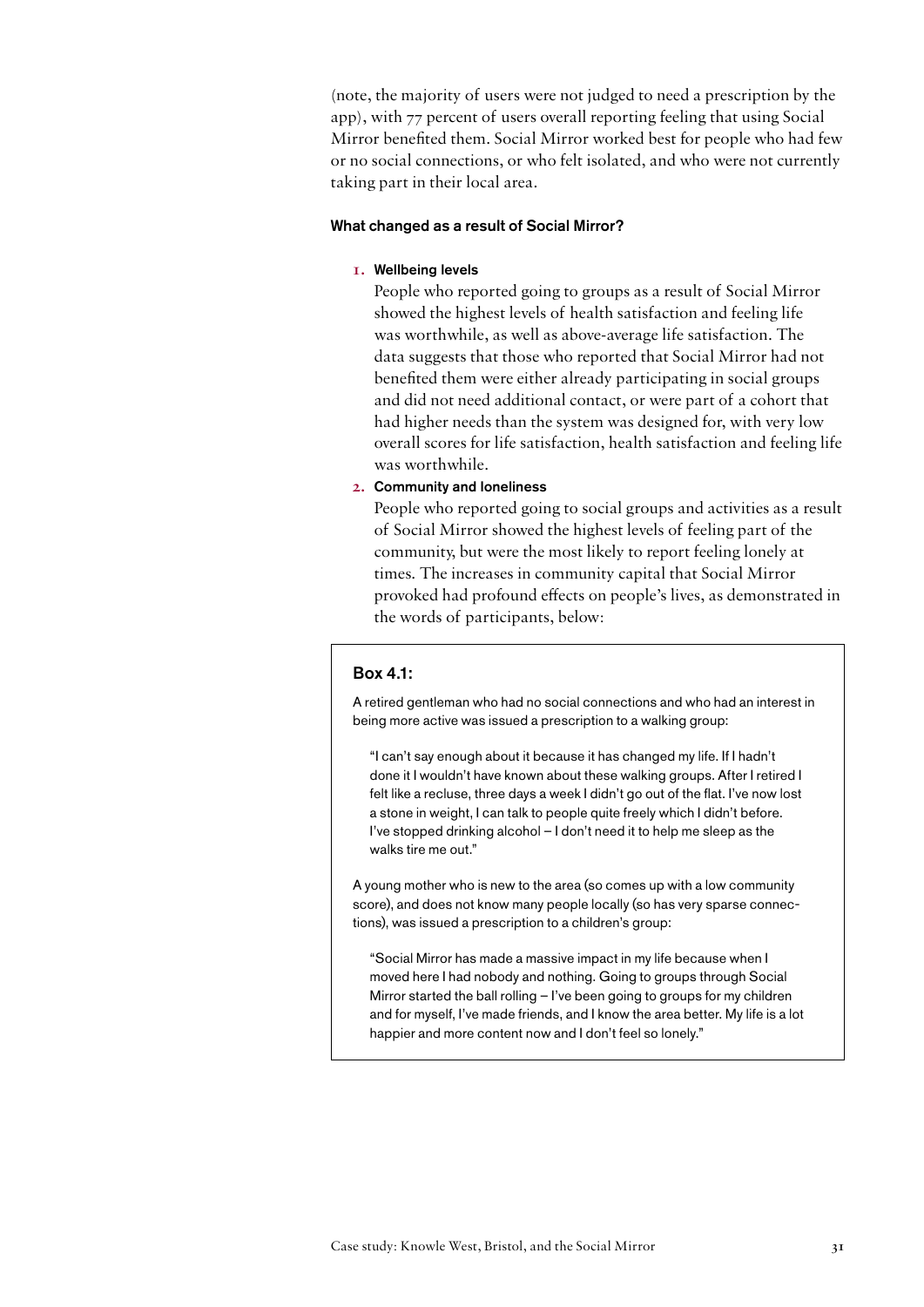(note, the majority of users were not judged to need a prescription by the app), with 77 percent of users overall reporting feeling that using Social Mirror benefited them. Social Mirror worked best for people who had few or no social connections, or who felt isolated, and who were not currently taking part in their local area.

#### What changed as a result of Social Mirror?

#### **1.** Wellbeing levels

People who reported going to groups as a result of Social Mirror showed the highest levels of health satisfaction and feeling life was worthwhile, as well as above-average life satisfaction. The data suggests that those who reported that Social Mirror had not benefited them were either already participating in social groups and did not need additional contact, or were part of a cohort that had higher needs than the system was designed for, with very low overall scores for life satisfaction, health satisfaction and feeling life was worthwhile.

**2.** Community and loneliness

People who reported going to social groups and activities as a result of Social Mirror showed the highest levels of feeling part of the community, but were the most likely to report feeling lonely at times. The increases in community capital that Social Mirror provoked had profound effects on people's lives, as demonstrated in the words of participants, below:

# Box 4.1:

A retired gentleman who had no social connections and who had an interest in being more active was issued a prescription to a walking group:

"I can't say enough about it because it has changed my life. If I hadn't done it I wouldn't have known about these walking groups. After I retired I felt like a recluse, three days a week I didn't go out of the flat. I've now lost a stone in weight, I can talk to people quite freely which I didn't before. I've stopped drinking alcohol – I don't need it to help me sleep as the walks tire me out."

A young mother who is new to the area (so comes up with a low community score), and does not know many people locally (so has very sparse connections), was issued a prescription to a children's group:

"Social Mirror has made a massive impact in my life because when I moved here I had nobody and nothing. Going to groups through Social Mirror started the ball rolling – I've been going to groups for my children and for myself, I've made friends, and I know the area better. My life is a lot happier and more content now and I don't feel so lonely."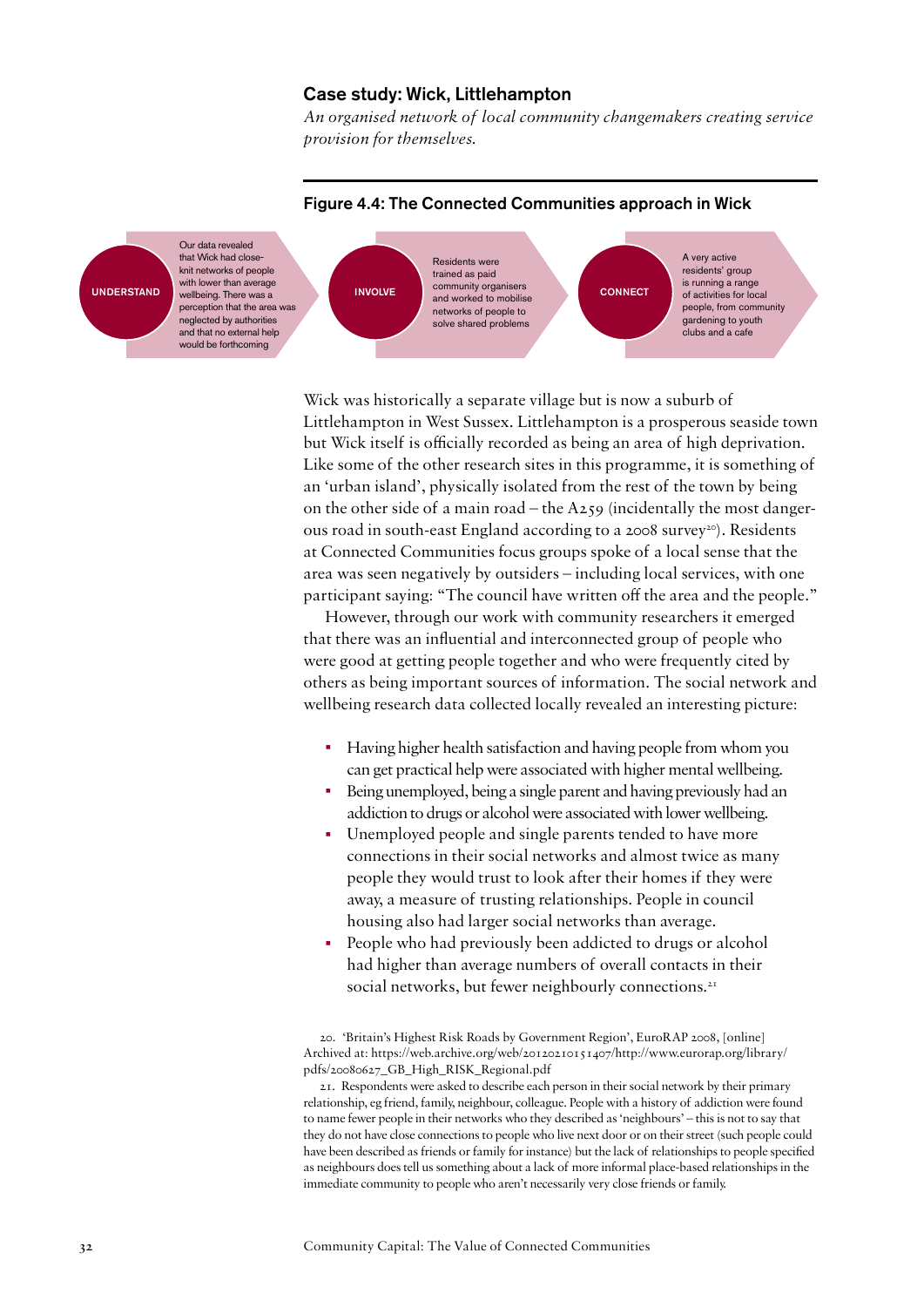# Case study: Wick, Littlehampton

*An organised network of local community changemakers creating service provision for themselves.*

# Figure 4.4: The Connected Communities approach in Wick



Wick was historically a separate village but is now a suburb of Littlehampton in West Sussex. Littlehampton is a prosperous seaside town but Wick itself is officially recorded as being an area of high deprivation. Like some of the other research sites in this programme, it is something of an 'urban island', physically isolated from the rest of the town by being on the other side of a main road – the  $A259$  (incidentally the most dangerous road in south-east England according to a 2008 survey<sup>20</sup>). Residents at Connected Communities focus groups spoke of a local sense that the area was seen negatively by outsiders – including local services, with one participant saying: "The council have written off the area and the people."

However, through our work with community researchers it emerged that there was an influential and interconnected group of people who were good at getting people together and who were frequently cited by others as being important sources of information. The social network and wellbeing research data collected locally revealed an interesting picture:

- Having higher health satisfaction and having people from whom you can get practical help were associated with higher mental wellbeing.
- Being unemployed, being a single parent and having previously had an addiction to drugs or alcohol were associated with lower wellbeing.
- Unemployed people and single parents tended to have more connections in their social networks and almost twice as many people they would trust to look after their homes if they were away, a measure of trusting relationships. People in council housing also had larger social networks than average.
- People who had previously been addicted to drugs or alcohol had higher than average numbers of overall contacts in their social networks, but fewer neighbourly connections.<sup>21</sup>

20. 'Britain's Highest Risk Roads by Government Region', EuroRAP 2008, [online] Archived at: https://web.archive.org/web/20120210151407/http://www.eurorap.org/library/ pdfs/20080627\_GB\_High\_RISK\_Regional.pdf

21. Respondents were asked to describe each person in their social network by their primary relationship, eg friend, family, neighbour, colleague. People with a history of addiction were found to name fewer people in their networks who they described as 'neighbours' – this is not to say that they do not have close connections to people who live next door or on their street (such people could have been described as friends or family for instance) but the lack of relationships to people specified as neighbours does tell us something about a lack of more informal place-based relationships in the immediate community to people who aren't necessarily very close friends or family.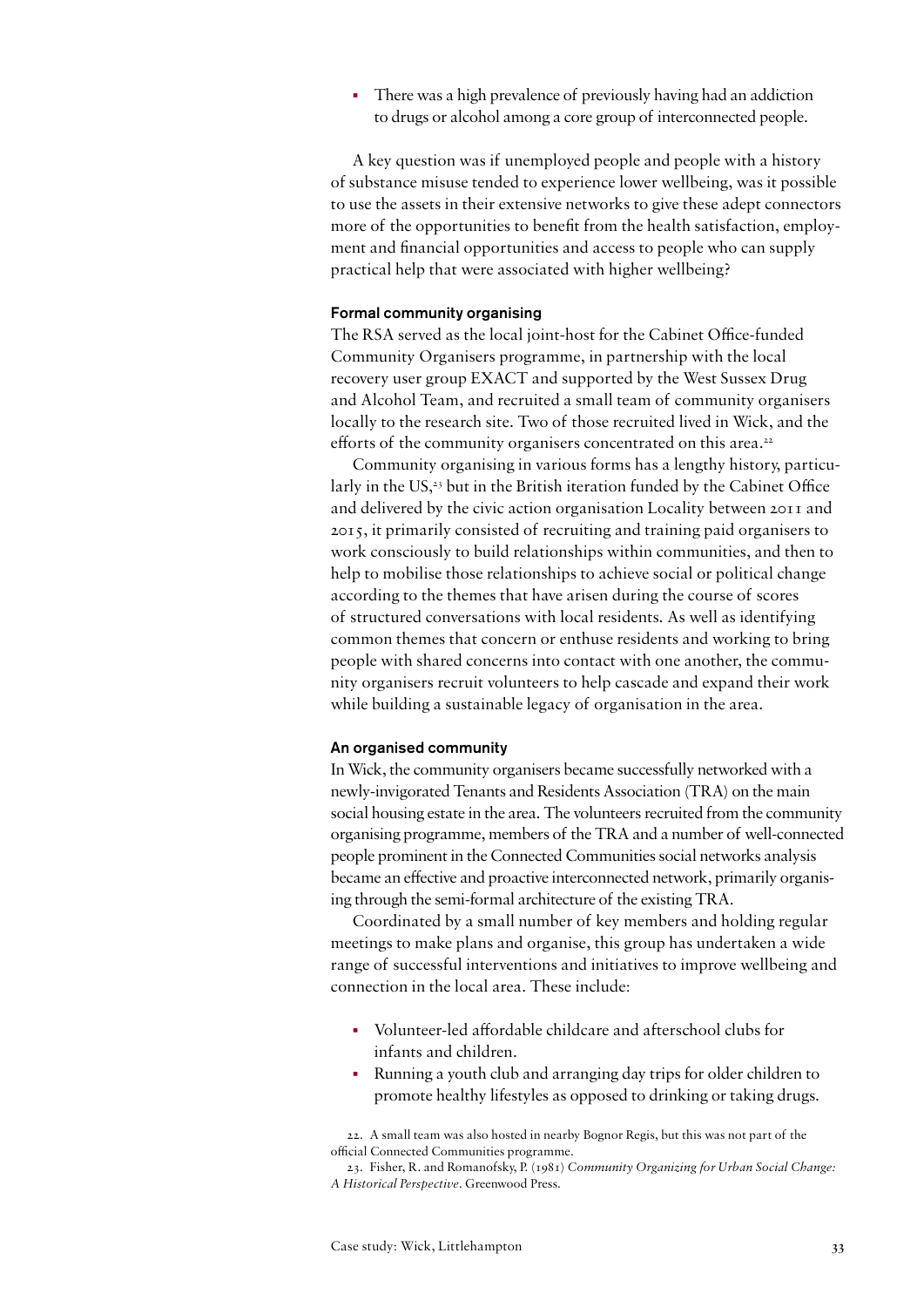• There was a high prevalence of previously having had an addiction to drugs or alcohol among a core group of interconnected people.

A key question was if unemployed people and people with a history of substance misuse tended to experience lower wellbeing, was it possible to use the assets in their extensive networks to give these adept connectors more of the opportunities to benefit from the health satisfaction, employment and financial opportunities and access to people who can supply practical help that were associated with higher wellbeing?

#### Formal community organising

The RSA served as the local joint-host for the Cabinet Office-funded Community Organisers programme, in partnership with the local recovery user group EXACT and supported by the West Sussex Drug and Alcohol Team, and recruited a small team of community organisers locally to the research site. Two of those recruited lived in Wick, and the efforts of the community organisers concentrated on this area.<sup>22</sup>

Community organising in various forms has a lengthy history, particularly in the US,<sup>23</sup> but in the British iteration funded by the Cabinet Office and delivered by the civic action organisation Locality between 2011 and 2015, it primarily consisted of recruiting and training paid organisers to work consciously to build relationships within communities, and then to help to mobilise those relationships to achieve social or political change according to the themes that have arisen during the course of scores of structured conversations with local residents. As well as identifying common themes that concern or enthuse residents and working to bring people with shared concerns into contact with one another, the community organisers recruit volunteers to help cascade and expand their work while building a sustainable legacy of organisation in the area.

#### An organised community

In Wick, the community organisers became successfully networked with a newly-invigorated Tenants and Residents Association (TRA) on the main social housing estate in the area. The volunteers recruited from the community organising programme, members of the TRA and a number of well-connected people prominent in the Connected Communities social networks analysis became an effective and proactive interconnected network, primarily organising through the semi-formal architecture of the existing TRA.

Coordinated by a small number of key members and holding regular meetings to make plans and organise, this group has undertaken a wide range of successful interventions and initiatives to improve wellbeing and connection in the local area. These include:

- Volunteer-led affordable childcare and afterschool clubs for infants and children.
- Running a youth club and arranging day trips for older children to promote healthy lifestyles as opposed to drinking or taking drugs.

<sup>22.</sup> A small team was also hosted in nearby Bognor Regis, but this was not part of the official Connected Communities programme.

<sup>23.</sup> Fisher, R. and Romanofsky, P. (1981) *Community Organizing for Urban Social Change: A Historical Perspective*. Greenwood Press.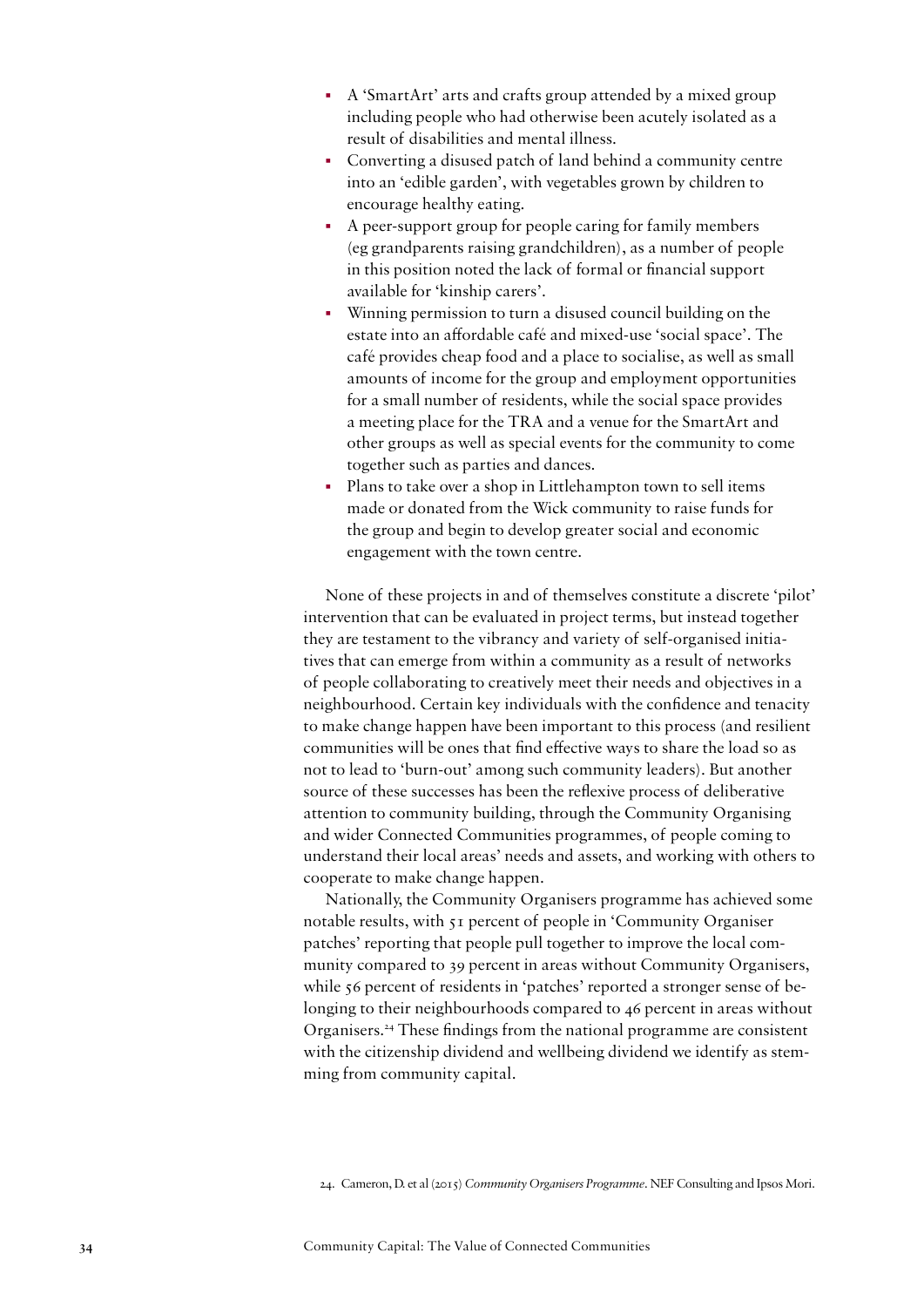- A 'SmartArt' arts and crafts group attended by a mixed group including people who had otherwise been acutely isolated as a result of disabilities and mental illness.
- Converting a disused patch of land behind a community centre into an 'edible garden', with vegetables grown by children to encourage healthy eating.
- A peer-support group for people caring for family members (eg grandparents raising grandchildren), as a number of people in this position noted the lack of formal or financial support available for 'kinship carers'.
- Winning permission to turn a disused council building on the estate into an affordable café and mixed-use 'social space'. The café provides cheap food and a place to socialise, as well as small amounts of income for the group and employment opportunities for a small number of residents, while the social space provides a meeting place for the TRA and a venue for the SmartArt and other groups as well as special events for the community to come together such as parties and dances.
- Plans to take over a shop in Littlehampton town to sell items made or donated from the Wick community to raise funds for the group and begin to develop greater social and economic engagement with the town centre.

None of these projects in and of themselves constitute a discrete 'pilot' intervention that can be evaluated in project terms, but instead together they are testament to the vibrancy and variety of self-organised initiatives that can emerge from within a community as a result of networks of people collaborating to creatively meet their needs and objectives in a neighbourhood. Certain key individuals with the confidence and tenacity to make change happen have been important to this process (and resilient communities will be ones that find effective ways to share the load so as not to lead to 'burn-out' among such community leaders). But another source of these successes has been the reflexive process of deliberative attention to community building, through the Community Organising and wider Connected Communities programmes, of people coming to understand their local areas' needs and assets, and working with others to cooperate to make change happen.

Nationally, the Community Organisers programme has achieved some notable results, with 51 percent of people in 'Community Organiser patches' reporting that people pull together to improve the local community compared to 39 percent in areas without Community Organisers, while 56 percent of residents in 'patches' reported a stronger sense of belonging to their neighbourhoods compared to 46 percent in areas without Organisers.24 These findings from the national programme are consistent with the citizenship dividend and wellbeing dividend we identify as stemming from community capital.

<sup>24.</sup> Cameron, D. et al (2015) *Community Organisers Programme*. NEF Consulting and Ipsos Mori.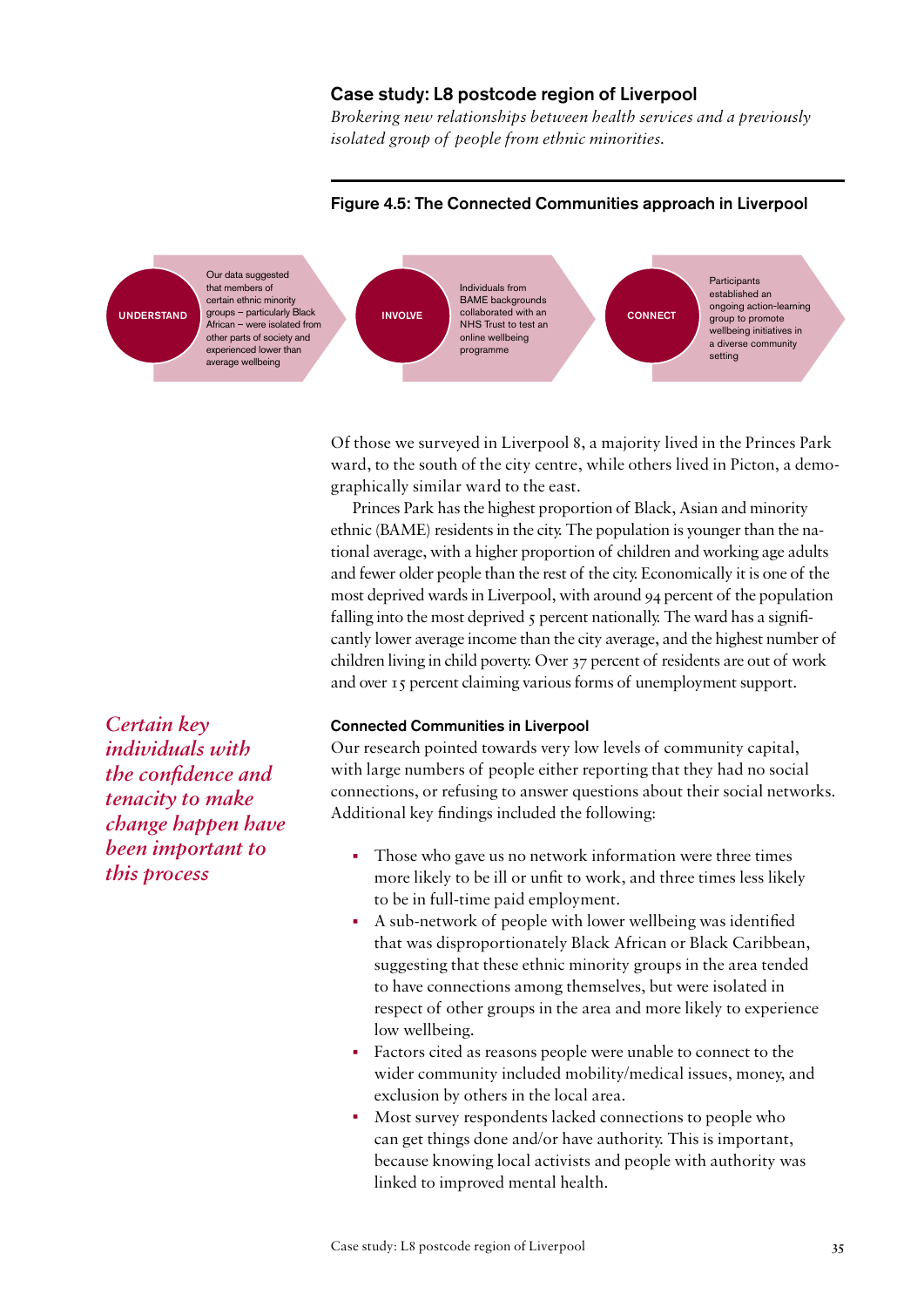# Case study: L8 postcode region of Liverpool

*Brokering new relationships between health services and a previously isolated group of people from ethnic minorities.*

# Figure 4.5: The Connected Communities approach in Liverpool



Of those we surveyed in Liverpool 8, a majority lived in the Princes Park ward, to the south of the city centre, while others lived in Picton, a demographically similar ward to the east.

Princes Park has the highest proportion of Black, Asian and minority ethnic (BAME) residents in the city. The population is younger than the national average, with a higher proportion of children and working age adults and fewer older people than the rest of the city. Economically it is one of the most deprived wards in Liverpool, with around 94 percent of the population falling into the most deprived  $\zeta$  percent nationally. The ward has a significantly lower average income than the city average, and the highest number of children living in child poverty. Over 37 percent of residents are out of work and over 15 percent claiming various forms of unemployment support.

## Connected Communities in Liverpool

Our research pointed towards very low levels of community capital, with large numbers of people either reporting that they had no social connections, or refusing to answer questions about their social networks. Additional key findings included the following:

- Those who gave us no network information were three times more likely to be ill or unfit to work, and three times less likely to be in full-time paid employment.
- A sub-network of people with lower wellbeing was identified that was disproportionately Black African or Black Caribbean, suggesting that these ethnic minority groups in the area tended to have connections among themselves, but were isolated in respect of other groups in the area and more likely to experience low wellbeing.
- Factors cited as reasons people were unable to connect to the wider community included mobility/medical issues, money, and exclusion by others in the local area.
- Most survey respondents lacked connections to people who can get things done and/or have authority. This is important, because knowing local activists and people with authority was linked to improved mental health.

*Certain key individuals with the confidence and tenacity to make change happen have been important to this process*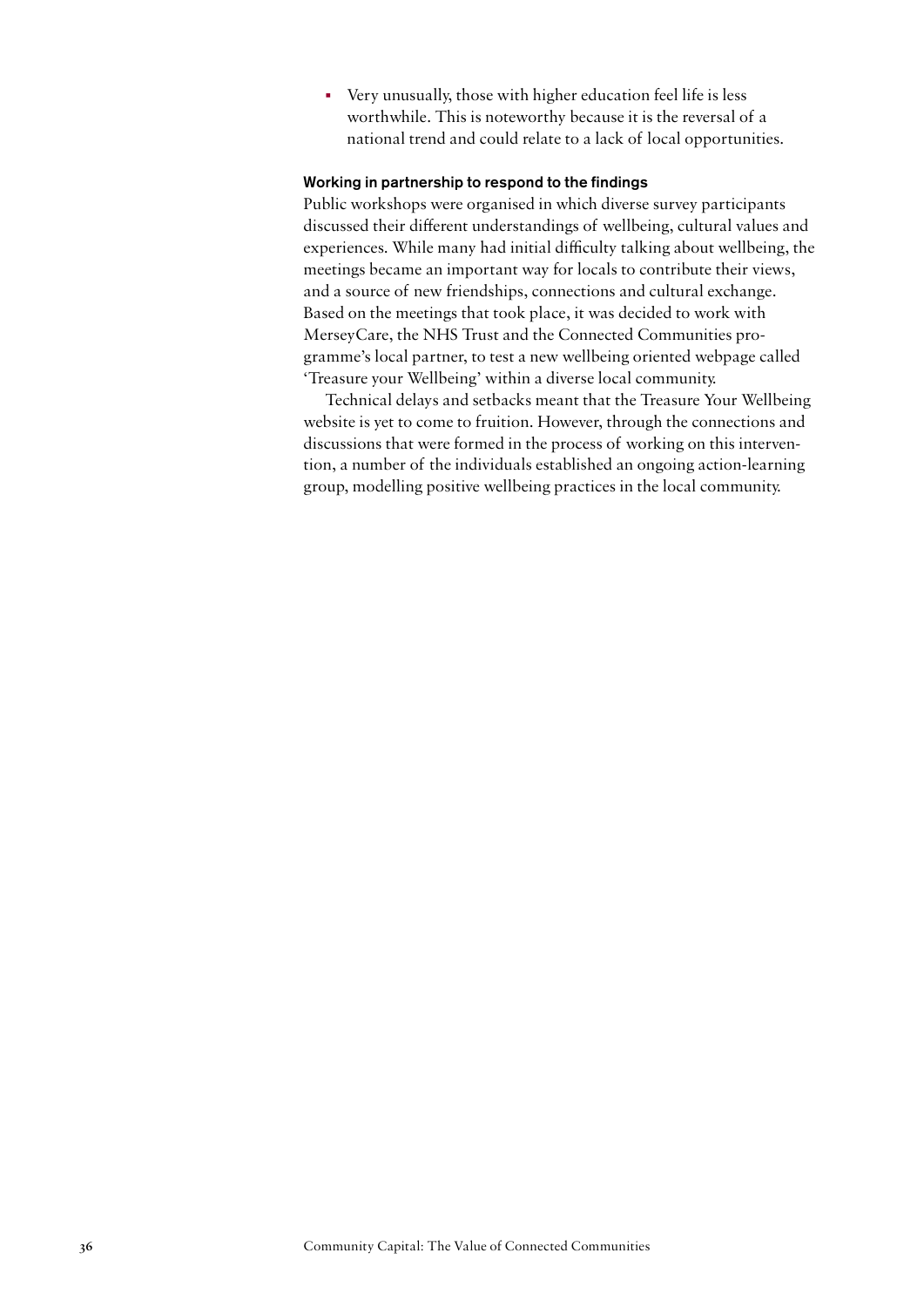• Very unusually, those with higher education feel life is less worthwhile. This is noteworthy because it is the reversal of a national trend and could relate to a lack of local opportunities.

## Working in partnership to respond to the findings

Public workshops were organised in which diverse survey participants discussed their different understandings of wellbeing, cultural values and experiences. While many had initial difficulty talking about wellbeing, the meetings became an important way for locals to contribute their views, and a source of new friendships, connections and cultural exchange. Based on the meetings that took place, it was decided to work with MerseyCare, the NHS Trust and the Connected Communities programme's local partner, to test a new wellbeing oriented webpage called 'Treasure your Wellbeing' within a diverse local community.

Technical delays and setbacks meant that the Treasure Your Wellbeing website is yet to come to fruition. However, through the connections and discussions that were formed in the process of working on this intervention, a number of the individuals established an ongoing action-learning group, modelling positive wellbeing practices in the local community.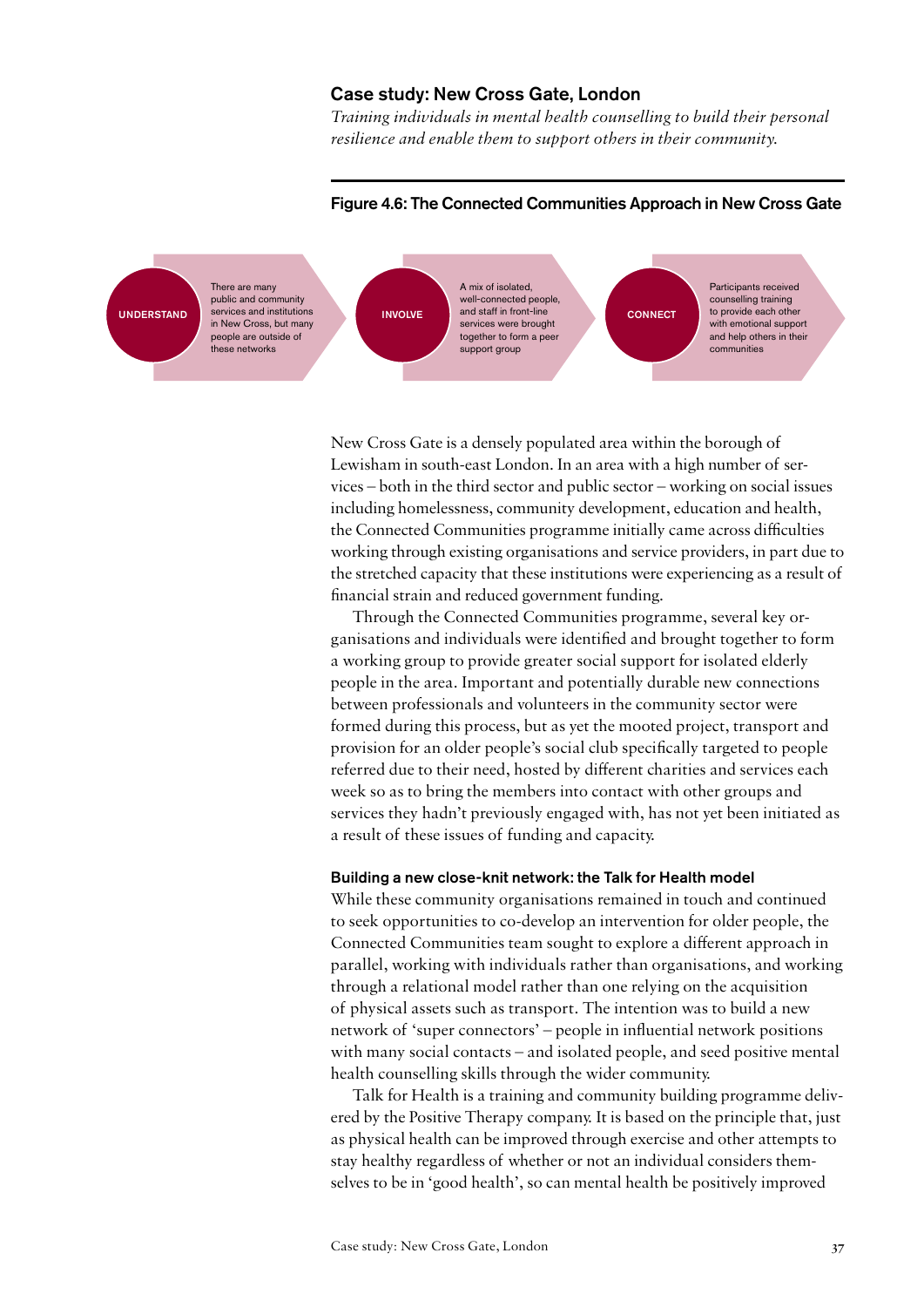# Case study: New Cross Gate, London

*Training individuals in mental health counselling to build their personal resilience and enable them to support others in their community.*

# Figure 4.6: The Connected Communities Approach in New Cross Gate



New Cross Gate is a densely populated area within the borough of Lewisham in south-east London. In an area with a high number of services – both in the third sector and public sector – working on social issues including homelessness, community development, education and health, the Connected Communities programme initially came across difficulties working through existing organisations and service providers, in part due to the stretched capacity that these institutions were experiencing as a result of financial strain and reduced government funding.

Through the Connected Communities programme, several key organisations and individuals were identified and brought together to form a working group to provide greater social support for isolated elderly people in the area. Important and potentially durable new connections between professionals and volunteers in the community sector were formed during this process, but as yet the mooted project, transport and provision for an older people's social club specifically targeted to people referred due to their need, hosted by different charities and services each week so as to bring the members into contact with other groups and services they hadn't previously engaged with, has not yet been initiated as a result of these issues of funding and capacity.

## Building a new close-knit network: the Talk for Health model

While these community organisations remained in touch and continued to seek opportunities to co-develop an intervention for older people, the Connected Communities team sought to explore a different approach in parallel, working with individuals rather than organisations, and working through a relational model rather than one relying on the acquisition of physical assets such as transport. The intention was to build a new network of 'super connectors' – people in influential network positions with many social contacts – and isolated people, and seed positive mental health counselling skills through the wider community.

Talk for Health is a training and community building programme delivered by the Positive Therapy company. It is based on the principle that, just as physical health can be improved through exercise and other attempts to stay healthy regardless of whether or not an individual considers themselves to be in 'good health', so can mental health be positively improved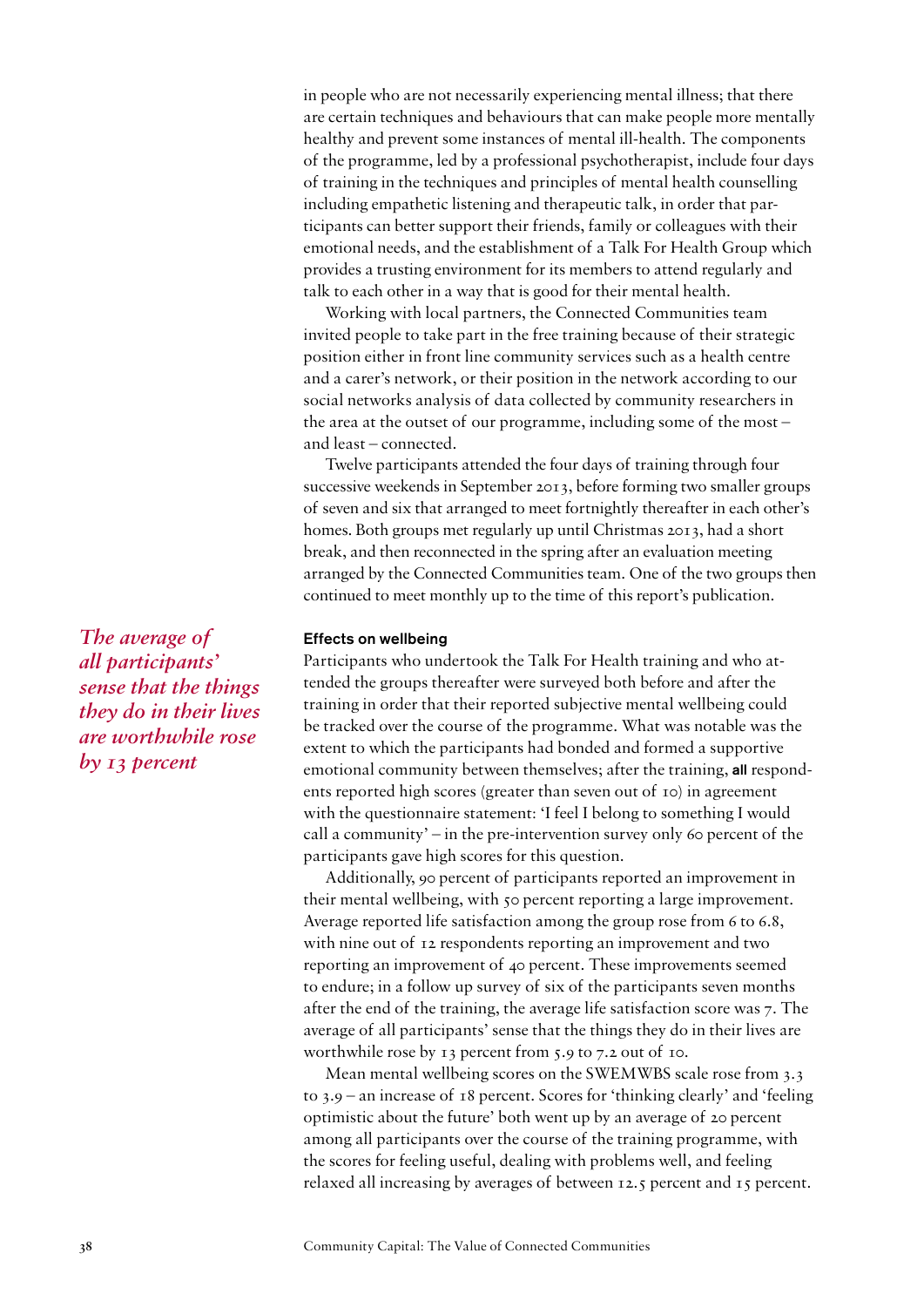in people who are not necessarily experiencing mental illness; that there are certain techniques and behaviours that can make people more mentally healthy and prevent some instances of mental ill-health. The components of the programme, led by a professional psychotherapist, include four days of training in the techniques and principles of mental health counselling including empathetic listening and therapeutic talk, in order that participants can better support their friends, family or colleagues with their emotional needs, and the establishment of a Talk For Health Group which provides a trusting environment for its members to attend regularly and talk to each other in a way that is good for their mental health.

Working with local partners, the Connected Communities team invited people to take part in the free training because of their strategic position either in front line community services such as a health centre and a carer's network, or their position in the network according to our social networks analysis of data collected by community researchers in the area at the outset of our programme, including some of the most – and least – connected.

Twelve participants attended the four days of training through four successive weekends in September 2013, before forming two smaller groups of seven and six that arranged to meet fortnightly thereafter in each other's homes. Both groups met regularly up until Christmas 2013, had a short break, and then reconnected in the spring after an evaluation meeting arranged by the Connected Communities team. One of the two groups then continued to meet monthly up to the time of this report's publication.

## Effects on wellbeing

Participants who undertook the Talk For Health training and who attended the groups thereafter were surveyed both before and after the training in order that their reported subjective mental wellbeing could be tracked over the course of the programme. What was notable was the extent to which the participants had bonded and formed a supportive emotional community between themselves; after the training, all respondents reported high scores (greater than seven out of 10) in agreement with the questionnaire statement: 'I feel I belong to something I would call a community' – in the pre-intervention survey only 60 percent of the participants gave high scores for this question.

Additionally, 90 percent of participants reported an improvement in their mental wellbeing, with 50 percent reporting a large improvement. Average reported life satisfaction among the group rose from 6 to 6.8, with nine out of 12 respondents reporting an improvement and two reporting an improvement of 40 percent. These improvements seemed to endure; in a follow up survey of six of the participants seven months after the end of the training, the average life satisfaction score was 7. The average of all participants' sense that the things they do in their lives are worthwhile rose by 13 percent from 5.9 to 7.2 out of 10.

Mean mental wellbeing scores on the SWEMWBS scale rose from 3.3 to 3.9 – an increase of 18 percent. Scores for 'thinking clearly' and 'feeling optimistic about the future' both went up by an average of 20 percent among all participants over the course of the training programme, with the scores for feeling useful, dealing with problems well, and feeling relaxed all increasing by averages of between 12.5 percent and 15 percent.

*The average of all participants' sense that the things they do in their lives are worthwhile rose by 13 percent*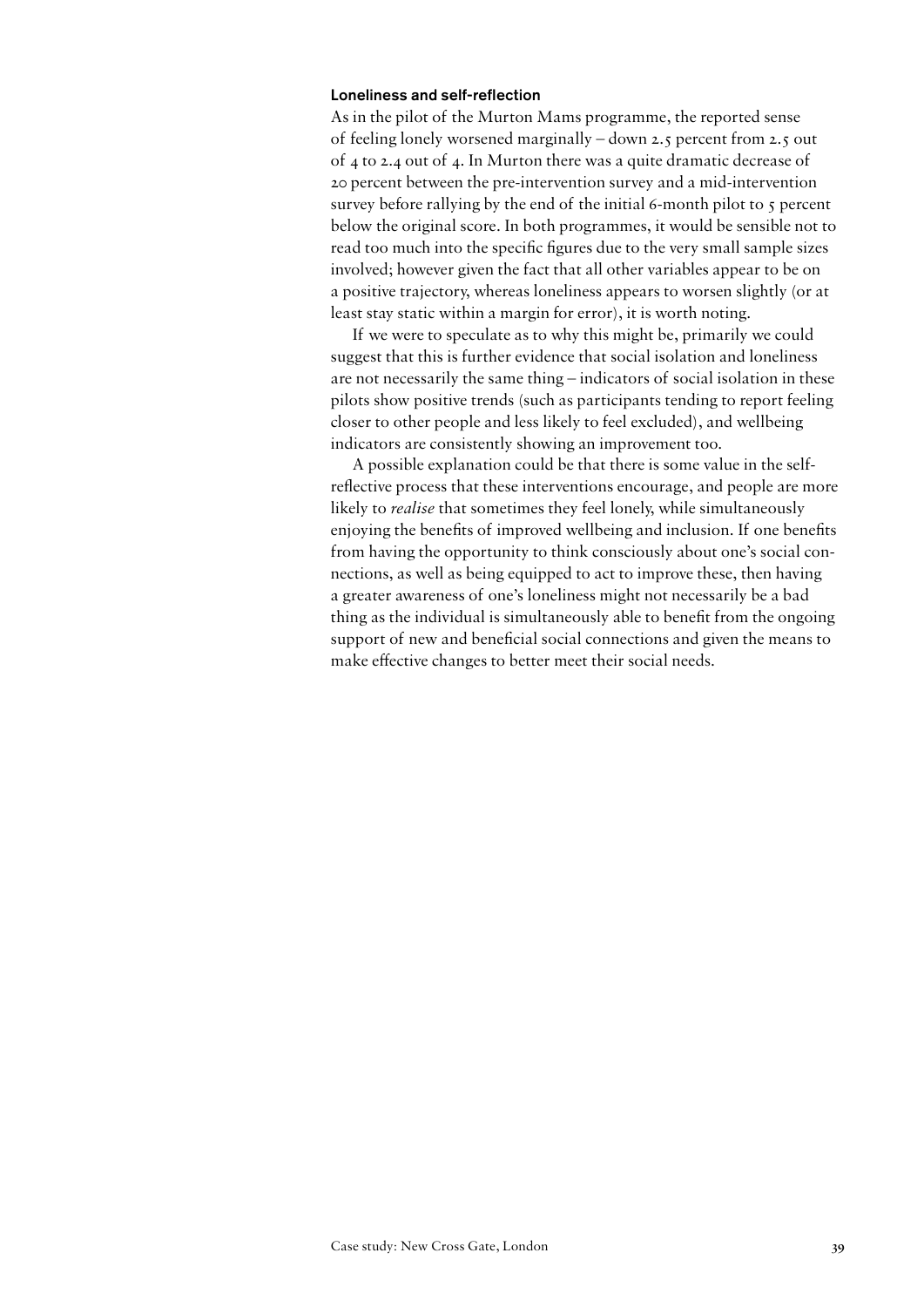## Loneliness and self-reflection

As in the pilot of the Murton Mams programme, the reported sense of feeling lonely worsened marginally – down 2.5 percent from 2.5 out of 4 to 2.4 out of 4. In Murton there was a quite dramatic decrease of 20 percent between the pre-intervention survey and a mid-intervention survey before rallying by the end of the initial 6-month pilot to 5 percent below the original score. In both programmes, it would be sensible not to read too much into the specific figures due to the very small sample sizes involved; however given the fact that all other variables appear to be on a positive trajectory, whereas loneliness appears to worsen slightly (or at least stay static within a margin for error), it is worth noting.

If we were to speculate as to why this might be, primarily we could suggest that this is further evidence that social isolation and loneliness are not necessarily the same thing – indicators of social isolation in these pilots show positive trends (such as participants tending to report feeling closer to other people and less likely to feel excluded), and wellbeing indicators are consistently showing an improvement too.

A possible explanation could be that there is some value in the selfreflective process that these interventions encourage, and people are more likely to *realise* that sometimes they feel lonely, while simultaneously enjoying the benefits of improved wellbeing and inclusion. If one benefits from having the opportunity to think consciously about one's social connections, as well as being equipped to act to improve these, then having a greater awareness of one's loneliness might not necessarily be a bad thing as the individual is simultaneously able to benefit from the ongoing support of new and beneficial social connections and given the means to make effective changes to better meet their social needs.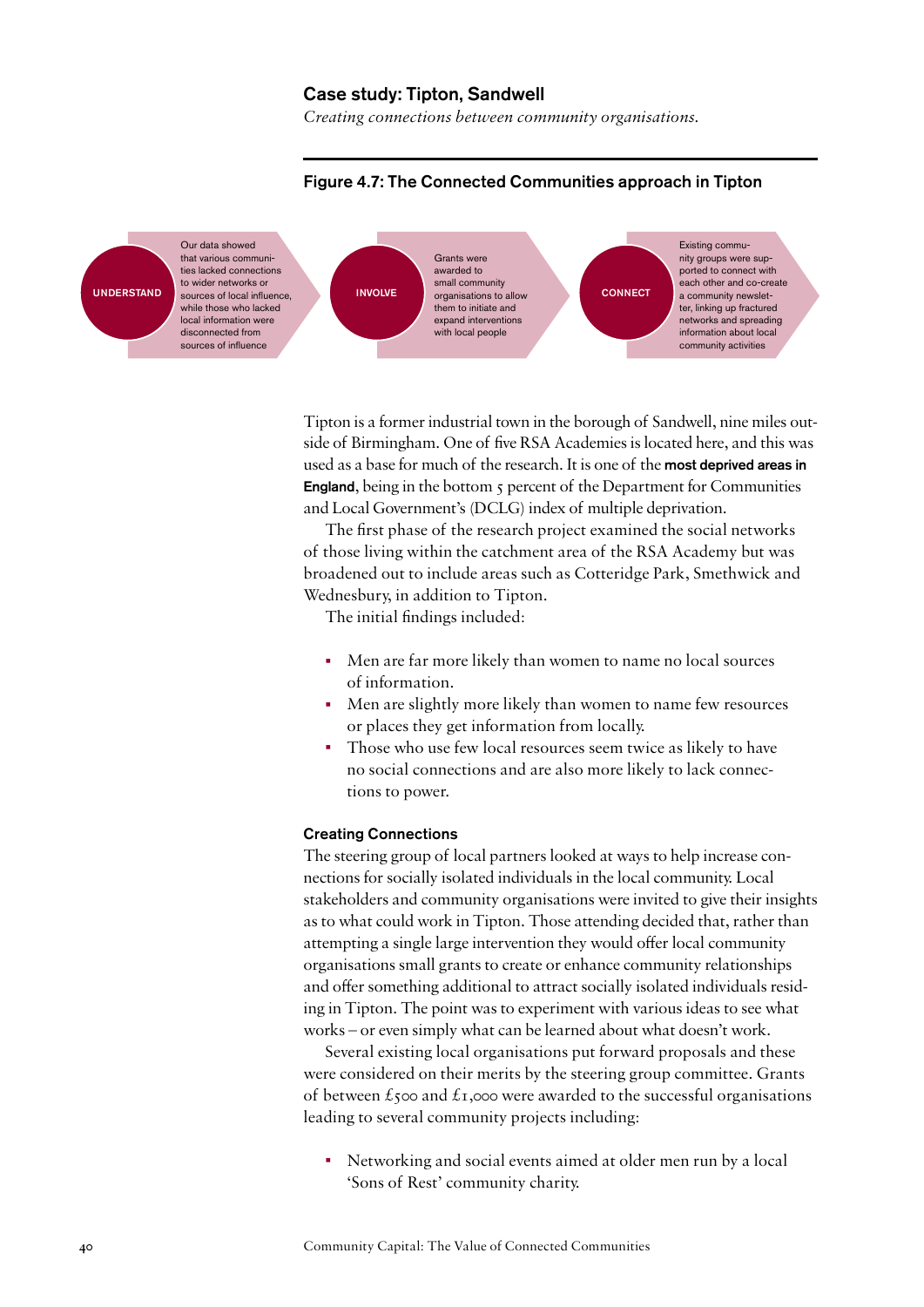## Case study: Tipton, Sandwell

*Creating connections between community organisations.*

## Figure 4.7: The Connected Communities approach in Tipton



Tipton is a former industrial town in the borough of Sandwell, nine miles outside of Birmingham. One of five RSA Academies is located here, and this was used as a base for much of the research. It is one of the most deprived areas in England, being in the bottom 5 percent of the Department for Communities and Local Government's (DCLG) index of multiple deprivation.

The first phase of the research project examined the social networks of those living within the catchment area of the RSA Academy but was broadened out to include areas such as Cotteridge Park, Smethwick and Wednesbury, in addition to Tipton.

The initial findings included:

- Men are far more likely than women to name no local sources of information.
- Men are slightly more likely than women to name few resources or places they get information from locally.
- Those who use few local resources seem twice as likely to have no social connections and are also more likely to lack connections to power.

#### Creating Connections

The steering group of local partners looked at ways to help increase connections for socially isolated individuals in the local community. Local stakeholders and community organisations were invited to give their insights as to what could work in Tipton. Those attending decided that, rather than attempting a single large intervention they would offer local community organisations small grants to create or enhance community relationships and offer something additional to attract socially isolated individuals residing in Tipton. The point was to experiment with various ideas to see what works – or even simply what can be learned about what doesn't work.

Several existing local organisations put forward proposals and these were considered on their merits by the steering group committee. Grants of between  $\hat{\xi}$ 500 and  $\hat{\xi}$ 1,000 were awarded to the successful organisations leading to several community projects including:

• Networking and social events aimed at older men run by a local 'Sons of Rest' community charity.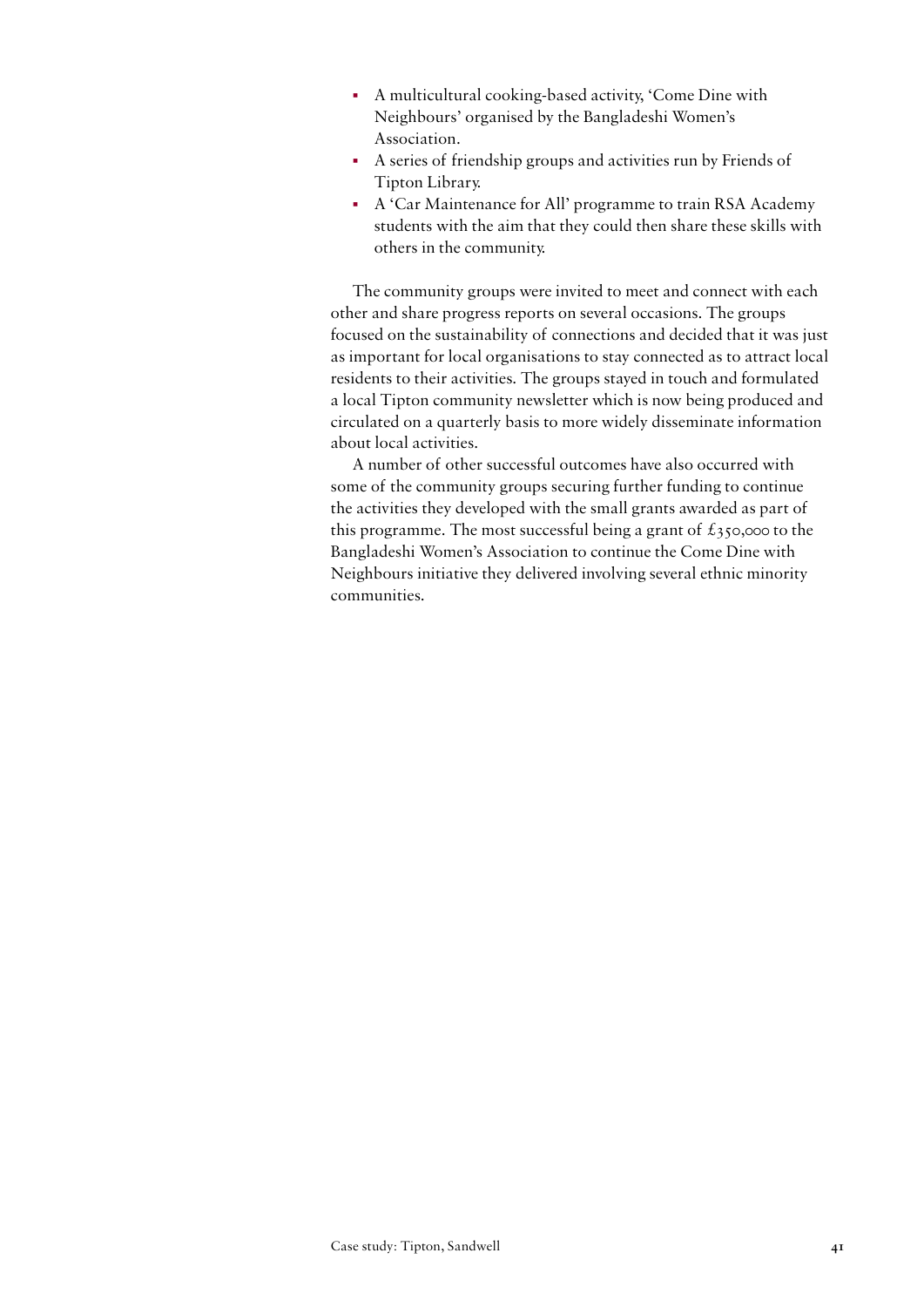- A multicultural cooking-based activity, 'Come Dine with Neighbours' organised by the Bangladeshi Women's Association.
- A series of friendship groups and activities run by Friends of Tipton Library.
- A 'Car Maintenance for All' programme to train RSA Academy students with the aim that they could then share these skills with others in the community.

The community groups were invited to meet and connect with each other and share progress reports on several occasions. The groups focused on the sustainability of connections and decided that it was just as important for local organisations to stay connected as to attract local residents to their activities. The groups stayed in touch and formulated a local Tipton community newsletter which is now being produced and circulated on a quarterly basis to more widely disseminate information about local activities.

A number of other successful outcomes have also occurred with some of the community groups securing further funding to continue the activities they developed with the small grants awarded as part of this programme. The most successful being a grant of  $\mathcal{L}_3$ 50,000 to the Bangladeshi Women's Association to continue the Come Dine with Neighbours initiative they delivered involving several ethnic minority communities.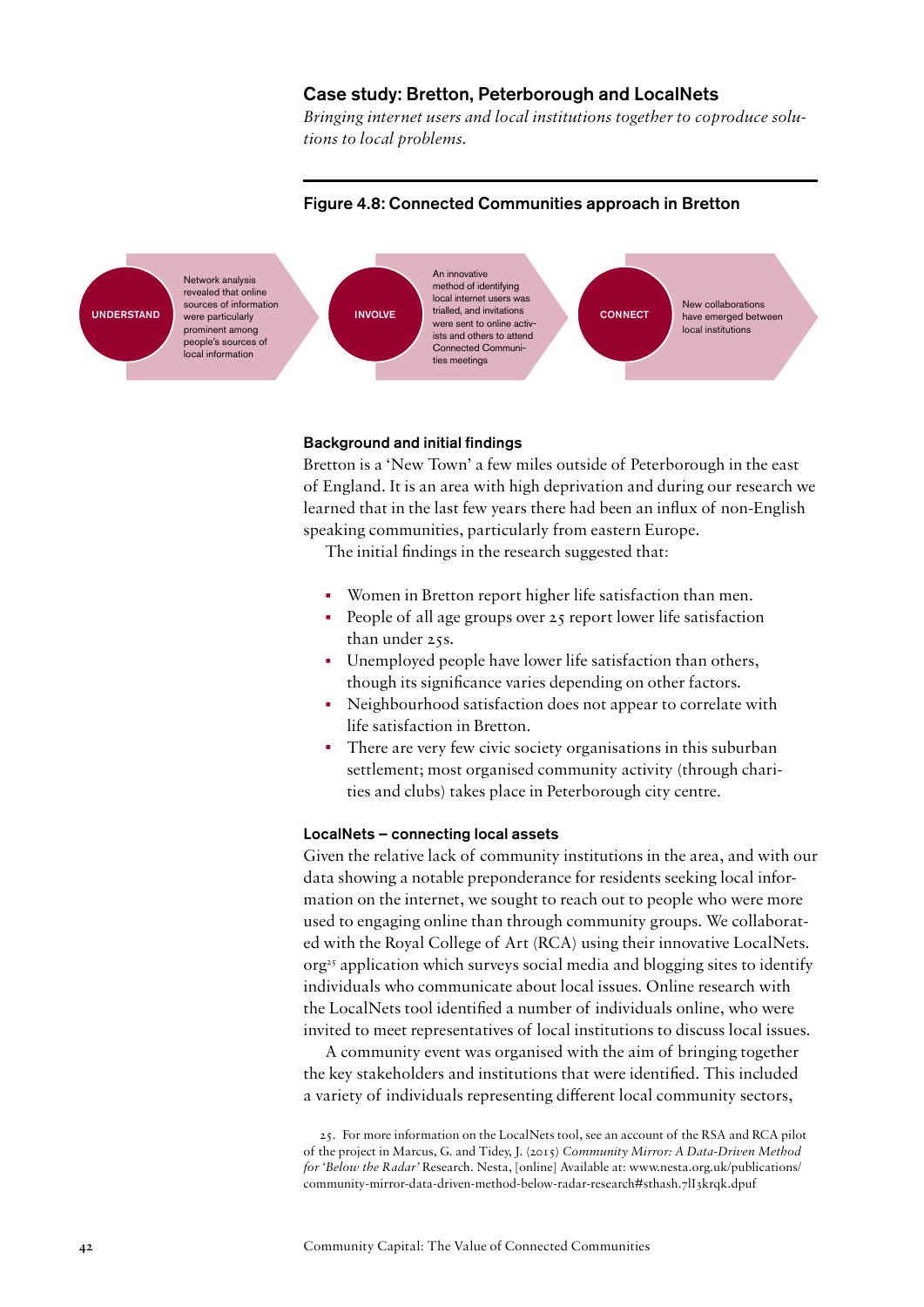# Case study: Bretton, Peterborough and LocalNets

*Bringing internet users and local institutions together to coproduce solutions to local problems.* 

## Figure 4.8: Connected Communities approach in Bretton



#### Background and initial findings

Bretton is a 'New Town' a few miles outside of Peterborough in the east of England. It is an area with high deprivation and during our research we learned that in the last few years there had been an influx of non-English speaking communities, particularly from eastern Europe.

The initial findings in the research suggested that:

- Women in Bretton report higher life satisfaction than men.
- People of all age groups over 25 report lower life satisfaction than under 25s.
- Unemployed people have lower life satisfaction than others, though its significance varies depending on other factors.
- Neighbourhood satisfaction does not appear to correlate with life satisfaction in Bretton.
- There are very few civic society organisations in this suburban settlement; most organised community activity (through charities and clubs) takes place in Peterborough city centre.

#### LocalNets – connecting local assets

Given the relative lack of community institutions in the area, and with our data showing a notable preponderance for residents seeking local information on the internet, we sought to reach out to people who were more used to engaging online than through community groups. We collaborated with the Royal College of Art (RCA) using their innovative LocalNets. org25 application which surveys social media and blogging sites to identify individuals who communicate about local issues. Online research with the LocalNets tool identified a number of individuals online, who were invited to meet representatives of local institutions to discuss local issues.

A community event was organised with the aim of bringing together the key stakeholders and institutions that were identified. This included a variety of individuals representing different local community sectors,

<sup>25.</sup> For more information on the LocalNets tool, see an account of the RSA and RCA pilot of the project in Marcus, G. and Tidey, J. (2015) *Community Mirror: A Data-Driven Method for 'Below the Radar'* Research. Nesta, [online] Available at: www.nesta.org.uk/publications/ community-mirror-data-driven-method-below-radar-research#sthash.7lI3krqk.dpuf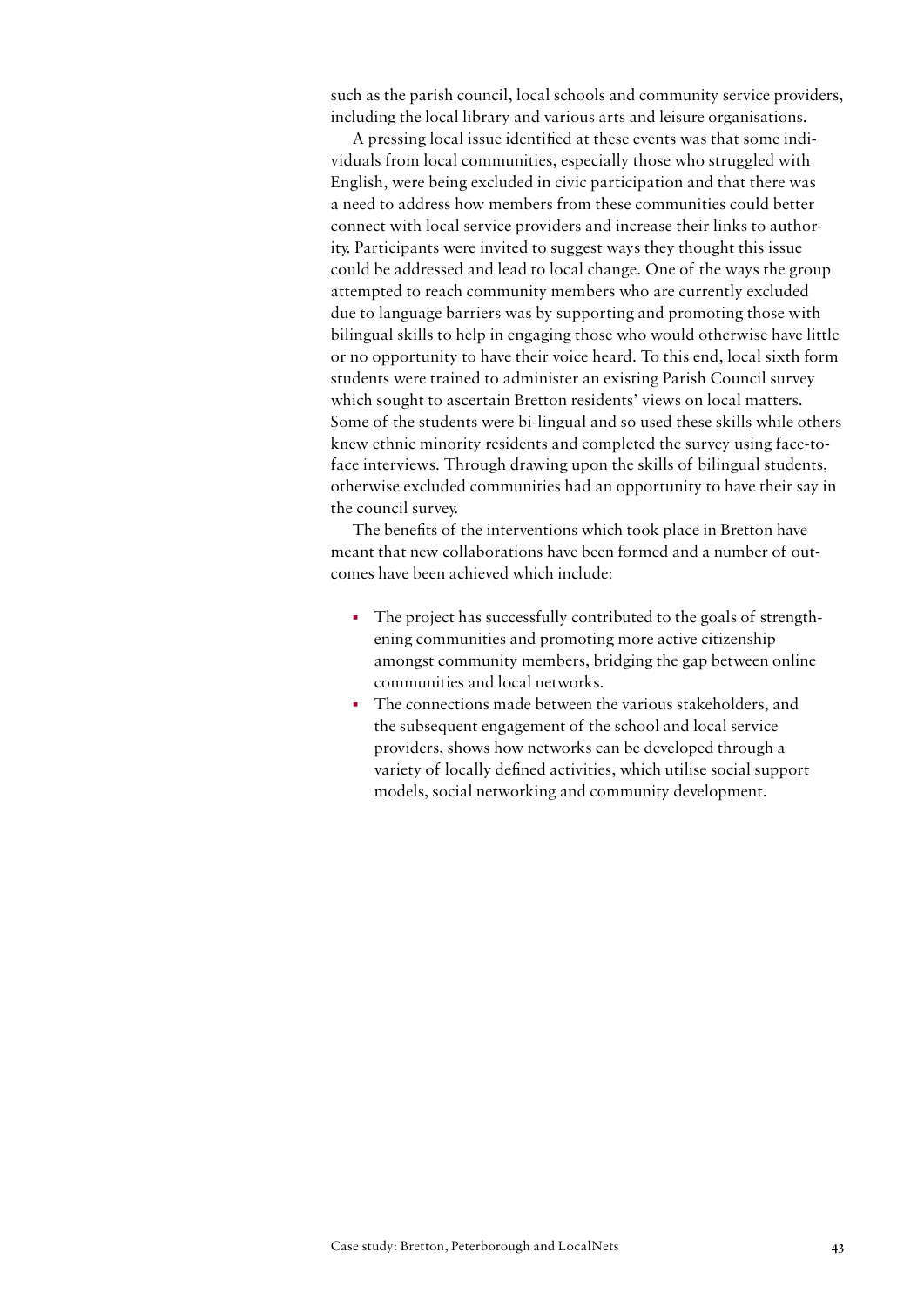such as the parish council, local schools and community service providers, including the local library and various arts and leisure organisations.

A pressing local issue identified at these events was that some individuals from local communities, especially those who struggled with English, were being excluded in civic participation and that there was a need to address how members from these communities could better connect with local service providers and increase their links to authority. Participants were invited to suggest ways they thought this issue could be addressed and lead to local change. One of the ways the group attempted to reach community members who are currently excluded due to language barriers was by supporting and promoting those with bilingual skills to help in engaging those who would otherwise have little or no opportunity to have their voice heard. To this end, local sixth form students were trained to administer an existing Parish Council survey which sought to ascertain Bretton residents' views on local matters. Some of the students were bi-lingual and so used these skills while others knew ethnic minority residents and completed the survey using face-toface interviews. Through drawing upon the skills of bilingual students, otherwise excluded communities had an opportunity to have their say in the council survey.

The benefits of the interventions which took place in Bretton have meant that new collaborations have been formed and a number of outcomes have been achieved which include:

- The project has successfully contributed to the goals of strengthening communities and promoting more active citizenship amongst community members, bridging the gap between online communities and local networks.
- The connections made between the various stakeholders, and the subsequent engagement of the school and local service providers, shows how networks can be developed through a variety of locally defined activities, which utilise social support models, social networking and community development.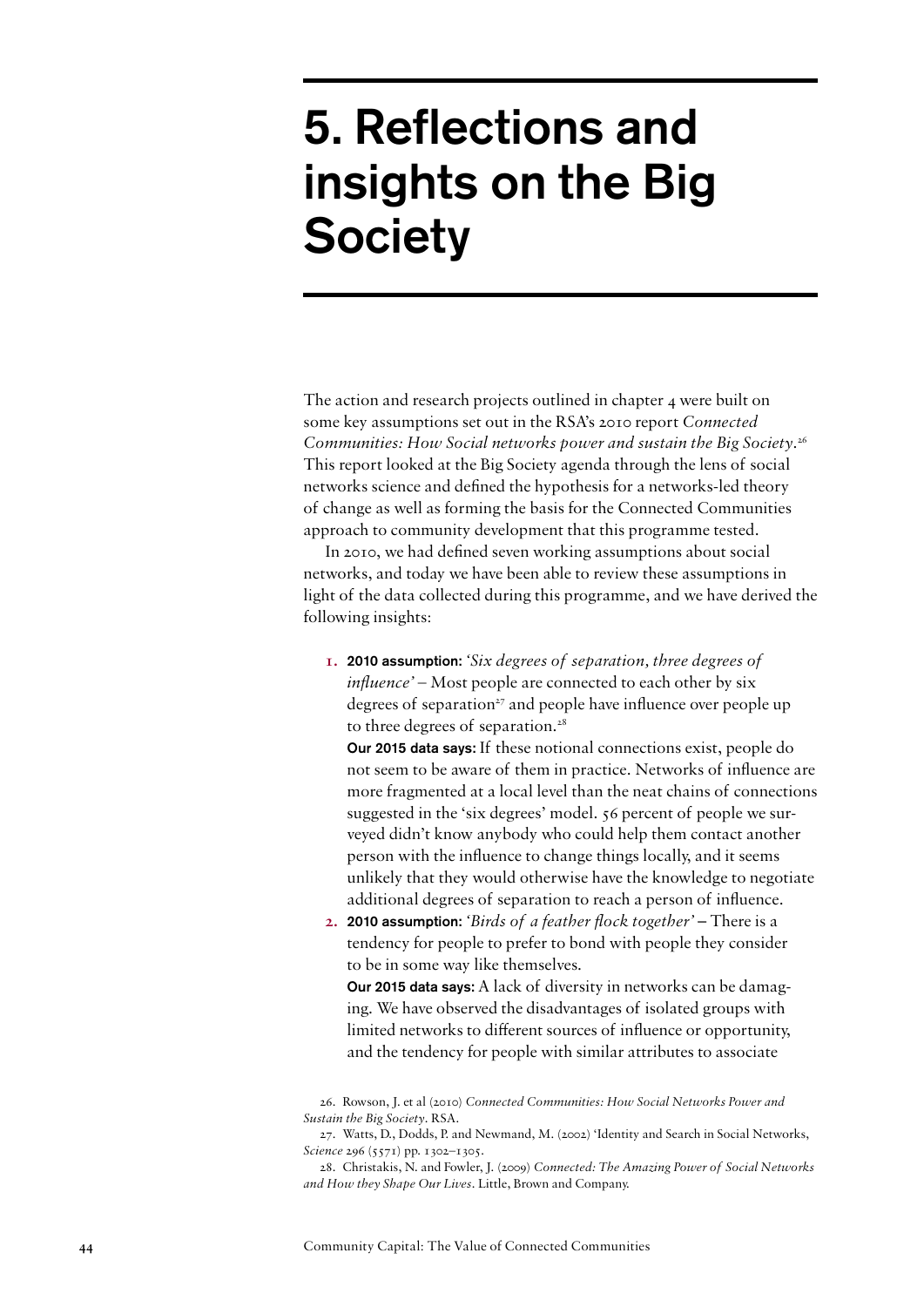# 5. Reflections and insights on the Big **Society**

The action and research projects outlined in chapter 4 were built on some key assumptions set out in the RSA's 2010 report *Connected Communities: How Social networks power and sustain the Big Society*. 26 This report looked at the Big Society agenda through the lens of social networks science and defined the hypothesis for a networks-led theory of change as well as forming the basis for the Connected Communities approach to community development that this programme tested.

In 2010, we had defined seven working assumptions about social networks, and today we have been able to review these assumptions in light of the data collected during this programme, and we have derived the following insights:

**1.** 2010 assumption: *'Six degrees of separation, three degrees of influence'* – Most people are connected to each other by six degrees of separation<sup>27</sup> and people have influence over people up to three degrees of separation.<sup>28</sup>

Our 2015 data says: If these notional connections exist, people do not seem to be aware of them in practice. Networks of influence are more fragmented at a local level than the neat chains of connections suggested in the 'six degrees' model. 56 percent of people we surveyed didn't know anybody who could help them contact another person with the influence to change things locally, and it seems unlikely that they would otherwise have the knowledge to negotiate additional degrees of separation to reach a person of influence.

**2.** 2010 assumption: *'Birds of a feather flock together'* **–** There is a tendency for people to prefer to bond with people they consider to be in some way like themselves.

Our 2015 data says: A lack of diversity in networks can be damaging. We have observed the disadvantages of isolated groups with limited networks to different sources of influence or opportunity, and the tendency for people with similar attributes to associate

<sup>26.</sup> Rowson, J. et al (2010) *Connected Communities: How Social Networks Power and Sustain the Big Society*. RSA.

<sup>27.</sup> Watts, D., Dodds, P. and Newmand, M. (2002) 'Identity and Search in Social Networks, *Science* 296 (5571) pp. 1302–1305.

<sup>28.</sup> Christakis, N. and Fowler, J. (2009) *Connected: The Amazing Power of Social Networks and How they Shape Our Lives*. Little, Brown and Company.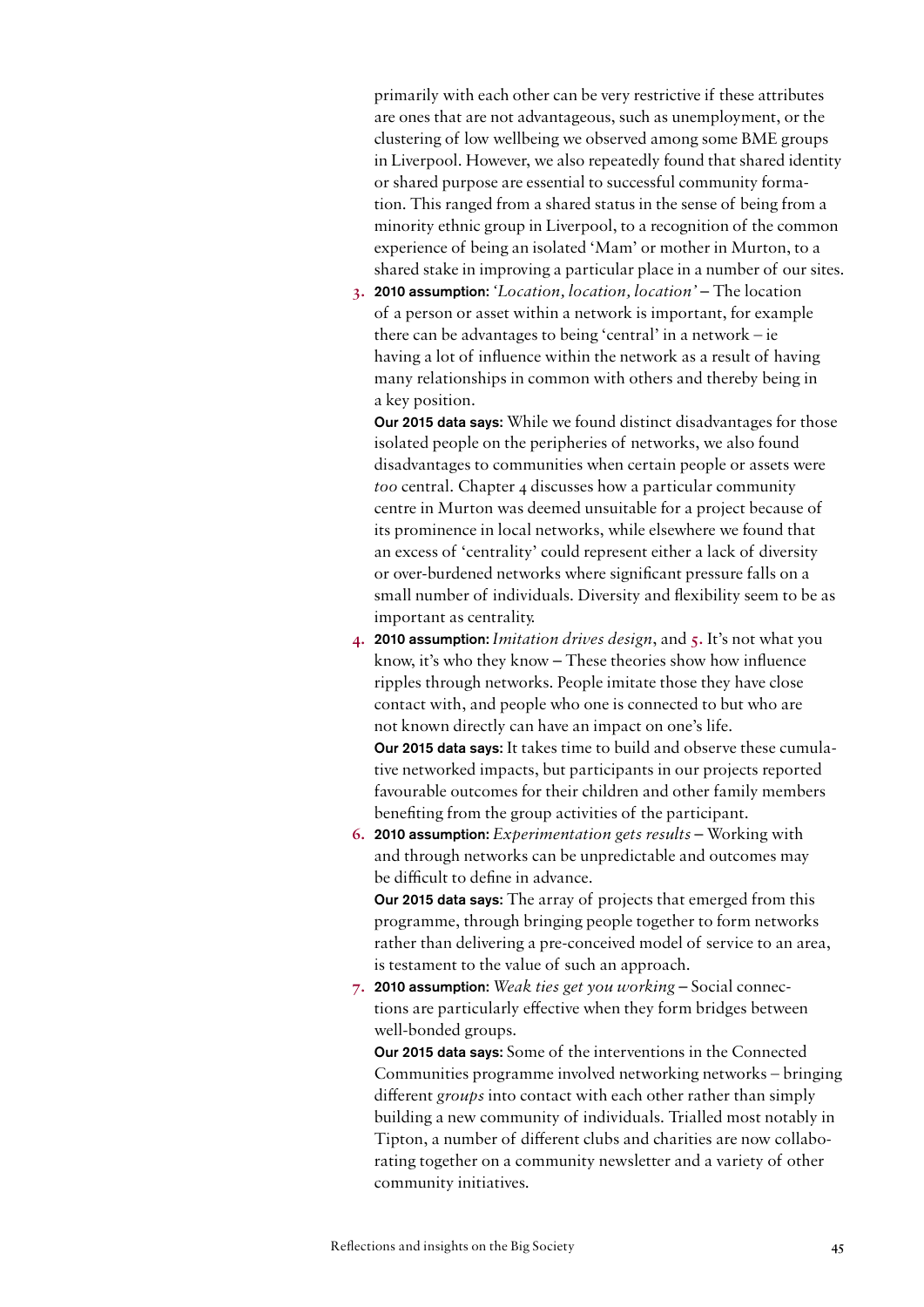primarily with each other can be very restrictive if these attributes are ones that are not advantageous, such as unemployment, or the clustering of low wellbeing we observed among some BME groups in Liverpool. However, we also repeatedly found that shared identity or shared purpose are essential to successful community formation. This ranged from a shared status in the sense of being from a minority ethnic group in Liverpool, to a recognition of the common experience of being an isolated 'Mam' or mother in Murton, to a shared stake in improving a particular place in a number of our sites.

**3.** 2010 assumption: *'Location, location, location'* **–** The location of a person or asset within a network is important, for example there can be advantages to being 'central' in a network – ie having a lot of influence within the network as a result of having many relationships in common with others and thereby being in a key position.

Our 2015 data says: While we found distinct disadvantages for those isolated people on the peripheries of networks, we also found disadvantages to communities when certain people or assets were *too* central. Chapter 4 discusses how a particular community centre in Murton was deemed unsuitable for a project because of its prominence in local networks, while elsewhere we found that an excess of 'centrality' could represent either a lack of diversity or over-burdened networks where significant pressure falls on a small number of individuals. Diversity and flexibility seem to be as important as centrality.

- **4.** 2010 assumption: *Imitation drives design*, and **5.** It's not what you know, it's who they know **–** These theories show how influence ripples through networks. People imitate those they have close contact with, and people who one is connected to but who are not known directly can have an impact on one's life. Our 2015 data says: It takes time to build and observe these cumulative networked impacts, but participants in our projects reported favourable outcomes for their children and other family members benefiting from the group activities of the participant.
- **6.** 2010 assumption: *Experimentation gets results* **–** Working with and through networks can be unpredictable and outcomes may be difficult to define in advance.

Our 2015 data says: The array of projects that emerged from this programme, through bringing people together to form networks rather than delivering a pre-conceived model of service to an area, is testament to the value of such an approach.

**7.** 2010 assumption: *Weak ties get you working* **–** Social connections are particularly effective when they form bridges between well-bonded groups.

Our 2015 data says: Some of the interventions in the Connected Communities programme involved networking networks – bringing different *groups* into contact with each other rather than simply building a new community of individuals. Trialled most notably in Tipton, a number of different clubs and charities are now collaborating together on a community newsletter and a variety of other community initiatives.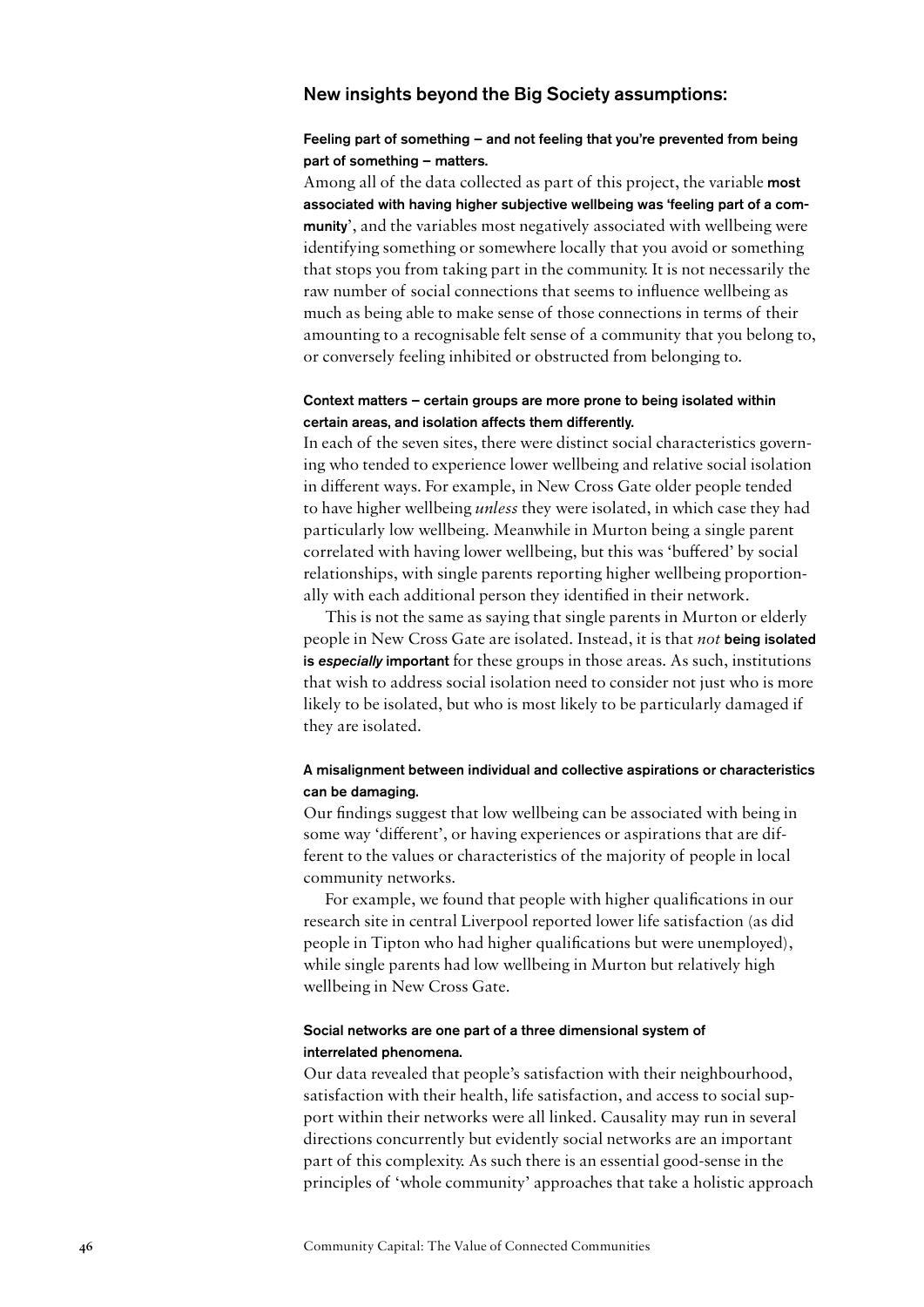# New insights beyond the Big Society assumptions:

# Feeling part of something – and not feeling that you're prevented from being part of something – matters.

Among all of the data collected as part of this project, the variable most associated with having higher subjective wellbeing was 'feeling part of a community', and the variables most negatively associated with wellbeing were identifying something or somewhere locally that you avoid or something that stops you from taking part in the community. It is not necessarily the raw number of social connections that seems to influence wellbeing as much as being able to make sense of those connections in terms of their amounting to a recognisable felt sense of a community that you belong to, or conversely feeling inhibited or obstructed from belonging to.

# Context matters – certain groups are more prone to being isolated within certain areas, and isolation affects them differently.

In each of the seven sites, there were distinct social characteristics governing who tended to experience lower wellbeing and relative social isolation in different ways. For example, in New Cross Gate older people tended to have higher wellbeing *unless* they were isolated, in which case they had particularly low wellbeing. Meanwhile in Murton being a single parent correlated with having lower wellbeing, but this was 'buffered' by social relationships, with single parents reporting higher wellbeing proportionally with each additional person they identified in their network.

This is not the same as saying that single parents in Murton or elderly people in New Cross Gate are isolated. Instead, it is that *not* being isolated is *especially* important for these groups in those areas. As such, institutions that wish to address social isolation need to consider not just who is more likely to be isolated, but who is most likely to be particularly damaged if they are isolated.

# A misalignment between individual and collective aspirations or characteristics can be damaging.

Our findings suggest that low wellbeing can be associated with being in some way 'different', or having experiences or aspirations that are different to the values or characteristics of the majority of people in local community networks.

For example, we found that people with higher qualifications in our research site in central Liverpool reported lower life satisfaction (as did people in Tipton who had higher qualifications but were unemployed), while single parents had low wellbeing in Murton but relatively high wellbeing in New Cross Gate.

# Social networks are one part of a three dimensional system of interrelated phenomena.

Our data revealed that people's satisfaction with their neighbourhood, satisfaction with their health, life satisfaction, and access to social support within their networks were all linked. Causality may run in several directions concurrently but evidently social networks are an important part of this complexity. As such there is an essential good-sense in the principles of 'whole community' approaches that take a holistic approach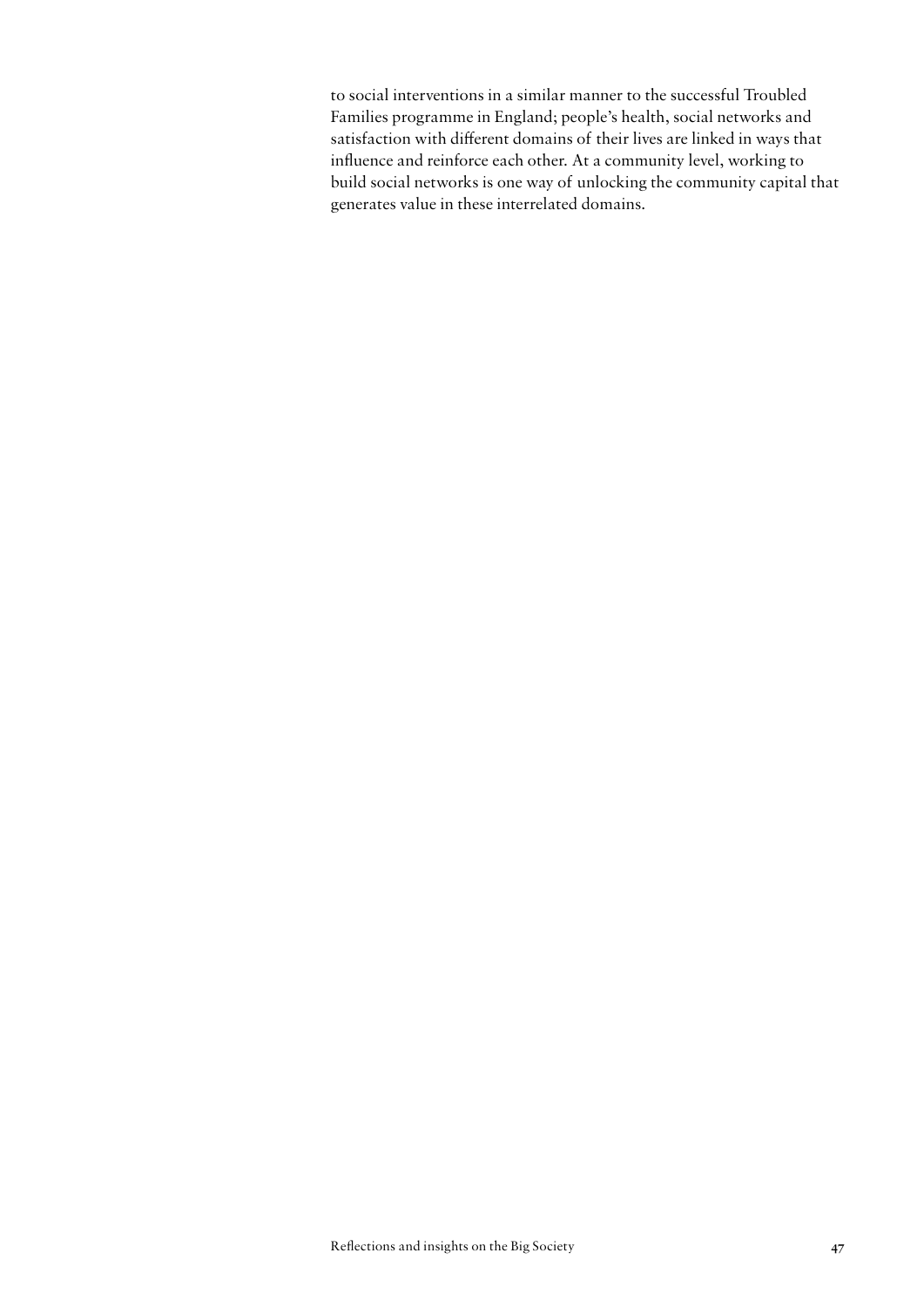to social interventions in a similar manner to the successful Troubled Families programme in England; people's health, social networks and satisfaction with different domains of their lives are linked in ways that influence and reinforce each other. At a community level, working to build social networks is one way of unlocking the community capital that generates value in these interrelated domains.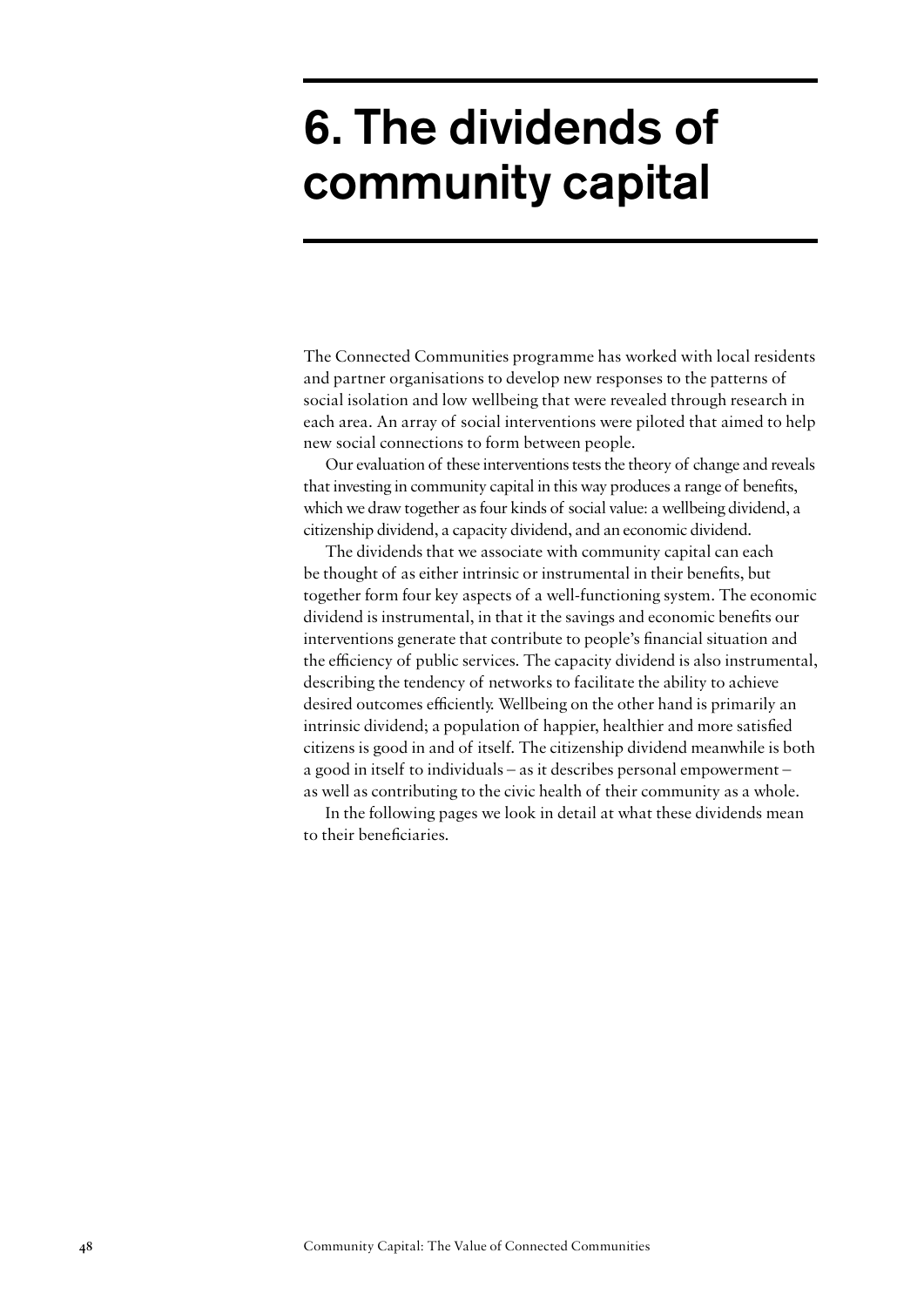# 6. The dividends of community capital

The Connected Communities programme has worked with local residents and partner organisations to develop new responses to the patterns of social isolation and low wellbeing that were revealed through research in each area. An array of social interventions were piloted that aimed to help new social connections to form between people.

Our evaluation of these interventions tests the theory of change and reveals that investing in community capital in this way produces a range of benefits, which we draw together as four kinds of social value: a wellbeing dividend, a citizenship dividend, a capacity dividend, and an economic dividend.

The dividends that we associate with community capital can each be thought of as either intrinsic or instrumental in their benefits, but together form four key aspects of a well-functioning system. The economic dividend is instrumental, in that it the savings and economic benefits our interventions generate that contribute to people's financial situation and the efficiency of public services. The capacity dividend is also instrumental, describing the tendency of networks to facilitate the ability to achieve desired outcomes efficiently. Wellbeing on the other hand is primarily an intrinsic dividend; a population of happier, healthier and more satisfied citizens is good in and of itself. The citizenship dividend meanwhile is both a good in itself to individuals – as it describes personal empowerment – as well as contributing to the civic health of their community as a whole.

In the following pages we look in detail at what these dividends mean to their beneficiaries.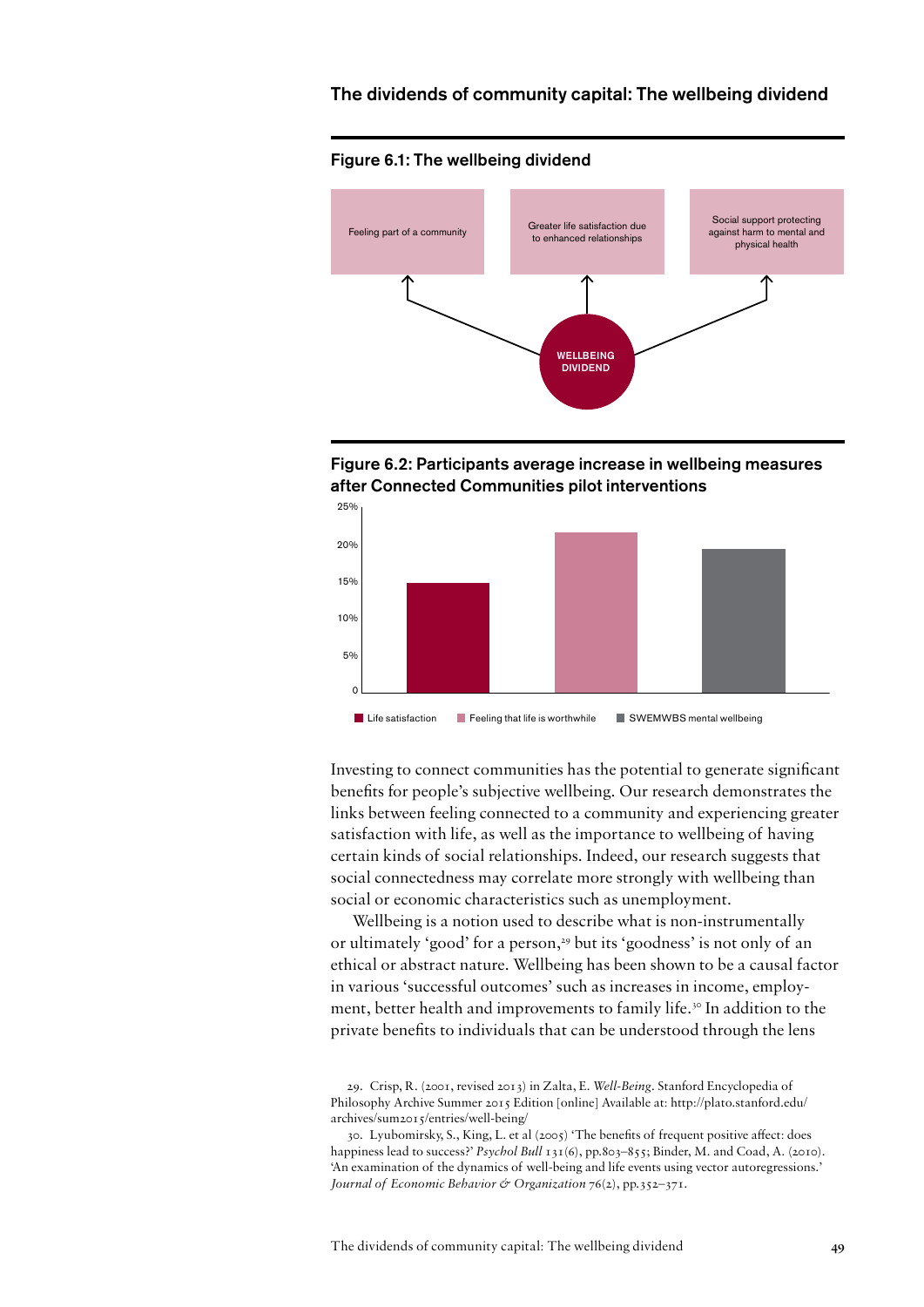## The dividends of community capital: The wellbeing dividend

# Figure 6.1: The wellbeing dividend







Investing to connect communities has the potential to generate significant benefits for people's subjective wellbeing. Our research demonstrates the links between feeling connected to a community and experiencing greater satisfaction with life, as well as the importance to wellbeing of having certain kinds of social relationships. Indeed, our research suggests that social connectedness may correlate more strongly with wellbeing than social or economic characteristics such as unemployment.

Wellbeing is a notion used to describe what is non-instrumentally or ultimately 'good' for a person,<sup>29</sup> but its 'goodness' is not only of an ethical or abstract nature. Wellbeing has been shown to be a causal factor in various 'successful outcomes' such as increases in income, employment, better health and improvements to family life.<sup>30</sup> In addition to the private benefits to individuals that can be understood through the lens

29. Crisp, R. (2001, revised 2013) in Zalta, E. *Well-Being*. Stanford Encyclopedia of Philosophy Archive Summer 2015 Edition [online] Available at: http://plato.stanford.edu/ archives/sum2015/entries/well-being/

30. Lyubomirsky, S., King, L. et al (2005) 'The benefits of frequent positive affect: does happiness lead to success?' *Psychol Bull* 131(6), pp.803-855; Binder, M. and Coad, A. (2010). 'An examination of the dynamics of well-being and life events using vector autoregressions.' *Journal of Economic Behavior & Organization* 76(2), pp.352–371.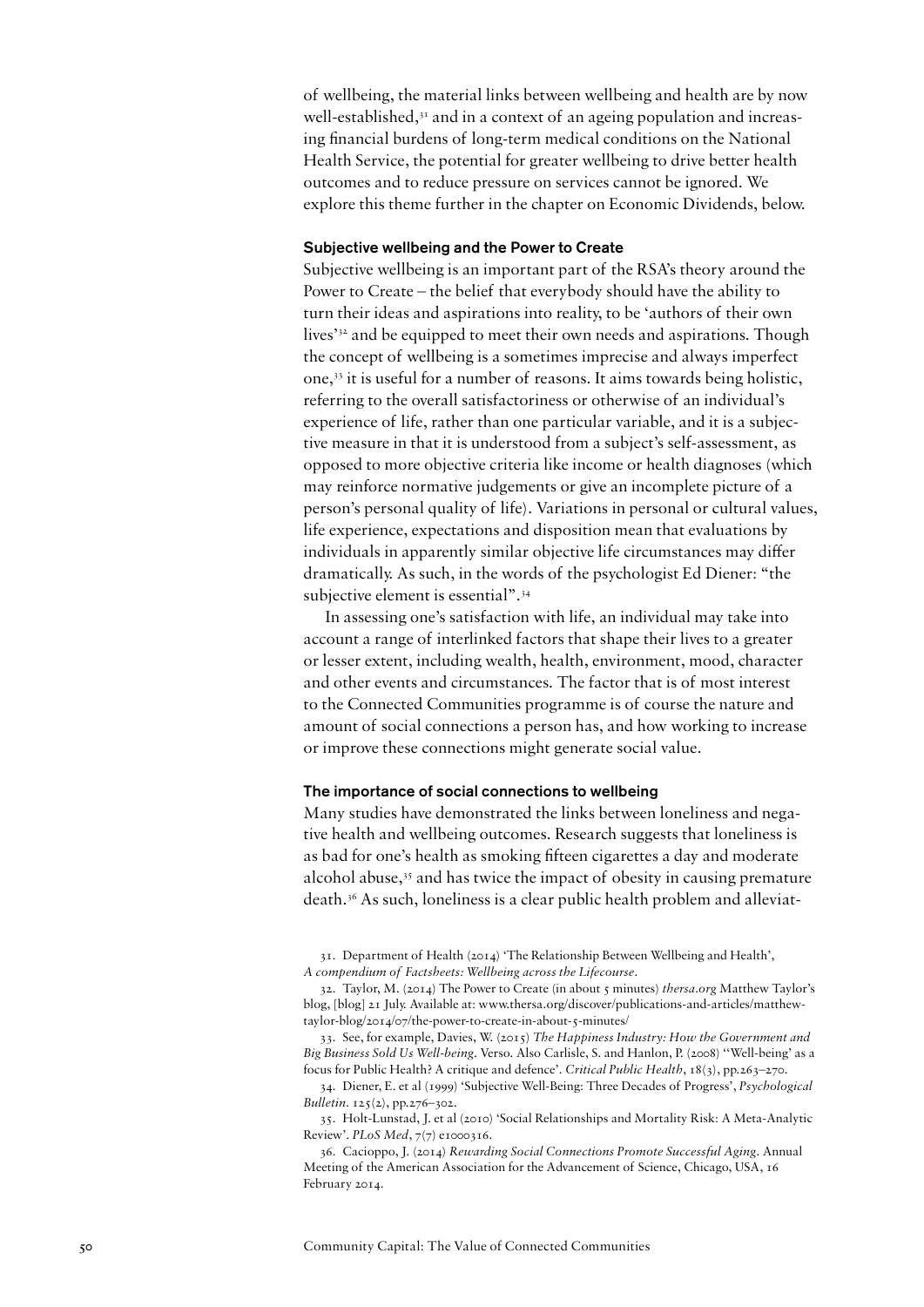of wellbeing, the material links between wellbeing and health are by now well-established, $3<sup>1</sup>$  and in a context of an ageing population and increasing financial burdens of long-term medical conditions on the National Health Service, the potential for greater wellbeing to drive better health outcomes and to reduce pressure on services cannot be ignored. We explore this theme further in the chapter on Economic Dividends, below.

## Subjective wellbeing and the Power to Create

Subjective wellbeing is an important part of the RSA's theory around the Power to Create – the belief that everybody should have the ability to turn their ideas and aspirations into reality, to be 'authors of their own lives'<sup>32</sup> and be equipped to meet their own needs and aspirations. Though the concept of wellbeing is a sometimes imprecise and always imperfect one,33 it is useful for a number of reasons. It aims towards being holistic, referring to the overall satisfactoriness or otherwise of an individual's experience of life, rather than one particular variable, and it is a subjective measure in that it is understood from a subject's self-assessment, as opposed to more objective criteria like income or health diagnoses (which may reinforce normative judgements or give an incomplete picture of a person's personal quality of life). Variations in personal or cultural values, life experience, expectations and disposition mean that evaluations by individuals in apparently similar objective life circumstances may differ dramatically. As such, in the words of the psychologist Ed Diener: "the subjective element is essential".<sup>34</sup>

In assessing one's satisfaction with life, an individual may take into account a range of interlinked factors that shape their lives to a greater or lesser extent, including wealth, health, environment, mood, character and other events and circumstances. The factor that is of most interest to the Connected Communities programme is of course the nature and amount of social connections a person has, and how working to increase or improve these connections might generate social value.

## The importance of social connections to wellbeing

Many studies have demonstrated the links between loneliness and negative health and wellbeing outcomes. Research suggests that loneliness is as bad for one's health as smoking fifteen cigarettes a day and moderate alcohol abuse,<sup>35</sup> and has twice the impact of obesity in causing premature death.36 As such, loneliness is a clear public health problem and alleviat-

31. Department of Health (2014) 'The Relationship Between Wellbeing and Health', *A compendium of Factsheets: Wellbeing across the Lifecourse*.

34. Diener, E. et al (1999) 'Subjective Well-Being: Three Decades of Progress', *Psychological Bulletin*. 125(2), pp.276–302.

35. Holt-Lunstad, J. et al (2010) 'Social Relationships and Mortality Risk: A Meta-Analytic Review'. *PLoS Med*,  $7(7)$  e1000316.

36. Cacioppo, J. (2014) *Rewarding Social Connections Promote Successful Aging*. Annual Meeting of the American Association for the Advancement of Science, Chicago, USA, 16 February 2014.

<sup>32.</sup> Taylor, M. (2014) The Power to Create (in about 5 minutes) *thersa.org* Matthew Taylor's blog, [blog] 21 July. Available at: www.thersa.org/discover/publications-and-articles/matthewtaylor-blog/2014/07/the-power-to-create-in-about-5-minutes/

<sup>33.</sup> See, for example, Davies, W. (2015) *The Happiness Industry: How the Government and Big Business Sold Us Well-being*. Verso. Also Carlisle, S. and Hanlon, P. (2008) ''Well-being' as a focus for Public Health? A critique and defence'. *Critical Public Health*, 18(3), pp.263–270.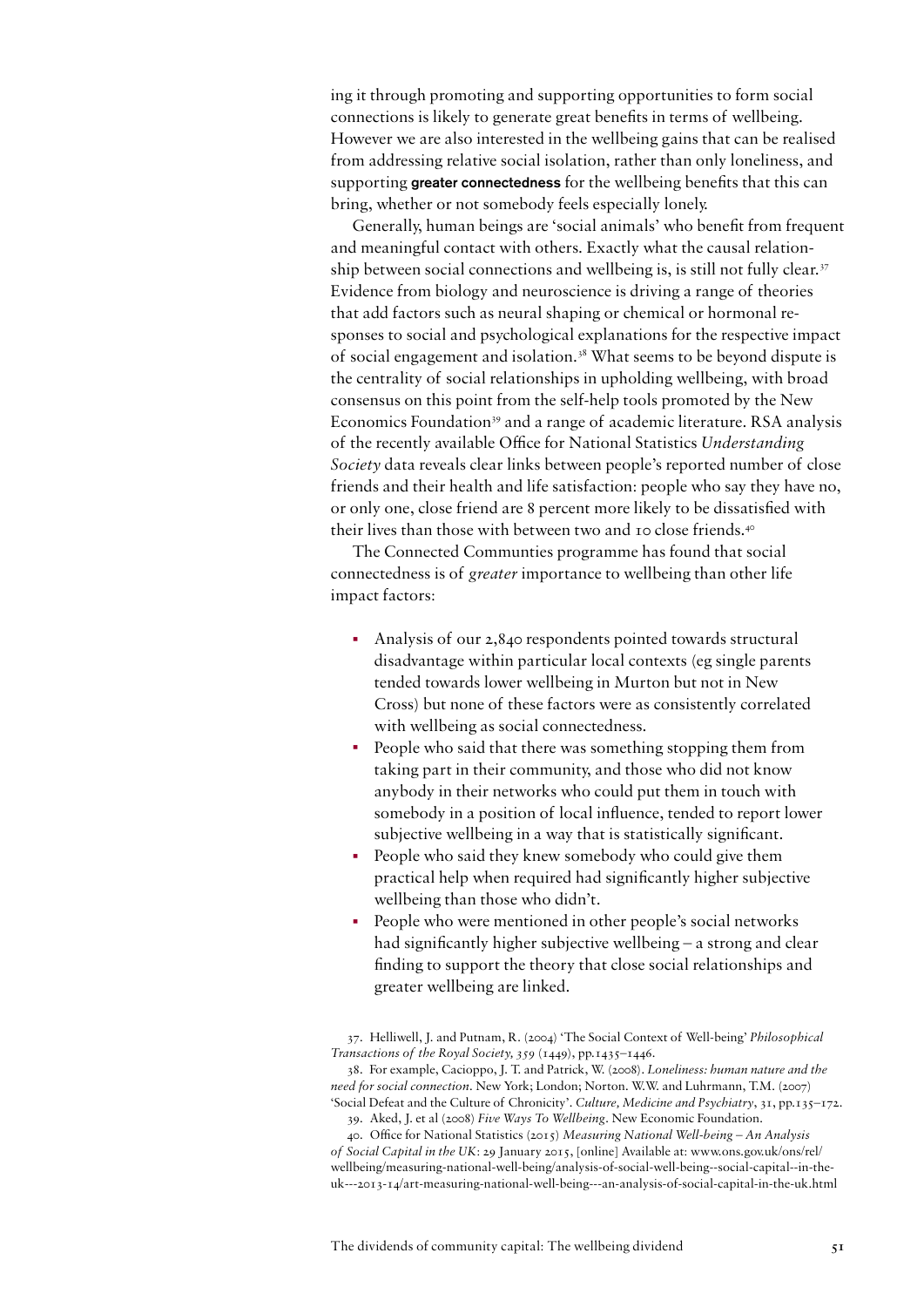ing it through promoting and supporting opportunities to form social connections is likely to generate great benefits in terms of wellbeing. However we are also interested in the wellbeing gains that can be realised from addressing relative social isolation, rather than only loneliness, and supporting **greater connectedness** for the wellbeing benefits that this can bring, whether or not somebody feels especially lonely.

Generally, human beings are 'social animals' who benefit from frequent and meaningful contact with others. Exactly what the causal relationship between social connections and wellbeing is, is still not fully clear.37 Evidence from biology and neuroscience is driving a range of theories that add factors such as neural shaping or chemical or hormonal responses to social and psychological explanations for the respective impact of social engagement and isolation.38 What seems to be beyond dispute is the centrality of social relationships in upholding wellbeing, with broad consensus on this point from the self-help tools promoted by the New Economics Foundation<sup>39</sup> and a range of academic literature. RSA analysis of the recently available Office for National Statistics *Understanding Society* data reveals clear links between people's reported number of close friends and their health and life satisfaction: people who say they have no, or only one, close friend are 8 percent more likely to be dissatisfied with their lives than those with between two and 10 close friends.<sup>40</sup>

The Connected Communties programme has found that social connectedness is of *greater* importance to wellbeing than other life impact factors:

- Analysis of our 2,840 respondents pointed towards structural disadvantage within particular local contexts (eg single parents tended towards lower wellbeing in Murton but not in New Cross) but none of these factors were as consistently correlated with wellbeing as social connectedness.
- People who said that there was something stopping them from taking part in their community, and those who did not know anybody in their networks who could put them in touch with somebody in a position of local influence, tended to report lower subjective wellbeing in a way that is statistically significant.
- People who said they knew somebody who could give them practical help when required had significantly higher subjective wellbeing than those who didn't.
- People who were mentioned in other people's social networks had significantly higher subjective wellbeing – a strong and clear finding to support the theory that close social relationships and greater wellbeing are linked.

37. Helliwell, J. and Putnam, R. (2004) 'The Social Context of Well-being' *Philosophical Transactions of the Royal Society, 359* (1449), pp.1435–1446.

38. For example, Cacioppo, J. T. and Patrick, W. (2008). *Loneliness: human nature and the need for social connection*. New York; London; Norton. W.W. and Luhrmann, T.M. (2007) 'Social Defeat and the Culture of Chronicity'. *Culture, Medicine and Psychiatry*, 31, pp.135–172.

39. Aked, J. et al (2008) *Five Ways To Wellbeing*. New Economic Foundation.

40. Office for National Statistics (2015) *Measuring National Well-being – An Analysis of Social Capital in the UK*: 29 January 2015, [online] Available at: www.ons.gov.uk/ons/rel/ wellbeing/measuring-national-well-being/analysis-of-social-well-being--social-capital--in-theuk---2013-14/art-measuring-national-well-being---an-analysis-of-social-capital-in-the-uk.html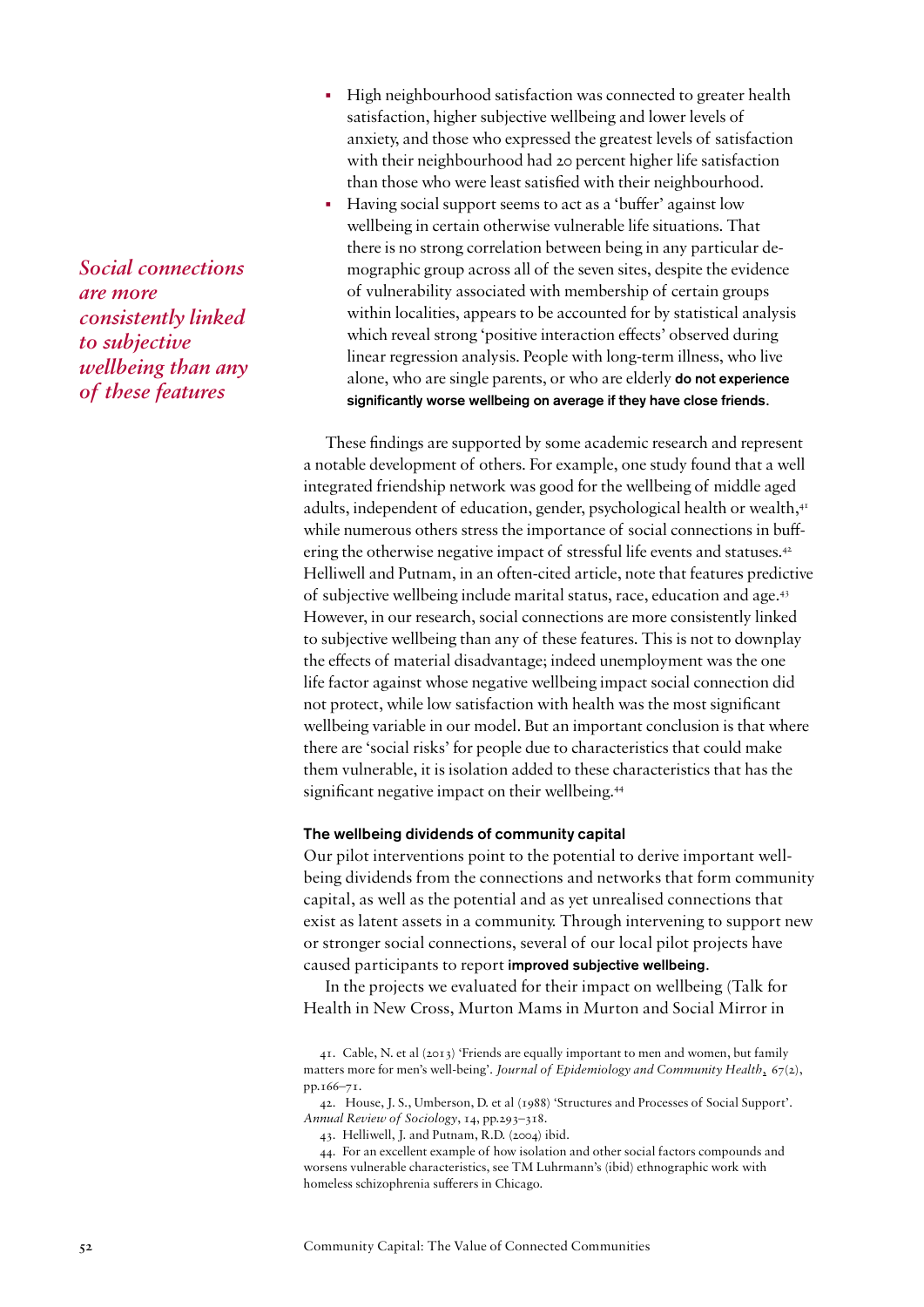*Social connections are more consistently linked to subjective wellbeing than any of these features*

- High neighbourhood satisfaction was connected to greater health satisfaction, higher subjective wellbeing and lower levels of anxiety, and those who expressed the greatest levels of satisfaction with their neighbourhood had 20 percent higher life satisfaction than those who were least satisfied with their neighbourhood.
- Having social support seems to act as a 'buffer' against low wellbeing in certain otherwise vulnerable life situations. That there is no strong correlation between being in any particular demographic group across all of the seven sites, despite the evidence of vulnerability associated with membership of certain groups within localities, appears to be accounted for by statistical analysis which reveal strong 'positive interaction effects' observed during linear regression analysis. People with long-term illness, who live alone, who are single parents, or who are elderly do not experience significantly worse wellbeing on average if they have close friends.

These findings are supported by some academic research and represent a notable development of others. For example, one study found that a well integrated friendship network was good for the wellbeing of middle aged adults, independent of education, gender, psychological health or wealth,<sup>41</sup> while numerous others stress the importance of social connections in buffering the otherwise negative impact of stressful life events and statuses.<sup>42</sup> Helliwell and Putnam, in an often-cited article, note that features predictive of subjective wellbeing include marital status, race, education and age.43 However, in our research, social connections are more consistently linked to subjective wellbeing than any of these features. This is not to downplay the effects of material disadvantage; indeed unemployment was the one life factor against whose negative wellbeing impact social connection did not protect, while low satisfaction with health was the most significant wellbeing variable in our model. But an important conclusion is that where there are 'social risks' for people due to characteristics that could make them vulnerable, it is isolation added to these characteristics that has the significant negative impact on their wellbeing.<sup>44</sup>

#### The wellbeing dividends of community capital

Our pilot interventions point to the potential to derive important wellbeing dividends from the connections and networks that form community capital, as well as the potential and as yet unrealised connections that exist as latent assets in a community. Through intervening to support new or stronger social connections, several of our local pilot projects have caused participants to report improved subjective wellbeing.

In the projects we evaluated for their impact on wellbeing (Talk for Health in New Cross, Murton Mams in Murton and Social Mirror in

42. House, J. S., Umberson, D. et al (1988) 'Structures and Processes of Social Support'. *Annual Review of Sociology*, 14, pp.293–318.

43. Helliwell, J. and Putnam, R.D. (2004) ibid.

<sup>41.</sup> Cable, N. et al (2013) 'Friends are equally important to men and women, but family matters more for men's well-being'. *Journal of Epidemiology and Community Health*, 67(2), pp.166–71.

<sup>44.</sup> For an excellent example of how isolation and other social factors compounds and worsens vulnerable characteristics, see TM Luhrmann's (ibid) ethnographic work with homeless schizophrenia sufferers in Chicago.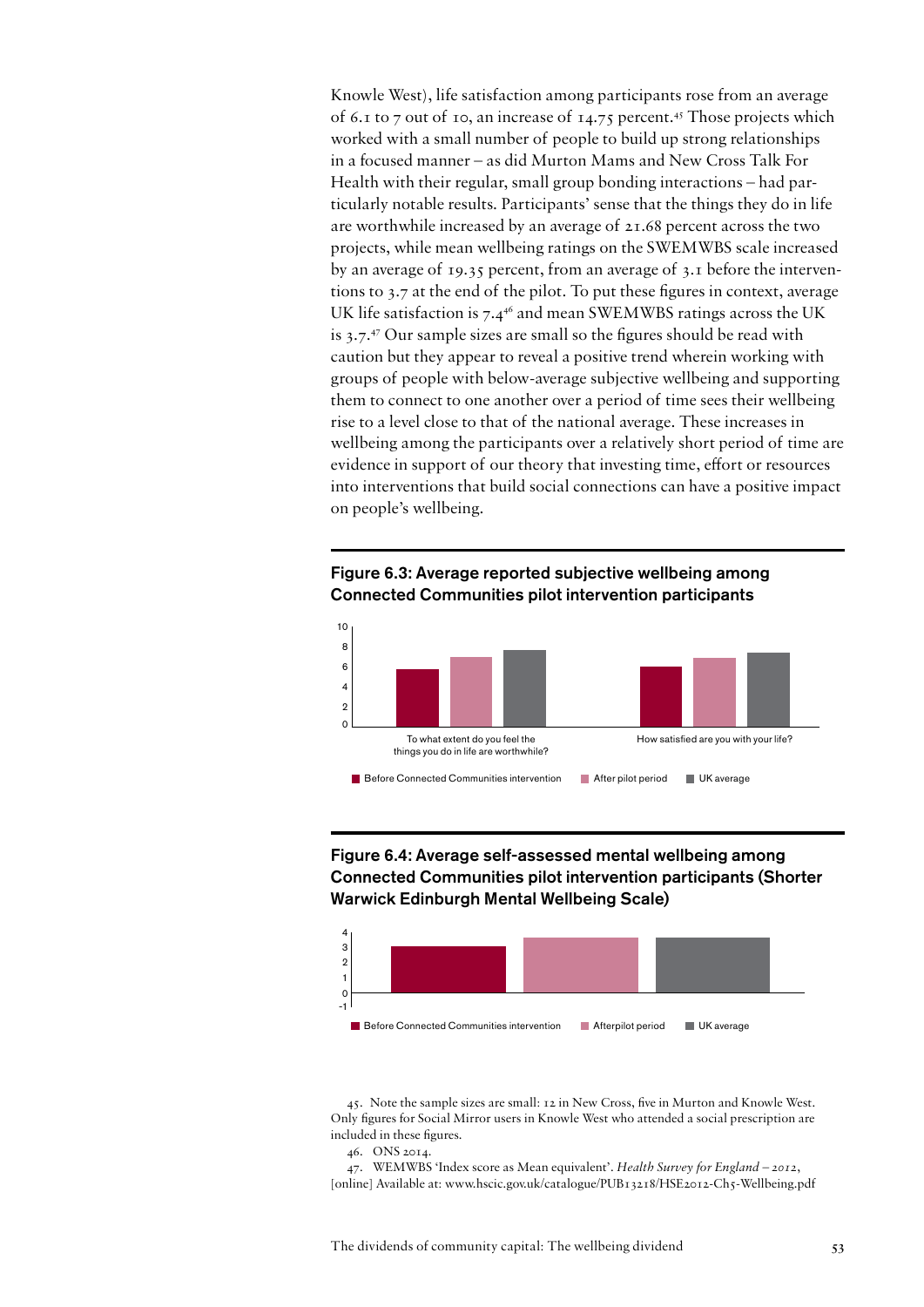Knowle West), life satisfaction among participants rose from an average of 6.1 to 7 out of 10, an increase of  $14.75$  percent.<sup>45</sup> Those projects which worked with a small number of people to build up strong relationships in a focused manner – as did Murton Mams and New Cross Talk For Health with their regular, small group bonding interactions – had particularly notable results. Participants' sense that the things they do in life are worthwhile increased by an average of 21.68 percent across the two projects, while mean wellbeing ratings on the SWEMWBS scale increased by an average of 19.35 percent, from an average of 3.1 before the interventions to 3.7 at the end of the pilot. To put these figures in context, average UK life satisfaction is 7.4<sup>46</sup> and mean SWEMWBS ratings across the UK is 3.7.47 Our sample sizes are small so the figures should be read with caution but they appear to reveal a positive trend wherein working with groups of people with below-average subjective wellbeing and supporting them to connect to one another over a period of time sees their wellbeing rise to a level close to that of the national average. These increases in wellbeing among the participants over a relatively short period of time are evidence in support of our theory that investing time, effort or resources into interventions that build social connections can have a positive impact on people's wellbeing.

# Figure 6.3: Average reported subjective wellbeing among Connected Communities pilot intervention participants



Figure 6.4: Average self-assessed mental wellbeing among Connected Communities pilot intervention participants (Shorter Warwick Edinburgh Mental Wellbeing Scale)



45. Note the sample sizes are small: 12 in New Cross, five in Murton and Knowle West. Only figures for Social Mirror users in Knowle West who attended a social prescription are included in these figures.

46. ONS 2014.

47. WEMWBS 'Index score as Mean equivalent'. *Health Survey for England – 2012*, [online] Available at: www.hscic.gov.uk/catalogue/PUB13218/HSE2012-Ch5-Wellbeing.pdf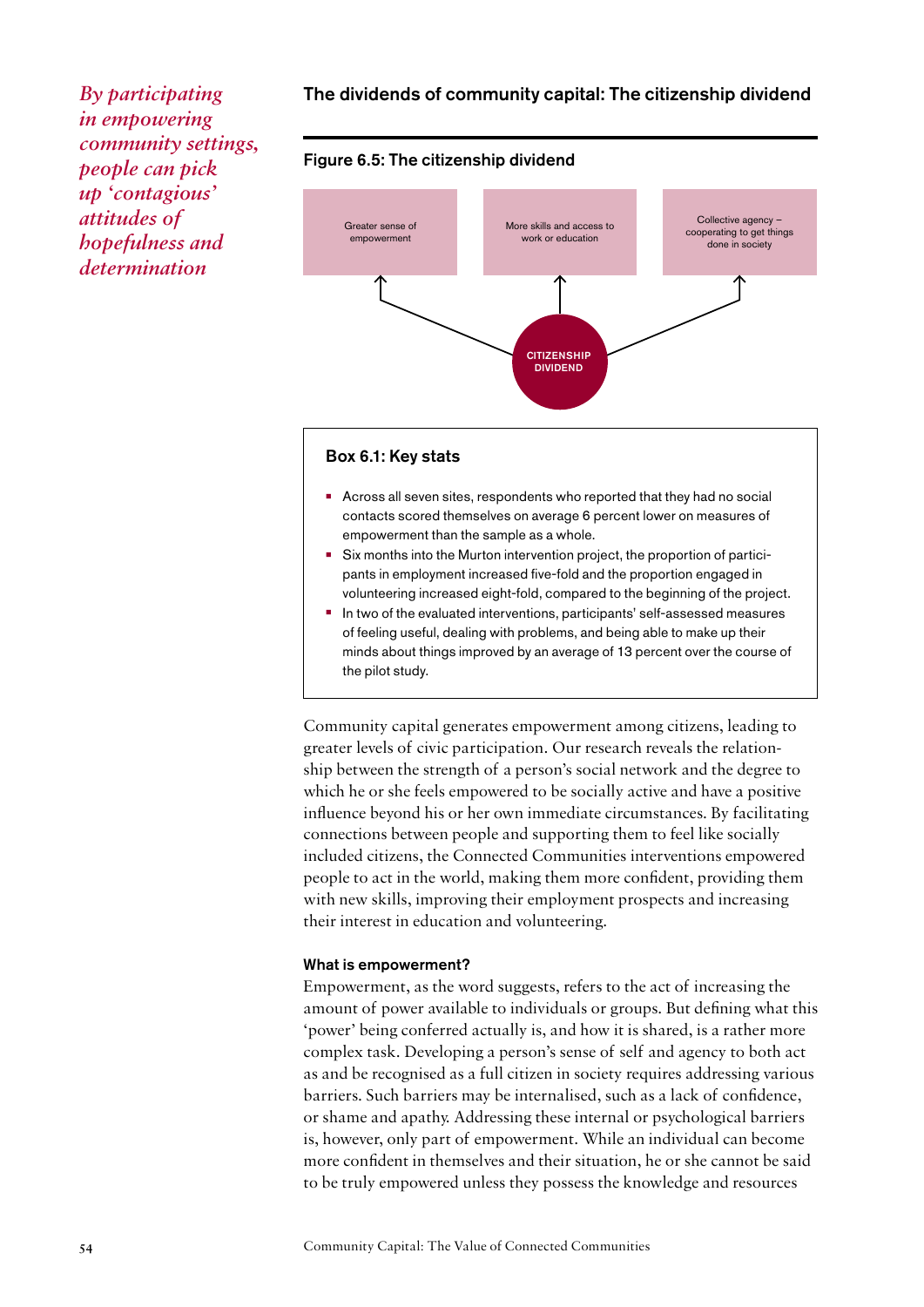*By participating in empowering community settings, people can pick up 'contagious' attitudes of hopefulness and determination*

# The dividends of community capital: The citizenship dividend



## Figure 6.5: The citizenship dividend

### Box 6.1: Key stats

- **•** Across all seven sites, respondents who reported that they had no social contacts scored themselves on average 6 percent lower on measures of empowerment than the sample as a whole.
- **•** Six months into the Murton intervention project, the proportion of participants in employment increased five-fold and the proportion engaged in volunteering increased eight-fold, compared to the beginning of the project.
- **•** In two of the evaluated interventions, participants' self-assessed measures of feeling useful, dealing with problems, and being able to make up their minds about things improved by an average of 13 percent over the course of the pilot study.

Community capital generates empowerment among citizens, leading to greater levels of civic participation. Our research reveals the relationship between the strength of a person's social network and the degree to which he or she feels empowered to be socially active and have a positive influence beyond his or her own immediate circumstances. By facilitating connections between people and supporting them to feel like socially included citizens, the Connected Communities interventions empowered people to act in the world, making them more confident, providing them with new skills, improving their employment prospects and increasing their interest in education and volunteering.

#### What is empowerment?

Empowerment, as the word suggests, refers to the act of increasing the amount of power available to individuals or groups. But defining what this 'power' being conferred actually is, and how it is shared, is a rather more complex task. Developing a person's sense of self and agency to both act as and be recognised as a full citizen in society requires addressing various barriers. Such barriers may be internalised, such as a lack of confidence, or shame and apathy. Addressing these internal or psychological barriers is, however, only part of empowerment. While an individual can become more confident in themselves and their situation, he or she cannot be said to be truly empowered unless they possess the knowledge and resources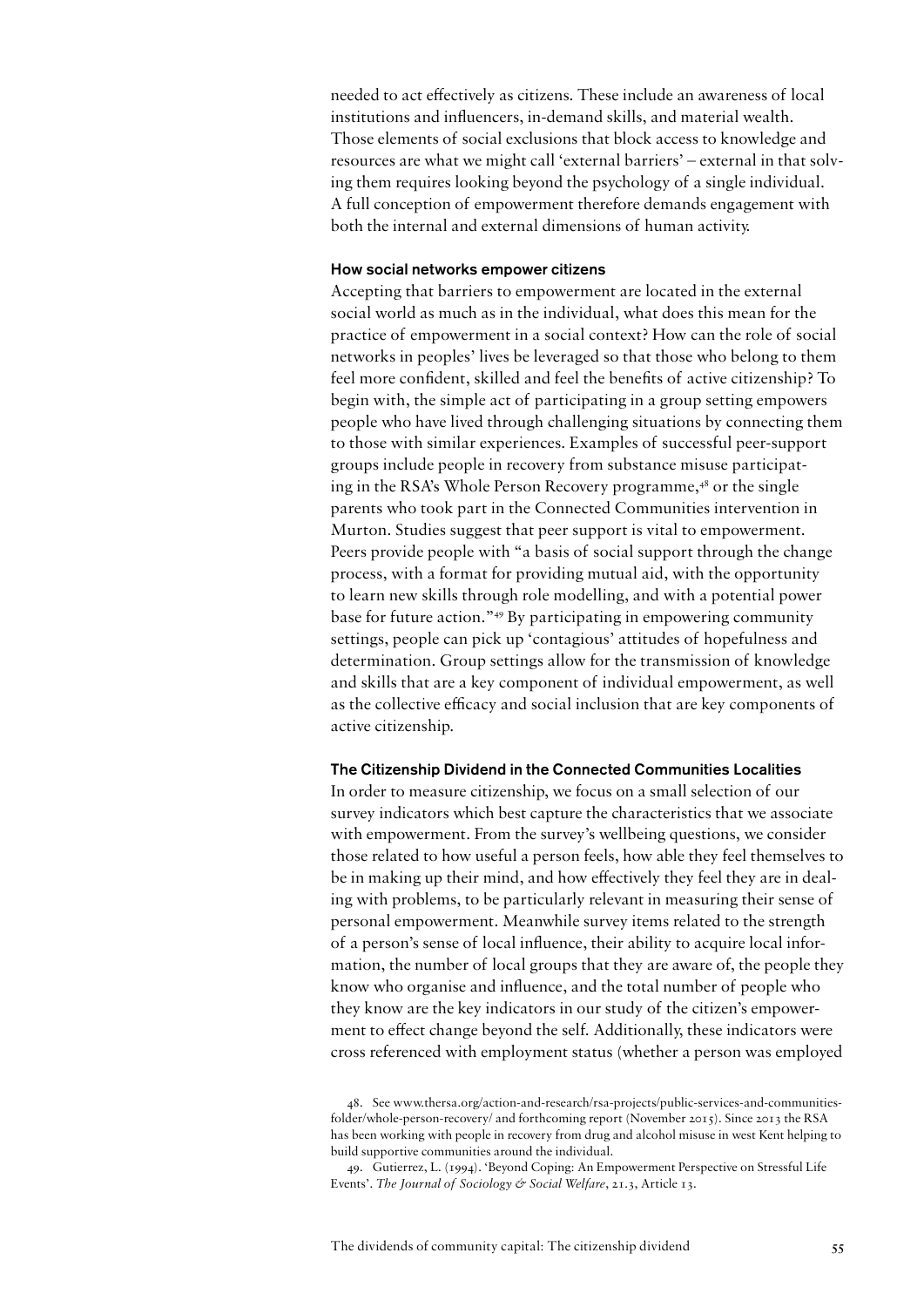needed to act effectively as citizens. These include an awareness of local institutions and influencers, in-demand skills, and material wealth. Those elements of social exclusions that block access to knowledge and resources are what we might call 'external barriers' – external in that solving them requires looking beyond the psychology of a single individual. A full conception of empowerment therefore demands engagement with both the internal and external dimensions of human activity.

## How social networks empower citizens

Accepting that barriers to empowerment are located in the external social world as much as in the individual, what does this mean for the practice of empowerment in a social context? How can the role of social networks in peoples' lives be leveraged so that those who belong to them feel more confident, skilled and feel the benefits of active citizenship? To begin with, the simple act of participating in a group setting empowers people who have lived through challenging situations by connecting them to those with similar experiences. Examples of successful peer-support groups include people in recovery from substance misuse participating in the RSA's Whole Person Recovery programme,<sup>48</sup> or the single parents who took part in the Connected Communities intervention in Murton. Studies suggest that peer support is vital to empowerment. Peers provide people with "a basis of social support through the change process, with a format for providing mutual aid, with the opportunity to learn new skills through role modelling, and with a potential power base for future action."49 By participating in empowering community settings, people can pick up 'contagious' attitudes of hopefulness and determination. Group settings allow for the transmission of knowledge and skills that are a key component of individual empowerment, as well as the collective efficacy and social inclusion that are key components of active citizenship.

#### The Citizenship Dividend in the Connected Communities Localities

In order to measure citizenship, we focus on a small selection of our survey indicators which best capture the characteristics that we associate with empowerment. From the survey's wellbeing questions, we consider those related to how useful a person feels, how able they feel themselves to be in making up their mind, and how effectively they feel they are in dealing with problems, to be particularly relevant in measuring their sense of personal empowerment. Meanwhile survey items related to the strength of a person's sense of local influence, their ability to acquire local information, the number of local groups that they are aware of, the people they know who organise and influence, and the total number of people who they know are the key indicators in our study of the citizen's empowerment to effect change beyond the self. Additionally, these indicators were cross referenced with employment status (whether a person was employed

<sup>48.</sup> See www.thersa.org/action-and-research/rsa-projects/public-services-and-communitiesfolder/whole-person-recovery/ and forthcoming report (November 2015). Since 2013 the RSA has been working with people in recovery from drug and alcohol misuse in west Kent helping to build supportive communities around the individual.

<sup>49.</sup> Gutierrez, L. (1994). 'Beyond Coping: An Empowerment Perspective on Stressful Life Events'. *The Journal of Sociology & Social Welfare*, 21.3, Article 13.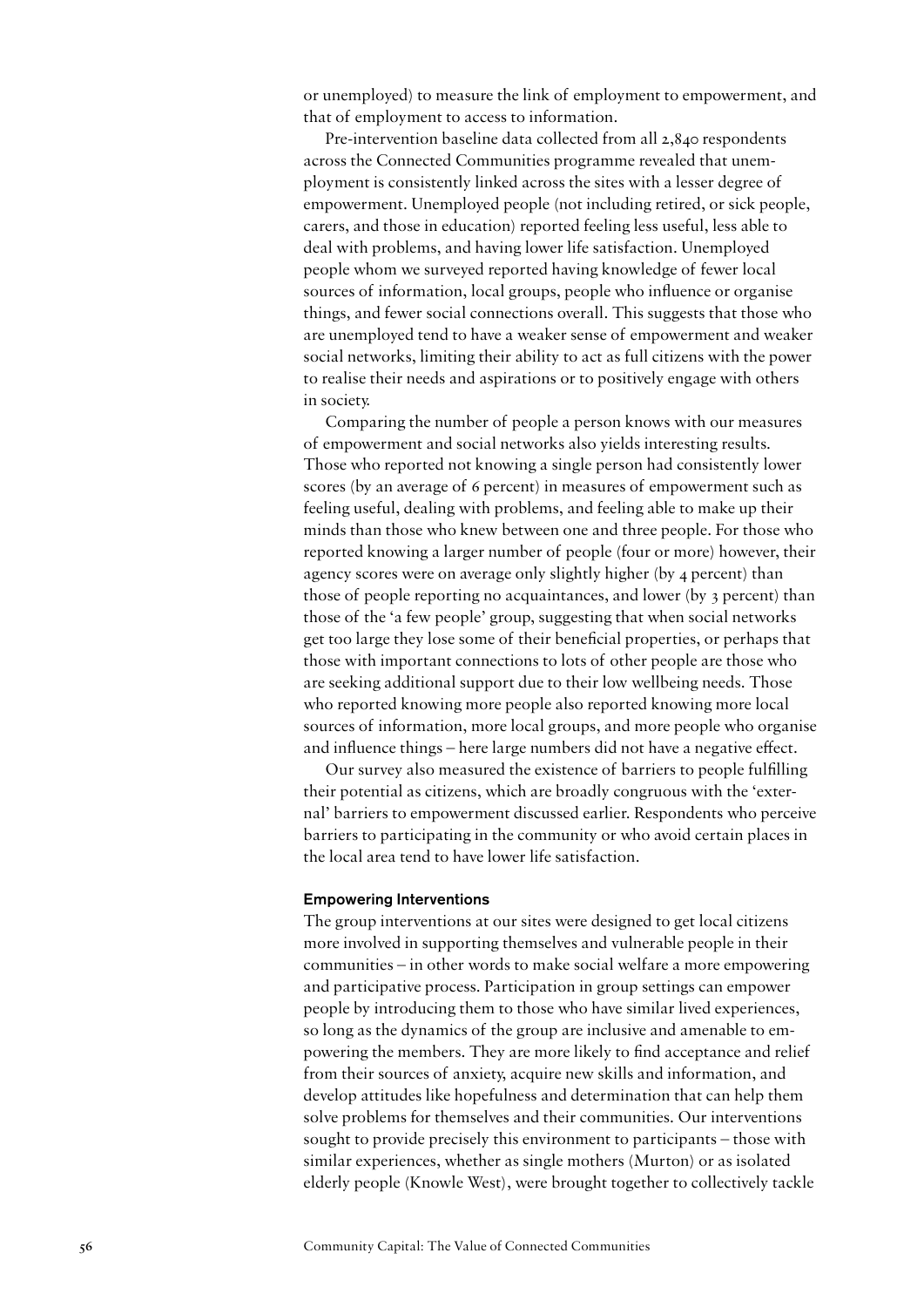or unemployed) to measure the link of employment to empowerment, and that of employment to access to information.

Pre-intervention baseline data collected from all 2,840 respondents across the Connected Communities programme revealed that unemployment is consistently linked across the sites with a lesser degree of empowerment. Unemployed people (not including retired, or sick people, carers, and those in education) reported feeling less useful, less able to deal with problems, and having lower life satisfaction. Unemployed people whom we surveyed reported having knowledge of fewer local sources of information, local groups, people who influence or organise things, and fewer social connections overall. This suggests that those who are unemployed tend to have a weaker sense of empowerment and weaker social networks, limiting their ability to act as full citizens with the power to realise their needs and aspirations or to positively engage with others in society.

Comparing the number of people a person knows with our measures of empowerment and social networks also yields interesting results. Those who reported not knowing a single person had consistently lower scores (by an average of 6 percent) in measures of empowerment such as feeling useful, dealing with problems, and feeling able to make up their minds than those who knew between one and three people. For those who reported knowing a larger number of people (four or more) however, their agency scores were on average only slightly higher (by 4 percent) than those of people reporting no acquaintances, and lower (by 3 percent) than those of the 'a few people' group, suggesting that when social networks get too large they lose some of their beneficial properties, or perhaps that those with important connections to lots of other people are those who are seeking additional support due to their low wellbeing needs. Those who reported knowing more people also reported knowing more local sources of information, more local groups, and more people who organise and influence things – here large numbers did not have a negative effect.

Our survey also measured the existence of barriers to people fulfilling their potential as citizens, which are broadly congruous with the 'external' barriers to empowerment discussed earlier. Respondents who perceive barriers to participating in the community or who avoid certain places in the local area tend to have lower life satisfaction.

#### Empowering Interventions

The group interventions at our sites were designed to get local citizens more involved in supporting themselves and vulnerable people in their communities – in other words to make social welfare a more empowering and participative process. Participation in group settings can empower people by introducing them to those who have similar lived experiences, so long as the dynamics of the group are inclusive and amenable to empowering the members. They are more likely to find acceptance and relief from their sources of anxiety, acquire new skills and information, and develop attitudes like hopefulness and determination that can help them solve problems for themselves and their communities. Our interventions sought to provide precisely this environment to participants – those with similar experiences, whether as single mothers (Murton) or as isolated elderly people (Knowle West), were brought together to collectively tackle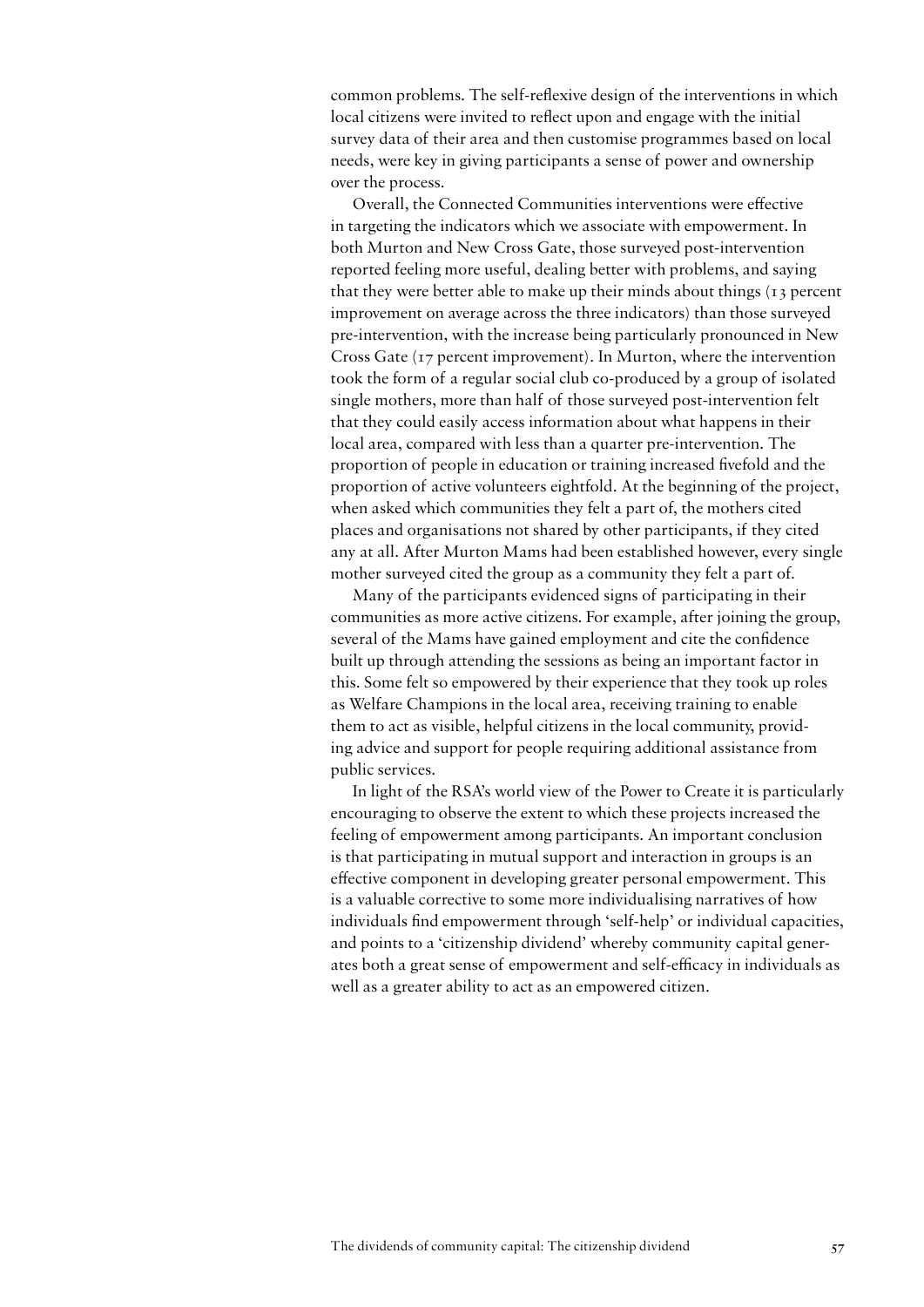common problems. The self-reflexive design of the interventions in which local citizens were invited to reflect upon and engage with the initial survey data of their area and then customise programmes based on local needs, were key in giving participants a sense of power and ownership over the process.

Overall, the Connected Communities interventions were effective in targeting the indicators which we associate with empowerment. In both Murton and New Cross Gate, those surveyed post-intervention reported feeling more useful, dealing better with problems, and saying that they were better able to make up their minds about things (13 percent improvement on average across the three indicators) than those surveyed pre-intervention, with the increase being particularly pronounced in New Cross Gate (17 percent improvement). In Murton, where the intervention took the form of a regular social club co-produced by a group of isolated single mothers, more than half of those surveyed post-intervention felt that they could easily access information about what happens in their local area, compared with less than a quarter pre-intervention. The proportion of people in education or training increased fivefold and the proportion of active volunteers eightfold. At the beginning of the project, when asked which communities they felt a part of, the mothers cited places and organisations not shared by other participants, if they cited any at all. After Murton Mams had been established however, every single mother surveyed cited the group as a community they felt a part of.

Many of the participants evidenced signs of participating in their communities as more active citizens. For example, after joining the group, several of the Mams have gained employment and cite the confidence built up through attending the sessions as being an important factor in this. Some felt so empowered by their experience that they took up roles as Welfare Champions in the local area, receiving training to enable them to act as visible, helpful citizens in the local community, providing advice and support for people requiring additional assistance from public services.

In light of the RSA's world view of the Power to Create it is particularly encouraging to observe the extent to which these projects increased the feeling of empowerment among participants. An important conclusion is that participating in mutual support and interaction in groups is an effective component in developing greater personal empowerment. This is a valuable corrective to some more individualising narratives of how individuals find empowerment through 'self-help' or individual capacities, and points to a 'citizenship dividend' whereby community capital generates both a great sense of empowerment and self-efficacy in individuals as well as a greater ability to act as an empowered citizen.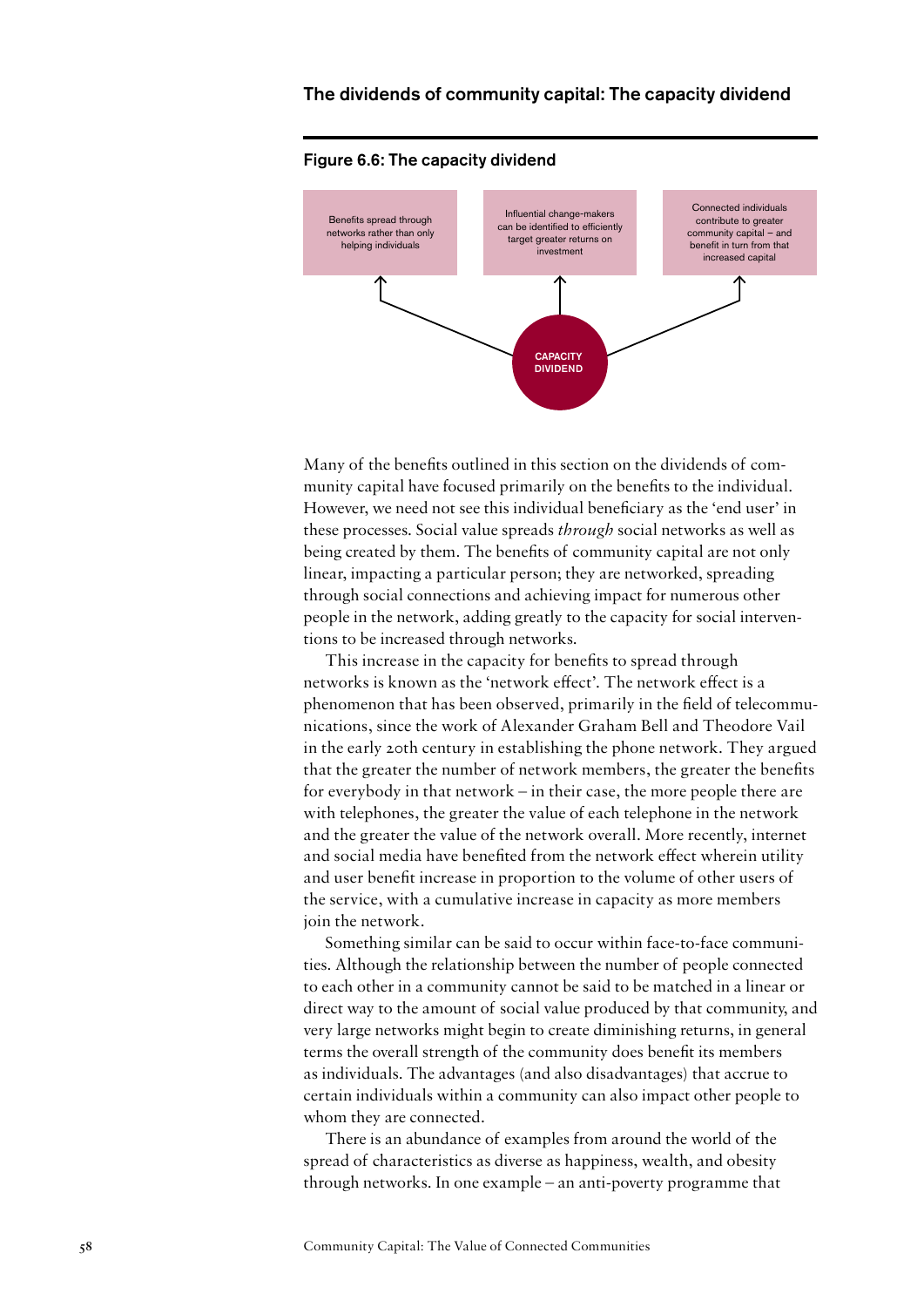

#### Figure 6.6: The capacity dividend

Many of the benefits outlined in this section on the dividends of community capital have focused primarily on the benefits to the individual. However, we need not see this individual beneficiary as the 'end user' in these processes. Social value spreads *through* social networks as well as being created by them. The benefits of community capital are not only linear, impacting a particular person; they are networked, spreading through social connections and achieving impact for numerous other people in the network, adding greatly to the capacity for social interventions to be increased through networks.

This increase in the capacity for benefits to spread through networks is known as the 'network effect'. The network effect is a phenomenon that has been observed, primarily in the field of telecommunications, since the work of Alexander Graham Bell and Theodore Vail in the early 20th century in establishing the phone network. They argued that the greater the number of network members, the greater the benefits for everybody in that network – in their case, the more people there are with telephones, the greater the value of each telephone in the network and the greater the value of the network overall. More recently, internet and social media have benefited from the network effect wherein utility and user benefit increase in proportion to the volume of other users of the service, with a cumulative increase in capacity as more members join the network.

Something similar can be said to occur within face-to-face communities. Although the relationship between the number of people connected to each other in a community cannot be said to be matched in a linear or direct way to the amount of social value produced by that community, and very large networks might begin to create diminishing returns, in general terms the overall strength of the community does benefit its members as individuals. The advantages (and also disadvantages) that accrue to certain individuals within a community can also impact other people to whom they are connected.

There is an abundance of examples from around the world of the spread of characteristics as diverse as happiness, wealth, and obesity through networks. In one example – an anti-poverty programme that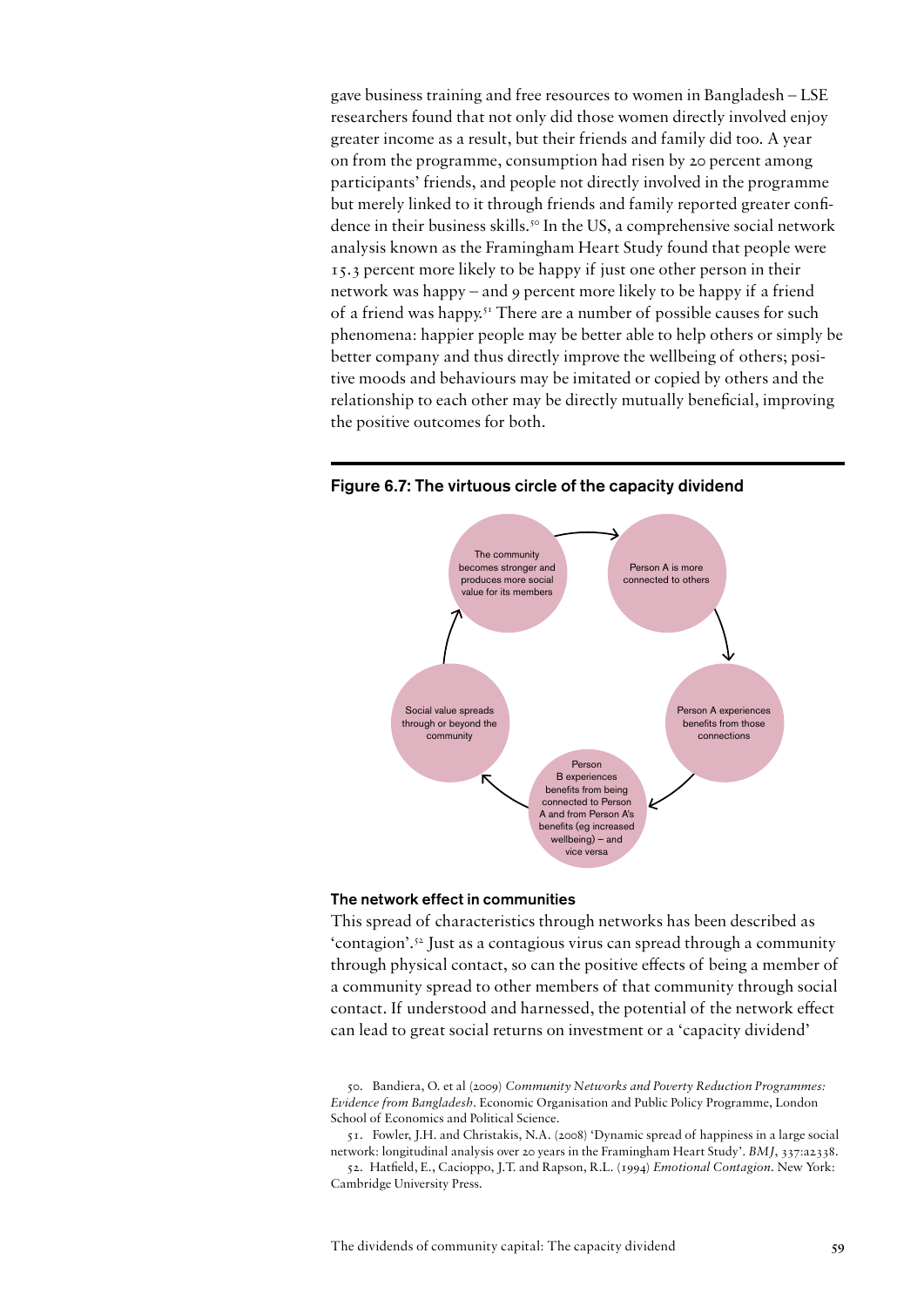gave business training and free resources to women in Bangladesh – LSE researchers found that not only did those women directly involved enjoy greater income as a result, but their friends and family did too. A year on from the programme, consumption had risen by 20 percent among participants' friends, and people not directly involved in the programme but merely linked to it through friends and family reported greater confidence in their business skills.<sup>50</sup> In the US, a comprehensive social network analysis known as the Framingham Heart Study found that people were 15.3 percent more likely to be happy if just one other person in their network was happy – and 9 percent more likely to be happy if a friend of a friend was happy.<sup>51</sup> There are a number of possible causes for such phenomena: happier people may be better able to help others or simply be better company and thus directly improve the wellbeing of others; positive moods and behaviours may be imitated or copied by others and the relationship to each other may be directly mutually beneficial, improving the positive outcomes for both.



#### Figure 6.7: The virtuous circle of the capacity dividend

#### The network effect in communities

This spread of characteristics through networks has been described as 'contagion'.52 Just as a contagious virus can spread through a community through physical contact, so can the positive effects of being a member of a community spread to other members of that community through social contact. If understood and harnessed, the potential of the network effect can lead to great social returns on investment or a 'capacity dividend'

50. Bandiera, O. et al (2009) *Community Networks and Poverty Reduction Programmes: Evidence from Bangladesh*. Economic Organisation and Public Policy Programme, London School of Economics and Political Science.

51. Fowler, J.H. and Christakis, N.A. (2008) 'Dynamic spread of happiness in a large social network: longitudinal analysis over 20 years in the Framingham Heart Study'. *BMJ*, 337:a2338. 52. Hatfield, E., Cacioppo, J.T. and Rapson, R.L. (1994) *Emotional Contagion*. New York:

Cambridge University Press.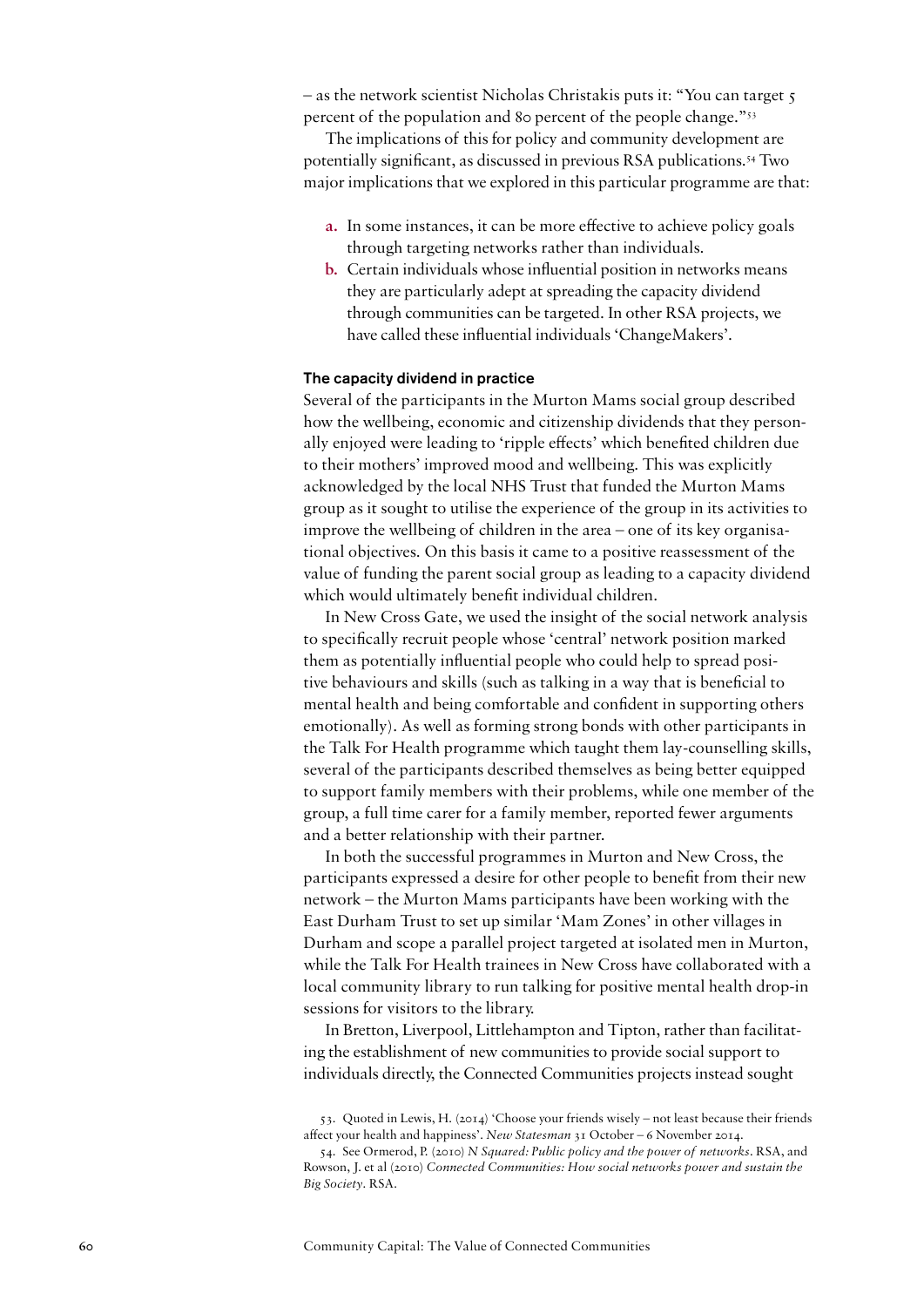– as the network scientist Nicholas Christakis puts it: "You can target 5 percent of the population and 80 percent of the people change."53

The implications of this for policy and community development are potentially significant, as discussed in previous RSA publications.54 Two major implications that we explored in this particular programme are that:

- **a.** In some instances, it can be more effective to achieve policy goals through targeting networks rather than individuals.
- **b.** Certain individuals whose influential position in networks means they are particularly adept at spreading the capacity dividend through communities can be targeted. In other RSA projects, we have called these influential individuals 'ChangeMakers'.

#### The capacity dividend in practice

Several of the participants in the Murton Mams social group described how the wellbeing, economic and citizenship dividends that they personally enjoyed were leading to 'ripple effects' which benefited children due to their mothers' improved mood and wellbeing. This was explicitly acknowledged by the local NHS Trust that funded the Murton Mams group as it sought to utilise the experience of the group in its activities to improve the wellbeing of children in the area – one of its key organisational objectives. On this basis it came to a positive reassessment of the value of funding the parent social group as leading to a capacity dividend which would ultimately benefit individual children.

In New Cross Gate, we used the insight of the social network analysis to specifically recruit people whose 'central' network position marked them as potentially influential people who could help to spread positive behaviours and skills (such as talking in a way that is beneficial to mental health and being comfortable and confident in supporting others emotionally). As well as forming strong bonds with other participants in the Talk For Health programme which taught them lay-counselling skills, several of the participants described themselves as being better equipped to support family members with their problems, while one member of the group, a full time carer for a family member, reported fewer arguments and a better relationship with their partner.

In both the successful programmes in Murton and New Cross, the participants expressed a desire for other people to benefit from their new network – the Murton Mams participants have been working with the East Durham Trust to set up similar 'Mam Zones' in other villages in Durham and scope a parallel project targeted at isolated men in Murton, while the Talk For Health trainees in New Cross have collaborated with a local community library to run talking for positive mental health drop-in sessions for visitors to the library.

In Bretton, Liverpool, Littlehampton and Tipton, rather than facilitating the establishment of new communities to provide social support to individuals directly, the Connected Communities projects instead sought

<sup>53.</sup> Quoted in Lewis, H. (2014) 'Choose your friends wisely – not least because their friends affect your health and happiness'. *New Statesman* 31 October – 6 November 2014.

<sup>54.</sup> See Ormerod, P. (2010) *N Squared: Public policy and the power of networks*. RSA, and Rowson, J. et al (2010) *Connected Communities: How social networks power and sustain the Big Society*. RSA.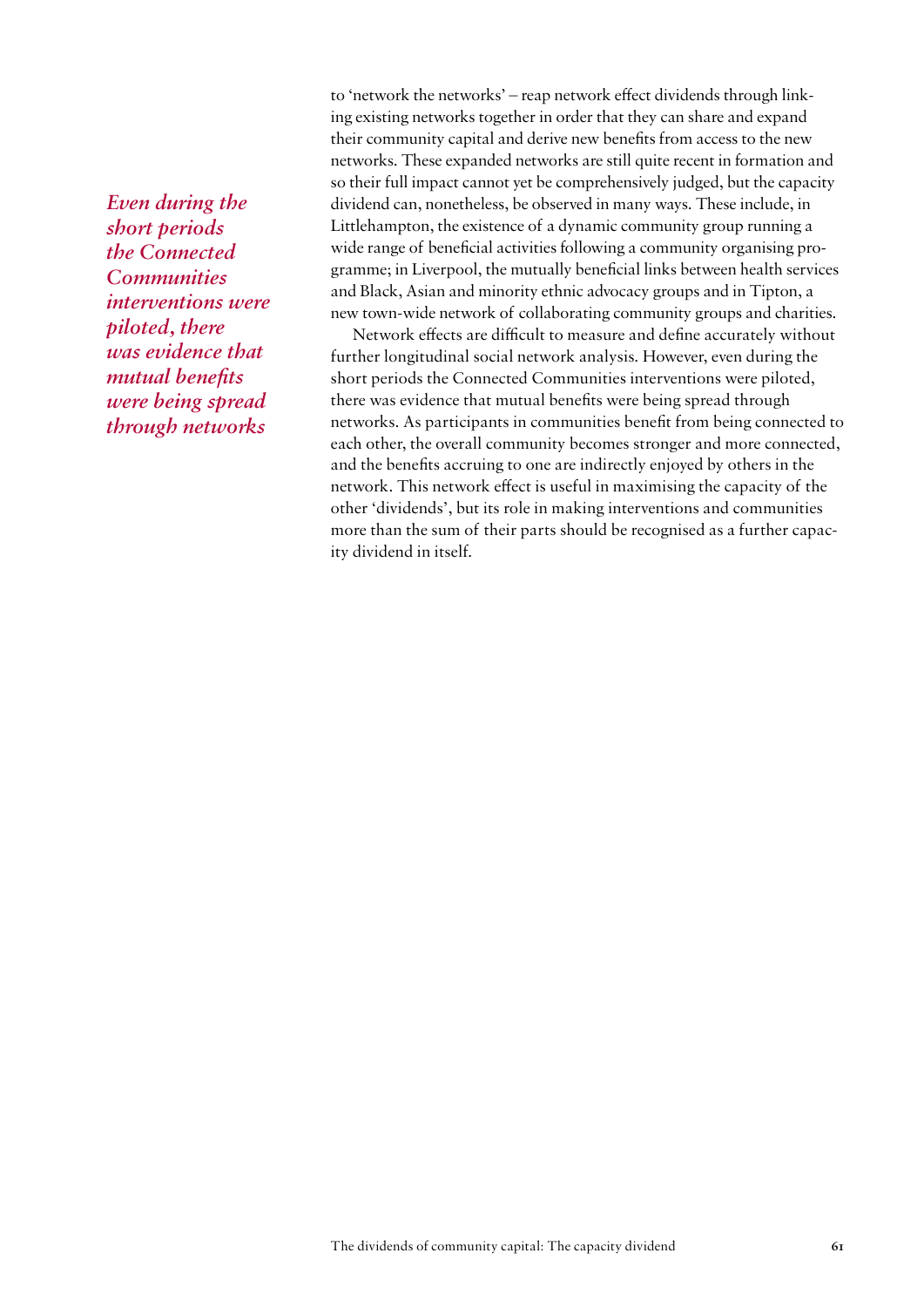*Even during the short periods the Connected Communities interventions were piloted, there was evidence that mutual benefits were being spread through networks*

to 'network the networks' – reap network effect dividends through linking existing networks together in order that they can share and expand their community capital and derive new benefits from access to the new networks. These expanded networks are still quite recent in formation and so their full impact cannot yet be comprehensively judged, but the capacity dividend can, nonetheless, be observed in many ways. These include, in Littlehampton, the existence of a dynamic community group running a wide range of beneficial activities following a community organising programme; in Liverpool, the mutually beneficial links between health services and Black, Asian and minority ethnic advocacy groups and in Tipton, a new town-wide network of collaborating community groups and charities.

Network effects are difficult to measure and define accurately without further longitudinal social network analysis. However, even during the short periods the Connected Communities interventions were piloted, there was evidence that mutual benefits were being spread through networks. As participants in communities benefit from being connected to each other, the overall community becomes stronger and more connected, and the benefits accruing to one are indirectly enjoyed by others in the network. This network effect is useful in maximising the capacity of the other 'dividends', but its role in making interventions and communities more than the sum of their parts should be recognised as a further capacity dividend in itself.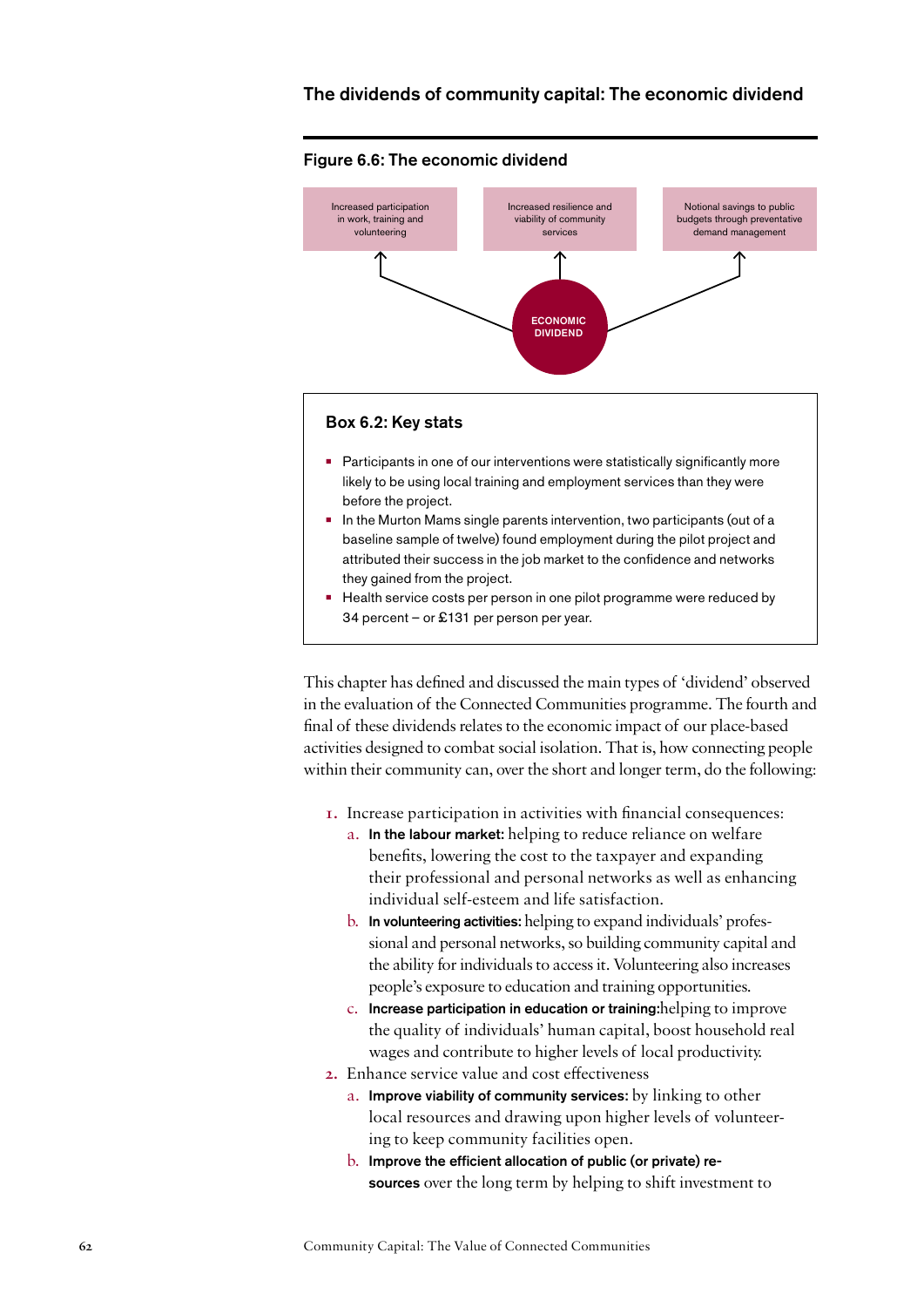# The dividends of community capital: The economic dividend



This chapter has defined and discussed the main types of 'dividend' observed in the evaluation of the Connected Communities programme. The fourth and final of these dividends relates to the economic impact of our place-based activities designed to combat social isolation. That is, how connecting people within their community can, over the short and longer term, do the following:

- **1.** Increase participation in activities with financial consequences:
	- a. In the labour market: helping to reduce reliance on welfare benefits, lowering the cost to the taxpayer and expanding their professional and personal networks as well as enhancing individual self-esteem and life satisfaction.
	- b. In volunteering activities: helping to expand individuals' professional and personal networks, so building community capital and the ability for individuals to access it. Volunteering also increases people's exposure to education and training opportunities.
	- c. Increase participation in education or training:helping to improve the quality of individuals' human capital, boost household real wages and contribute to higher levels of local productivity.
- **2.** Enhance service value and cost effectiveness
	- a. Improve viability of community services: by linking to other local resources and drawing upon higher levels of volunteering to keep community facilities open.
	- b. Improve the efficient allocation of public (or private) resources over the long term by helping to shift investment to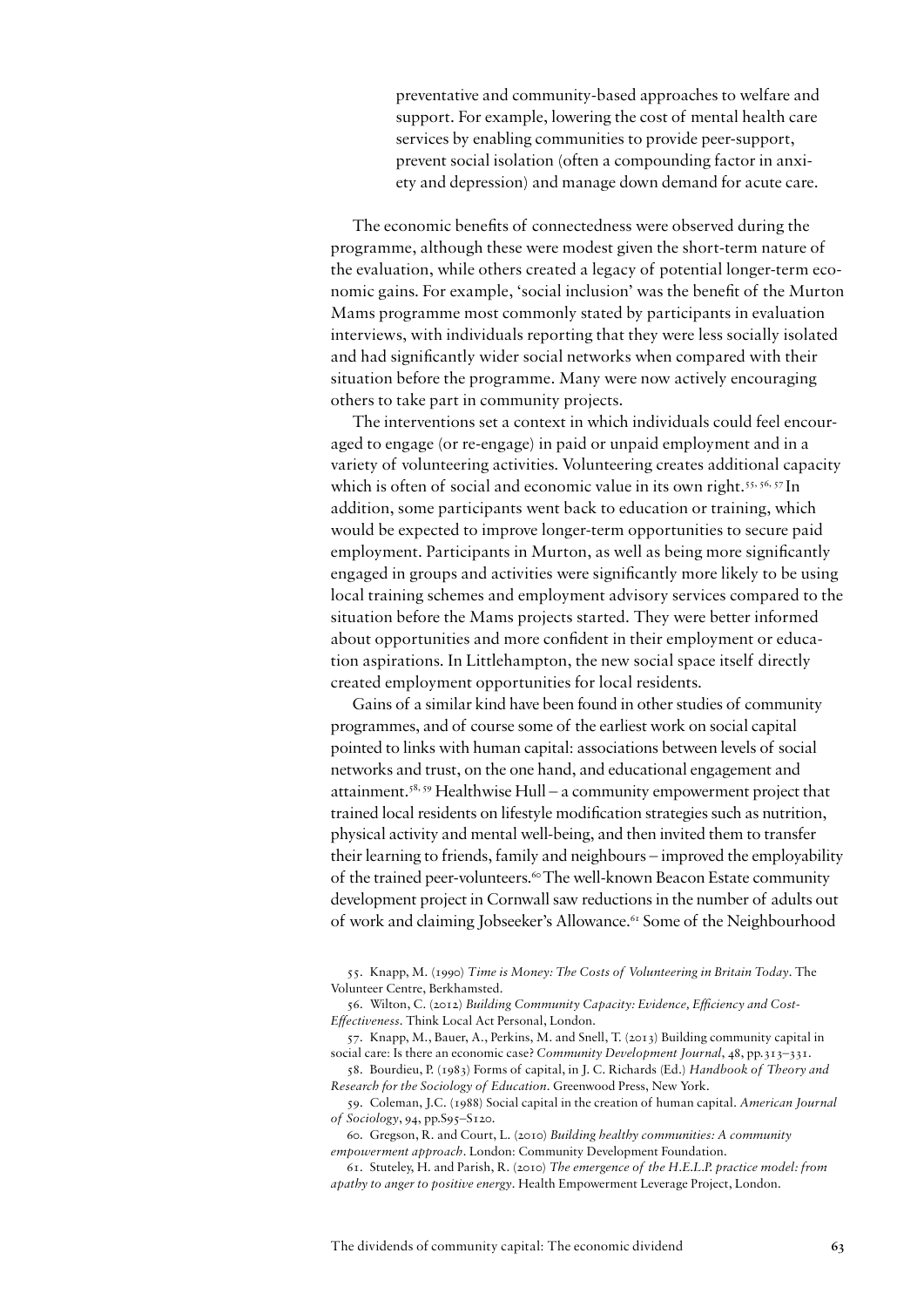preventative and community-based approaches to welfare and support. For example, lowering the cost of mental health care services by enabling communities to provide peer-support, prevent social isolation (often a compounding factor in anxiety and depression) and manage down demand for acute care.

The economic benefits of connectedness were observed during the programme, although these were modest given the short-term nature of the evaluation, while others created a legacy of potential longer-term economic gains. For example, 'social inclusion' was the benefit of the Murton Mams programme most commonly stated by participants in evaluation interviews, with individuals reporting that they were less socially isolated and had significantly wider social networks when compared with their situation before the programme. Many were now actively encouraging others to take part in community projects.

The interventions set a context in which individuals could feel encouraged to engage (or re-engage) in paid or unpaid employment and in a variety of volunteering activities. Volunteering creates additional capacity which is often of social and economic value in its own right.<sup>55, 56, 57</sup> In addition, some participants went back to education or training, which would be expected to improve longer-term opportunities to secure paid employment. Participants in Murton, as well as being more significantly engaged in groups and activities were significantly more likely to be using local training schemes and employment advisory services compared to the situation before the Mams projects started. They were better informed about opportunities and more confident in their employment or education aspirations. In Littlehampton, the new social space itself directly created employment opportunities for local residents.

Gains of a similar kind have been found in other studies of community programmes, and of course some of the earliest work on social capital pointed to links with human capital: associations between levels of social networks and trust, on the one hand, and educational engagement and attainment.<sup>58, 59</sup> Healthwise Hull – a community empowerment project that trained local residents on lifestyle modification strategies such as nutrition, physical activity and mental well-being, and then invited them to transfer their learning to friends, family and neighbours – improved the employability of the trained peer-volunteers.<sup>60</sup> The well-known Beacon Estate community development project in Cornwall saw reductions in the number of adults out of work and claiming Jobseeker's Allowance.<sup>61</sup> Some of the Neighbourhood

55. Knapp, M. (1990) *Time is Money: The Costs of Volunteering in Britain Today*. The Volunteer Centre, Berkhamsted.

56. Wilton, C. (2012) *Building Community Capacity: Evidence, Efficiency and Cost-Effectiveness*. Think Local Act Personal, London.

57. Knapp, M., Bauer, A., Perkins, M. and Snell, T. (2013) Building community capital in social care: Is there an economic case? *Community Development Journal*, 48, pp.313–331.

58. Bourdieu, P. (1983) Forms of capital, in J. C. Richards (Ed.) *Handbook of Theory and Research for the Sociology of Education*. Greenwood Press, New York.

59. Coleman, J.C. (1988) Social capital in the creation of human capital. *American Journal of Sociology*, 94, pp.S95–S120.

60. Gregson, R. and Court, L. (2010) *Building healthy communities: A community empowerment approach*. London: Community Development Foundation.

61. Stuteley, H. and Parish, R. (2010) *The emergence of the H.E.L.P. practice model: from apathy to anger to positive energy*. Health Empowerment Leverage Project, London.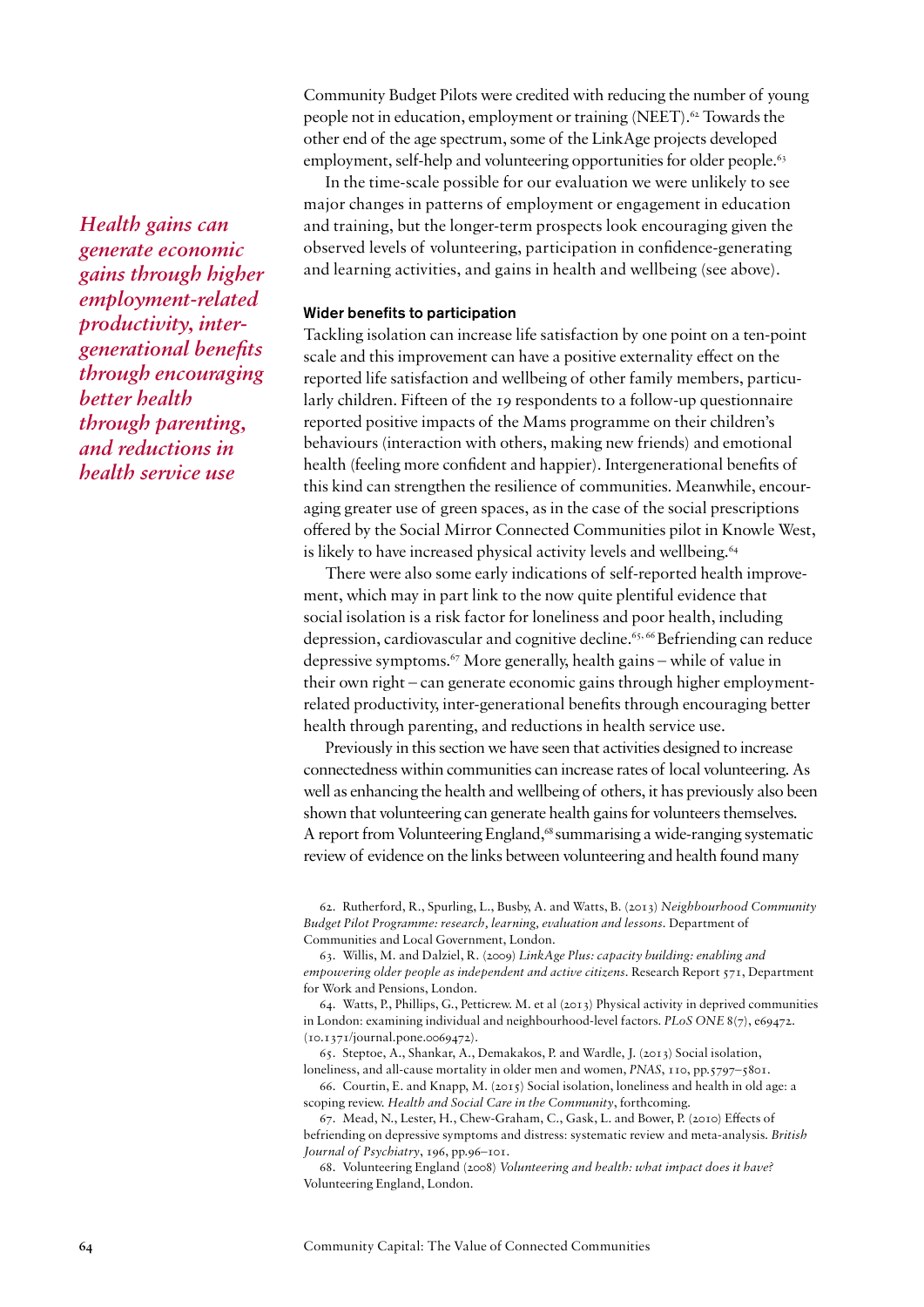Community Budget Pilots were credited with reducing the number of young people not in education, employment or training (NEET).<sup>62</sup> Towards the other end of the age spectrum, some of the LinkAge projects developed employment, self-help and volunteering opportunities for older people.<sup>63</sup>

In the time-scale possible for our evaluation we were unlikely to see major changes in patterns of employment or engagement in education and training, but the longer-term prospects look encouraging given the observed levels of volunteering, participation in confidence-generating and learning activities, and gains in health and wellbeing (see above).

### Wider benefits to participation

Tackling isolation can increase life satisfaction by one point on a ten-point scale and this improvement can have a positive externality effect on the reported life satisfaction and wellbeing of other family members, particularly children. Fifteen of the 19 respondents to a follow-up questionnaire reported positive impacts of the Mams programme on their children's behaviours (interaction with others, making new friends) and emotional health (feeling more confident and happier). Intergenerational benefits of this kind can strengthen the resilience of communities. Meanwhile, encouraging greater use of green spaces, as in the case of the social prescriptions offered by the Social Mirror Connected Communities pilot in Knowle West, is likely to have increased physical activity levels and wellbeing.<sup>64</sup>

There were also some early indications of self-reported health improvement, which may in part link to the now quite plentiful evidence that social isolation is a risk factor for loneliness and poor health, including depression, cardiovascular and cognitive decline.<sup>65, 66</sup> Befriending can reduce depressive symptoms.<sup>67</sup> More generally, health gains – while of value in their own right – can generate economic gains through higher employmentrelated productivity, inter-generational benefits through encouraging better health through parenting, and reductions in health service use.

Previously in this section we have seen that activities designed to increase connectedness within communities can increase rates of local volunteering. As well as enhancing the health and wellbeing of others, it has previously also been shown that volunteering can generate health gains for volunteers themselves. A report from Volunteering England,<sup>68</sup> summarising a wide-ranging systematic review of evidence on the links between volunteering and health found many

65. Steptoe, A., Shankar, A., Demakakos, P. and Wardle, J. (2013) Social isolation, loneliness, and all-cause mortality in older men and women, *PNAS*, 110, pp.5797–5801.

66. Courtin, E. and Knapp, M. (2015) Social isolation, loneliness and health in old age: a scoping review. *Health and Social Care in the Community*, forthcoming.

67. Mead, N., Lester, H., Chew-Graham, C., Gask, L. and Bower, P. (2010) Effects of befriending on depressive symptoms and distress: systematic review and meta-analysis. *British Journal of Psychiatry*, 196, pp.96–101.

68. Volunteering England (2008) *Volunteering and health: what impact does it have?* Volunteering England, London.

*Health gains can generate economic gains through higher employment-related productivity, intergenerational benefits through encouraging better health through parenting, and reductions in health service use*

<sup>62.</sup> Rutherford, R., Spurling, L., Busby, A. and Watts, B. (2013) *Neighbourhood Community Budget Pilot Programme: research, learning, evaluation and lessons*. Department of Communities and Local Government, London.

<sup>63.</sup> Willis, M. and Dalziel, R. (2009) *LinkAge Plus: capacity building: enabling and empowering older people as independent and active citizens*. Research Report 571, Department for Work and Pensions, London.

<sup>64.</sup> Watts, P., Phillips, G., Petticrew. M. et al (2013) Physical activity in deprived communities in London: examining individual and neighbourhood-level factors. *PLoS ONE* 8(7), e69472.  $(10.137)(i$ ournal.pone.0069472).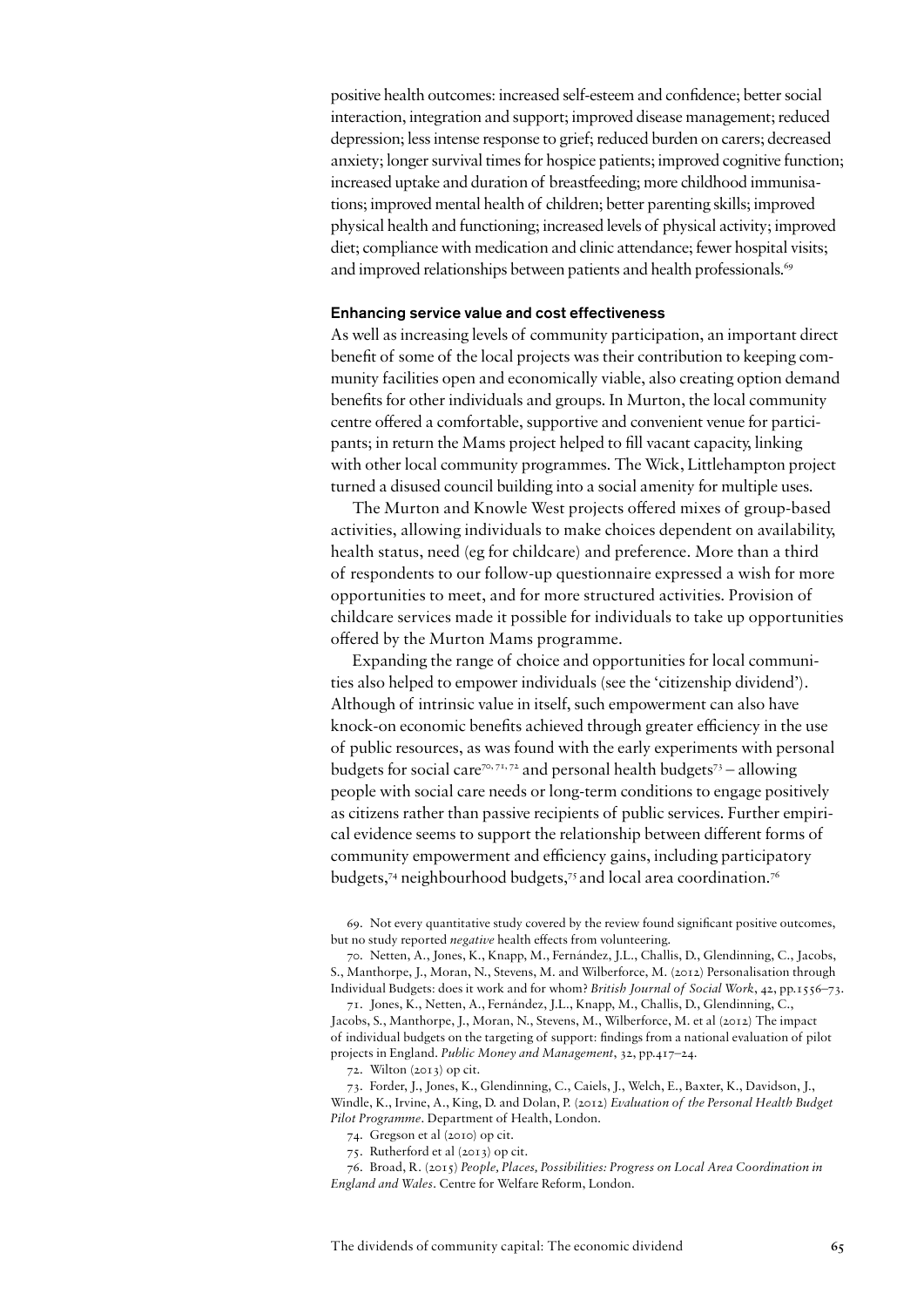positive health outcomes: increased self-esteem and confidence; better social interaction, integration and support; improved disease management; reduced depression; less intense response to grief; reduced burden on carers; decreased anxiety; longer survival times for hospice patients; improved cognitive function; increased uptake and duration of breastfeeding; more childhood immunisations; improved mental health of children; better parenting skills; improved physical health and functioning; increased levels of physical activity; improved diet; compliance with medication and clinic attendance; fewer hospital visits; and improved relationships between patients and health professionals.<sup>69</sup>

### Enhancing service value and cost effectiveness

As well as increasing levels of community participation, an important direct benefit of some of the local projects was their contribution to keeping community facilities open and economically viable, also creating option demand benefits for other individuals and groups. In Murton, the local community centre offered a comfortable, supportive and convenient venue for participants; in return the Mams project helped to fill vacant capacity, linking with other local community programmes. The Wick, Littlehampton project turned a disused council building into a social amenity for multiple uses.

The Murton and Knowle West projects offered mixes of group-based activities, allowing individuals to make choices dependent on availability, health status, need (eg for childcare) and preference. More than a third of respondents to our follow-up questionnaire expressed a wish for more opportunities to meet, and for more structured activities. Provision of childcare services made it possible for individuals to take up opportunities offered by the Murton Mams programme.

Expanding the range of choice and opportunities for local communities also helped to empower individuals (see the 'citizenship dividend'). Although of intrinsic value in itself, such empowerment can also have knock-on economic benefits achieved through greater efficiency in the use of public resources, as was found with the early experiments with personal budgets for social care<sup>70, 71, 72</sup> and personal health budgets<sup>73</sup> – allowing people with social care needs or long-term conditions to engage positively as citizens rather than passive recipients of public services. Further empirical evidence seems to support the relationship between different forms of community empowerment and efficiency gains, including participatory budgets,74 neighbourhood budgets,75 and local area coordination.76

70. Netten, A., Jones, K., Knapp, M., Fernández, J.L., Challis, D., Glendinning, C., Jacobs, S., Manthorpe, J., Moran, N., Stevens, M. and Wilberforce, M. (2012) Personalisation through Individual Budgets: does it work and for whom? *British Journal of Social Work*, 42, pp.1556–73.

71. Jones, K., Netten, A., Fernández, J.L., Knapp, M., Challis, D., Glendinning, C., Jacobs, S., Manthorpe, J., Moran, N., Stevens, M., Wilberforce, M. et al (2012) The impact of individual budgets on the targeting of support: findings from a national evaluation of pilot projects in England. *Public Money and Management*, 32, pp.417–24.

72. Wilton (2013) op cit.

73. Forder, J., Jones, K., Glendinning, C., Caiels, J., Welch, E., Baxter, K., Davidson, J., Windle, K., Irvine, A., King, D. and Dolan, P. (2012) *Evaluation of the Personal Health Budget Pilot Programme*. Department of Health, London.

74. Gregson et al (2010) op cit.

75. Rutherford et al (2013) op cit.

76. Broad, R. (2015) *People, Places, Possibilities: Progress on Local Area Coordination in England and Wales*. Centre for Welfare Reform, London.

<sup>69.</sup> Not every quantitative study covered by the review found significant positive outcomes, but no study reported *negative* health effects from volunteering.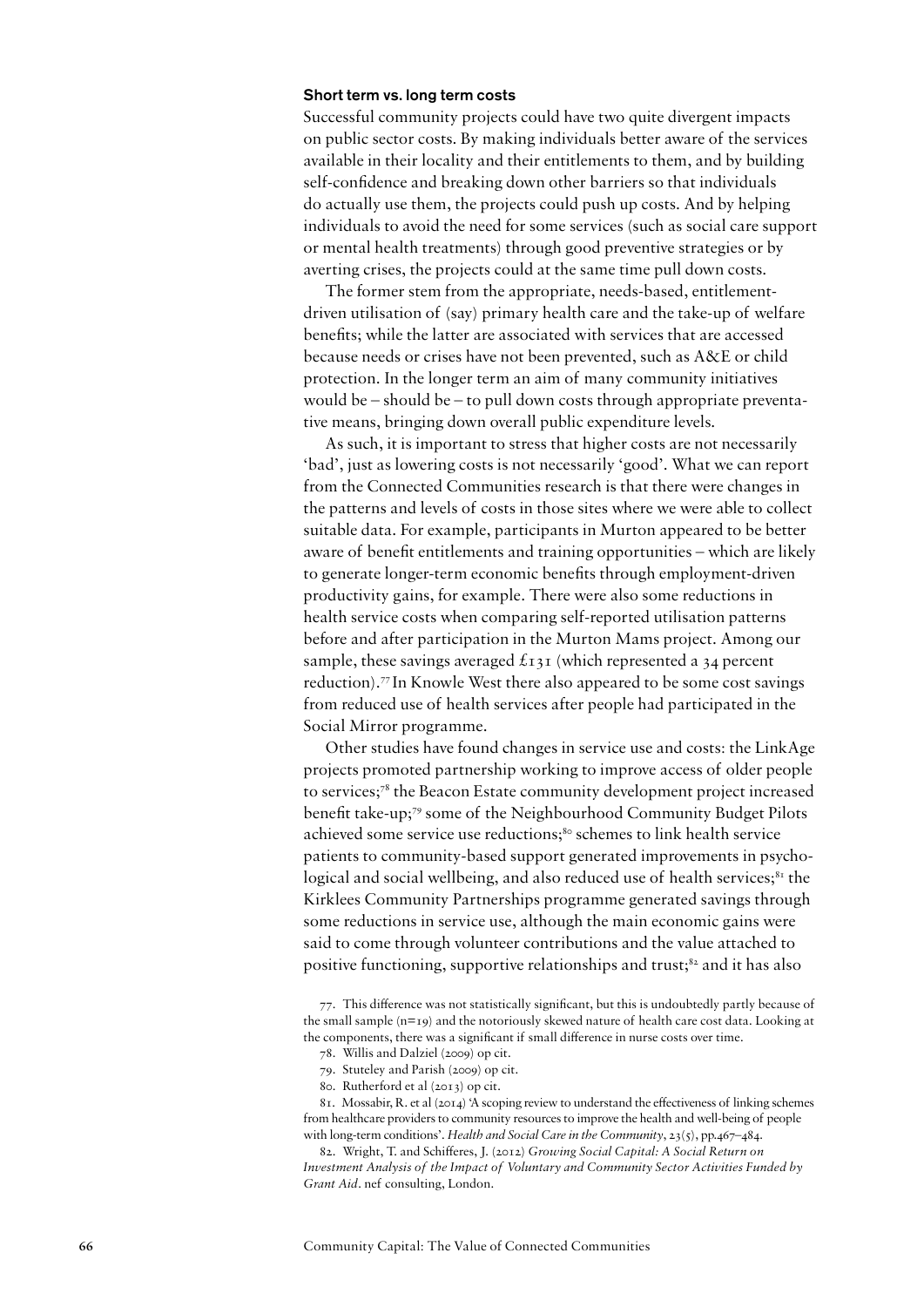#### Short term vs. long term costs

Successful community projects could have two quite divergent impacts on public sector costs. By making individuals better aware of the services available in their locality and their entitlements to them, and by building self-confidence and breaking down other barriers so that individuals do actually use them, the projects could push up costs. And by helping individuals to avoid the need for some services (such as social care support or mental health treatments) through good preventive strategies or by averting crises, the projects could at the same time pull down costs.

The former stem from the appropriate, needs-based, entitlementdriven utilisation of (say) primary health care and the take-up of welfare benefits; while the latter are associated with services that are accessed because needs or crises have not been prevented, such as A&E or child protection. In the longer term an aim of many community initiatives would be – should be – to pull down costs through appropriate preventative means, bringing down overall public expenditure levels.

As such, it is important to stress that higher costs are not necessarily 'bad', just as lowering costs is not necessarily 'good'. What we can report from the Connected Communities research is that there were changes in the patterns and levels of costs in those sites where we were able to collect suitable data. For example, participants in Murton appeared to be better aware of benefit entitlements and training opportunities – which are likely to generate longer-term economic benefits through employment-driven productivity gains, for example. There were also some reductions in health service costs when comparing self-reported utilisation patterns before and after participation in the Murton Mams project. Among our sample, these savings averaged  $\pounds$ 131 (which represented a 34 percent reduction).77 In Knowle West there also appeared to be some cost savings from reduced use of health services after people had participated in the Social Mirror programme.

Other studies have found changes in service use and costs: the LinkAge projects promoted partnership working to improve access of older people to services;78 the Beacon Estate community development project increased benefit take-up;79 some of the Neighbourhood Community Budget Pilots achieved some service use reductions;<sup>80</sup> schemes to link health service patients to community-based support generated improvements in psychological and social wellbeing, and also reduced use of health services; $s<sup>s<sub>1</sub></sup>$  the Kirklees Community Partnerships programme generated savings through some reductions in service use, although the main economic gains were said to come through volunteer contributions and the value attached to positive functioning, supportive relationships and trust;<sup>82</sup> and it has also

- 79. Stuteley and Parish (2009) op cit.
- 80. Rutherford et al (2013) op cit.

81. Mossabir, R. et al (2014) 'A scoping review to understand the effectiveness of linking schemes from healthcare providers to community resources to improve the health and well-being of people with long-term conditions'. *Health and Social Care in the Community*, 23(5), pp.467–484.

82. Wright, T. and Schifferes, J. (2012) *Growing Social Capital: A Social Return on Investment Analysis of the Impact of Voluntary and Community Sector Activities Funded by Grant Aid*. nef consulting, London.

<sup>77.</sup> This difference was not statistically significant, but this is undoubtedly partly because of the small sample  $(n=r)$  and the notoriously skewed nature of health care cost data. Looking at the components, there was a significant if small difference in nurse costs over time.

<sup>78.</sup> Willis and Dalziel (2009) op cit.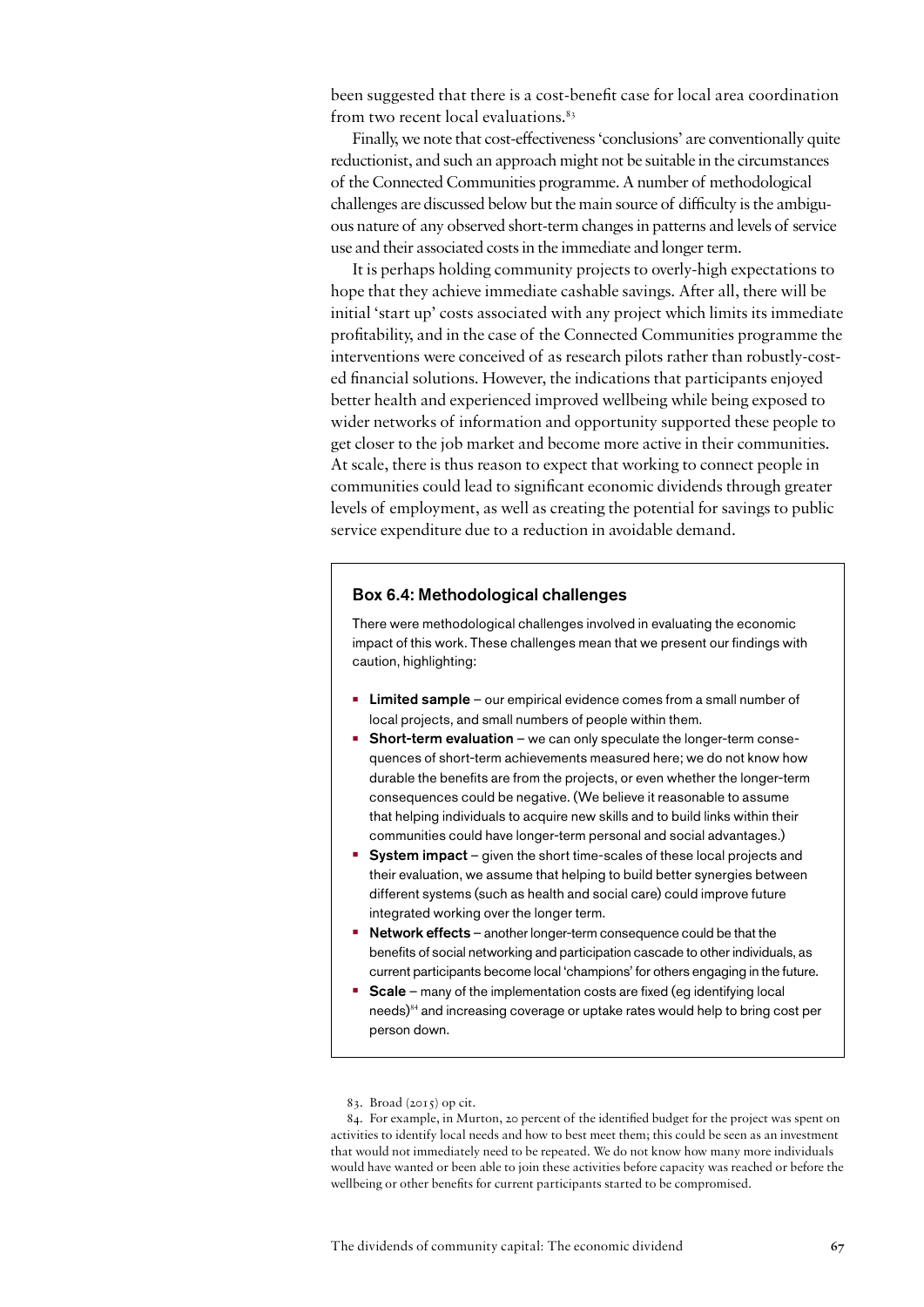been suggested that there is a cost-benefit case for local area coordination from two recent local evaluations.<sup>83</sup>

Finally, we note that cost-effectiveness 'conclusions' are conventionally quite reductionist, and such an approach might not be suitable in the circumstances of the Connected Communities programme. A number of methodological challenges are discussed below but the main source of difficulty is the ambiguous nature of any observed short-term changes in patterns and levels of service use and their associated costs in the immediate and longer term.

It is perhaps holding community projects to overly-high expectations to hope that they achieve immediate cashable savings. After all, there will be initial 'start up' costs associated with any project which limits its immediate profitability, and in the case of the Connected Communities programme the interventions were conceived of as research pilots rather than robustly-costed financial solutions. However, the indications that participants enjoyed better health and experienced improved wellbeing while being exposed to wider networks of information and opportunity supported these people to get closer to the job market and become more active in their communities. At scale, there is thus reason to expect that working to connect people in communities could lead to significant economic dividends through greater levels of employment, as well as creating the potential for savings to public service expenditure due to a reduction in avoidable demand.

### Box 6.4: Methodological challenges

There were methodological challenges involved in evaluating the economic impact of this work. These challenges mean that we present our findings with caution, highlighting:

- **•** Limited sample our empirical evidence comes from a small number of local projects, and small numbers of people within them.
- **•** Short-term evaluation we can only speculate the longer-term consequences of short-term achievements measured here; we do not know how durable the benefits are from the projects, or even whether the longer-term consequences could be negative. (We believe it reasonable to assume that helping individuals to acquire new skills and to build links within their communities could have longer-term personal and social advantages.)
- **•** System impact given the short time-scales of these local projects and their evaluation, we assume that helping to build better synergies between different systems (such as health and social care) could improve future integrated working over the longer term.
- **•** Network effects another longer-term consequence could be that the benefits of social networking and participation cascade to other individuals, as current participants become local 'champions' for others engaging in the future.
- **•** Scale many of the implementation costs are fixed (eg identifying local needs)84 and increasing coverage or uptake rates would help to bring cost per person down.

83. Broad (2015) op cit.

84. For example, in Murton, 20 percent of the identified budget for the project was spent on activities to identify local needs and how to best meet them; this could be seen as an investment that would not immediately need to be repeated. We do not know how many more individuals would have wanted or been able to join these activities before capacity was reached or before the wellbeing or other benefits for current participants started to be compromised.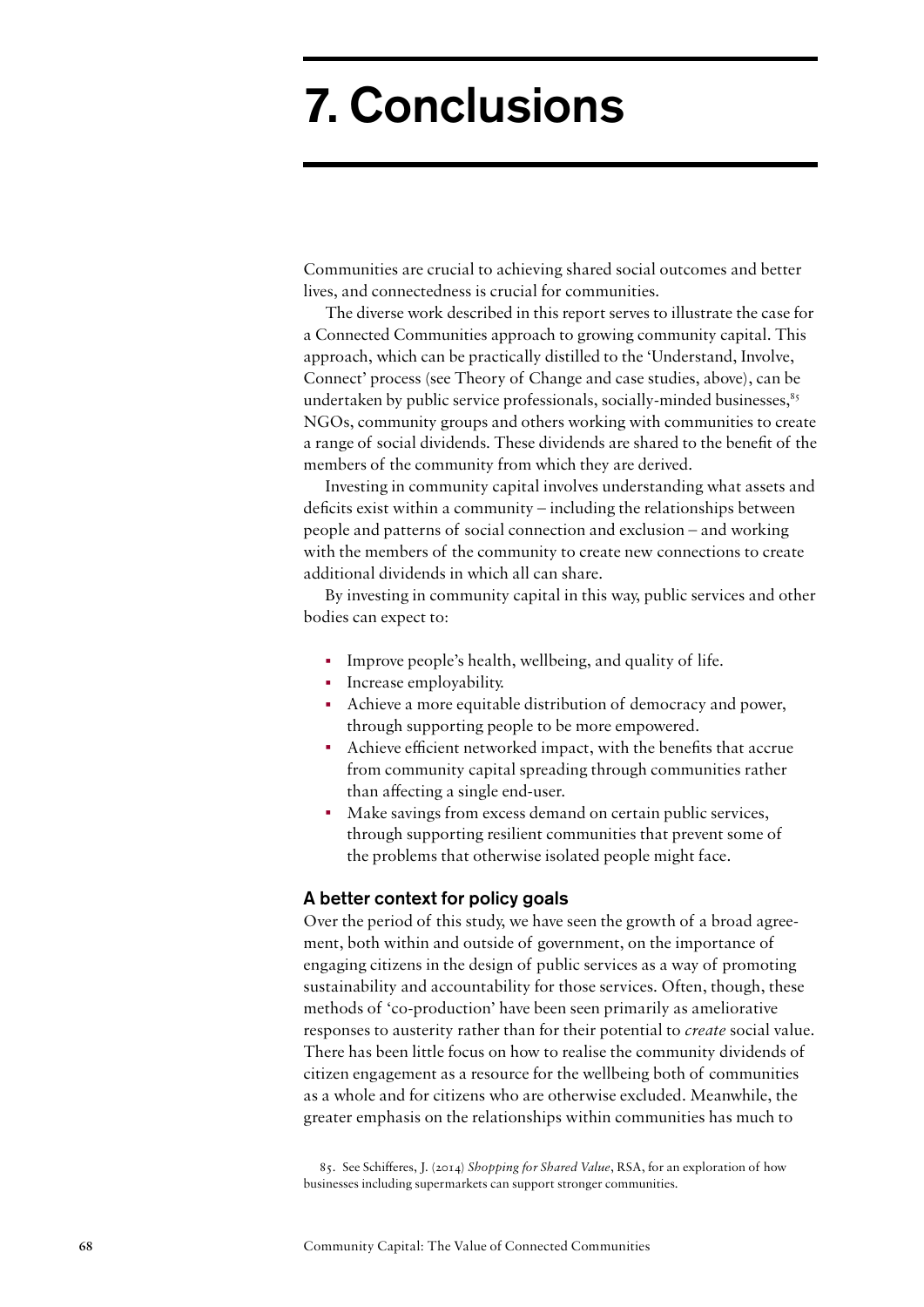# 7. Conclusions

Communities are crucial to achieving shared social outcomes and better lives, and connectedness is crucial for communities.

The diverse work described in this report serves to illustrate the case for a Connected Communities approach to growing community capital. This approach, which can be practically distilled to the 'Understand, Involve, Connect' process (see Theory of Change and case studies, above), can be undertaken by public service professionals, socially-minded businesses, $s<sub>5</sub>$ NGOs, community groups and others working with communities to create a range of social dividends. These dividends are shared to the benefit of the members of the community from which they are derived.

Investing in community capital involves understanding what assets and deficits exist within a community – including the relationships between people and patterns of social connection and exclusion – and working with the members of the community to create new connections to create additional dividends in which all can share.

By investing in community capital in this way, public services and other bodies can expect to:

- Improve people's health, wellbeing, and quality of life.
- Increase employability.
- Achieve a more equitable distribution of democracy and power, through supporting people to be more empowered.
- Achieve efficient networked impact, with the benefits that accrue from community capital spreading through communities rather than affecting a single end-user.
- Make savings from excess demand on certain public services, through supporting resilient communities that prevent some of the problems that otherwise isolated people might face.

## A better context for policy goals

Over the period of this study, we have seen the growth of a broad agreement, both within and outside of government, on the importance of engaging citizens in the design of public services as a way of promoting sustainability and accountability for those services. Often, though, these methods of 'co-production' have been seen primarily as ameliorative responses to austerity rather than for their potential to *create* social value. There has been little focus on how to realise the community dividends of citizen engagement as a resource for the wellbeing both of communities as a whole and for citizens who are otherwise excluded. Meanwhile, the greater emphasis on the relationships within communities has much to

85. See Schifferes, J. (2014) *Shopping for Shared Value*, RSA, for an exploration of how businesses including supermarkets can support stronger communities.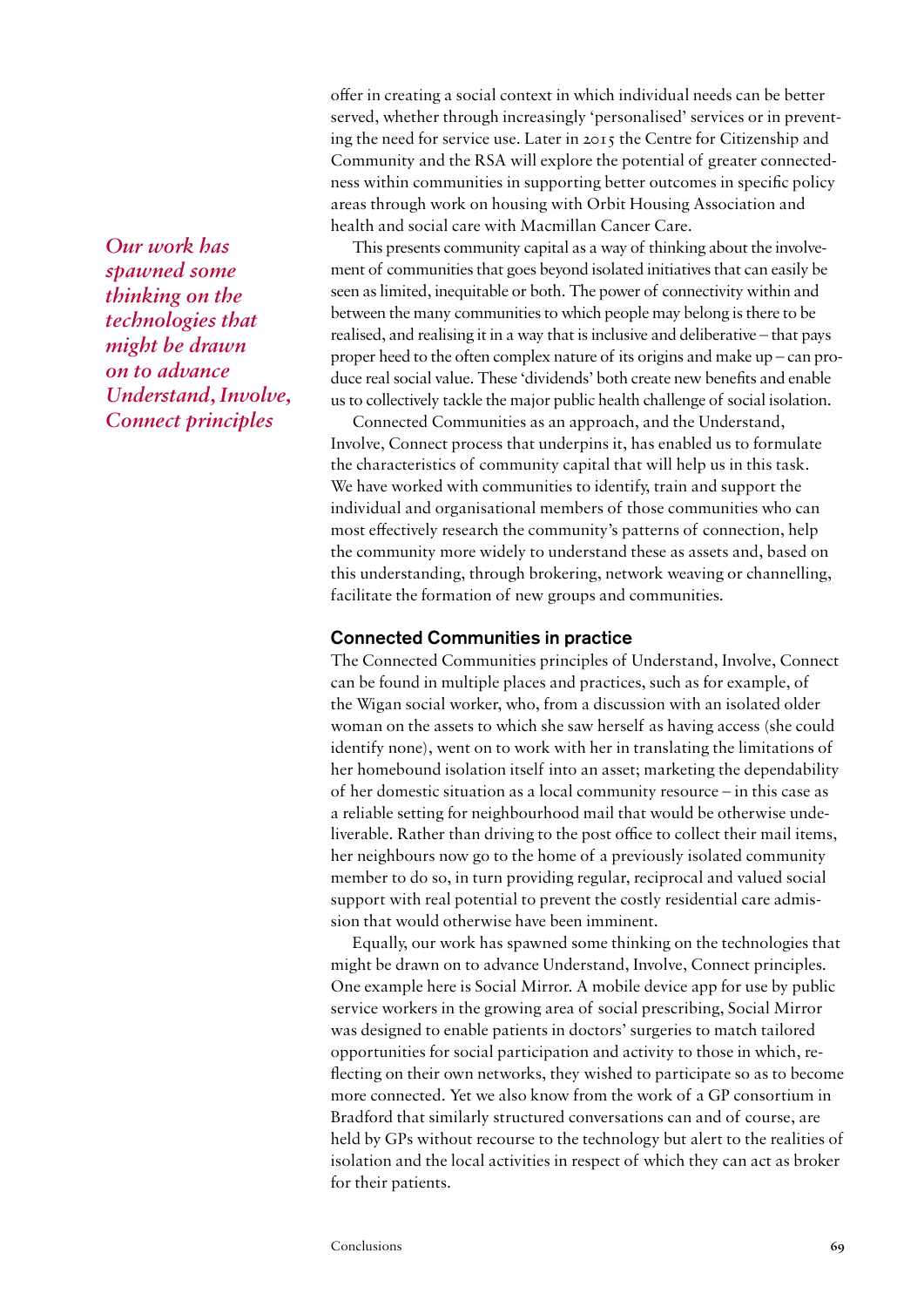*Our work has spawned some thinking on the technologies that might be drawn on to advance Understand, Involve, Connect principles*

offer in creating a social context in which individual needs can be better served, whether through increasingly 'personalised' services or in preventing the need for service use. Later in 2015 the Centre for Citizenship and Community and the RSA will explore the potential of greater connectedness within communities in supporting better outcomes in specific policy areas through work on housing with Orbit Housing Association and health and social care with Macmillan Cancer Care.

This presents community capital as a way of thinking about the involvement of communities that goes beyond isolated initiatives that can easily be seen as limited, inequitable or both. The power of connectivity within and between the many communities to which people may belong is there to be realised, and realising it in a way that is inclusive and deliberative – that pays proper heed to the often complex nature of its origins and make up – can produce real social value. These 'dividends' both create new benefits and enable us to collectively tackle the major public health challenge of social isolation.

Connected Communities as an approach, and the Understand, Involve, Connect process that underpins it, has enabled us to formulate the characteristics of community capital that will help us in this task. We have worked with communities to identify, train and support the individual and organisational members of those communities who can most effectively research the community's patterns of connection, help the community more widely to understand these as assets and, based on this understanding, through brokering, network weaving or channelling, facilitate the formation of new groups and communities.

## Connected Communities in practice

The Connected Communities principles of Understand, Involve, Connect can be found in multiple places and practices, such as for example, of the Wigan social worker, who, from a discussion with an isolated older woman on the assets to which she saw herself as having access (she could identify none), went on to work with her in translating the limitations of her homebound isolation itself into an asset; marketing the dependability of her domestic situation as a local community resource – in this case as a reliable setting for neighbourhood mail that would be otherwise undeliverable. Rather than driving to the post office to collect their mail items, her neighbours now go to the home of a previously isolated community member to do so, in turn providing regular, reciprocal and valued social support with real potential to prevent the costly residential care admission that would otherwise have been imminent.

Equally, our work has spawned some thinking on the technologies that might be drawn on to advance Understand, Involve, Connect principles. One example here is Social Mirror. A mobile device app for use by public service workers in the growing area of social prescribing, Social Mirror was designed to enable patients in doctors' surgeries to match tailored opportunities for social participation and activity to those in which, reflecting on their own networks, they wished to participate so as to become more connected. Yet we also know from the work of a GP consortium in Bradford that similarly structured conversations can and of course, are held by GPs without recourse to the technology but alert to the realities of isolation and the local activities in respect of which they can act as broker for their patients.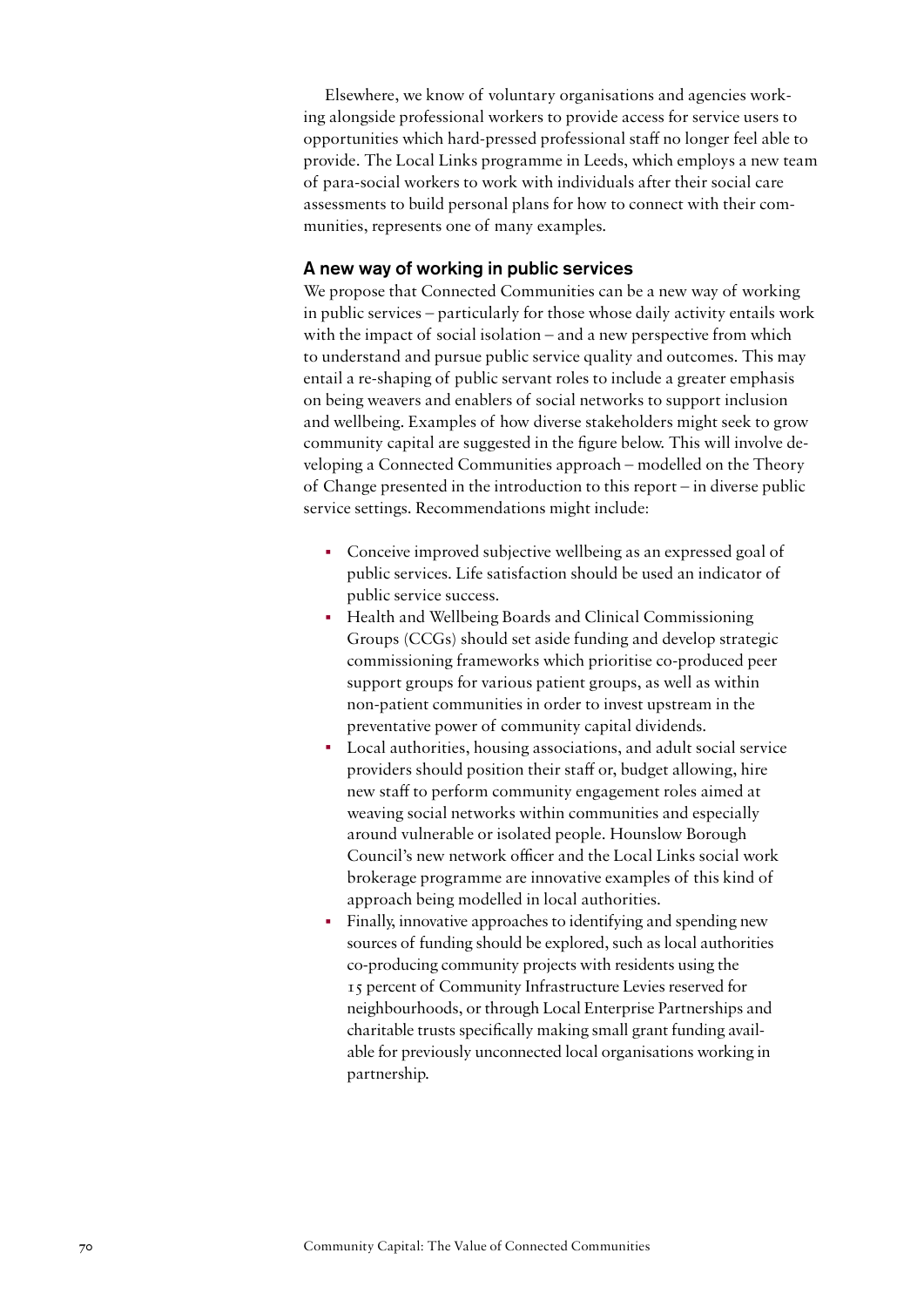Elsewhere, we know of voluntary organisations and agencies working alongside professional workers to provide access for service users to opportunities which hard-pressed professional staff no longer feel able to provide. The Local Links programme in Leeds, which employs a new team of para-social workers to work with individuals after their social care assessments to build personal plans for how to connect with their communities, represents one of many examples.

# A new way of working in public services

We propose that Connected Communities can be a new way of working in public services – particularly for those whose daily activity entails work with the impact of social isolation – and a new perspective from which to understand and pursue public service quality and outcomes. This may entail a re-shaping of public servant roles to include a greater emphasis on being weavers and enablers of social networks to support inclusion and wellbeing. Examples of how diverse stakeholders might seek to grow community capital are suggested in the figure below. This will involve developing a Connected Communities approach – modelled on the Theory of Change presented in the introduction to this report – in diverse public service settings. Recommendations might include:

- Conceive improved subjective wellbeing as an expressed goal of public services. Life satisfaction should be used an indicator of public service success.
- Health and Wellbeing Boards and Clinical Commissioning Groups (CCGs) should set aside funding and develop strategic commissioning frameworks which prioritise co-produced peer support groups for various patient groups, as well as within non-patient communities in order to invest upstream in the preventative power of community capital dividends.
- Local authorities, housing associations, and adult social service providers should position their staff or, budget allowing, hire new staff to perform community engagement roles aimed at weaving social networks within communities and especially around vulnerable or isolated people. Hounslow Borough Council's new network officer and the Local Links social work brokerage programme are innovative examples of this kind of approach being modelled in local authorities.
- Finally, innovative approaches to identifying and spending new sources of funding should be explored, such as local authorities co-producing community projects with residents using the 15 percent of Community Infrastructure Levies reserved for neighbourhoods, or through Local Enterprise Partnerships and charitable trusts specifically making small grant funding available for previously unconnected local organisations working in partnership.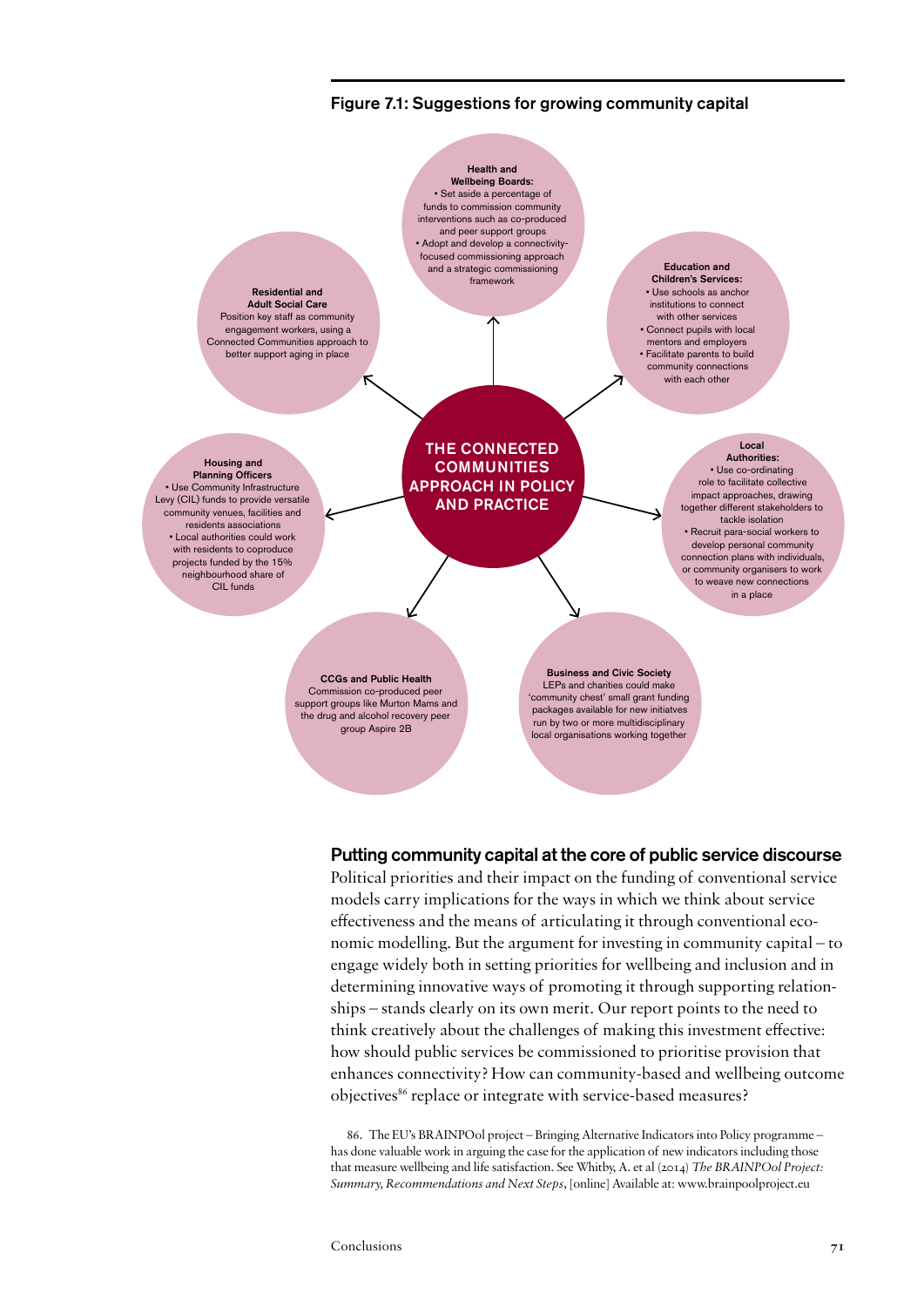## Figure 7.1: Suggestions for growing community capital



## Putting community capital at the core of public service discourse

Political priorities and their impact on the funding of conventional service models carry implications for the ways in which we think about service effectiveness and the means of articulating it through conventional economic modelling. But the argument for investing in community capital – to engage widely both in setting priorities for wellbeing and inclusion and in determining innovative ways of promoting it through supporting relationships – stands clearly on its own merit. Our report points to the need to think creatively about the challenges of making this investment effective: how should public services be commissioned to prioritise provision that enhances connectivity? How can community-based and wellbeing outcome objectives<sup>86</sup> replace or integrate with service-based measures?

86. The EU's BRAINPOol project – Bringing Alternative Indicators into Policy programme – has done valuable work in arguing the case for the application of new indicators including those that measure wellbeing and life satisfaction. See Whitby, A. et al (2014) *The BRAINPOol Project: Summary, Recommendations and Next Steps*, [online] Available at: www.brainpoolproject.eu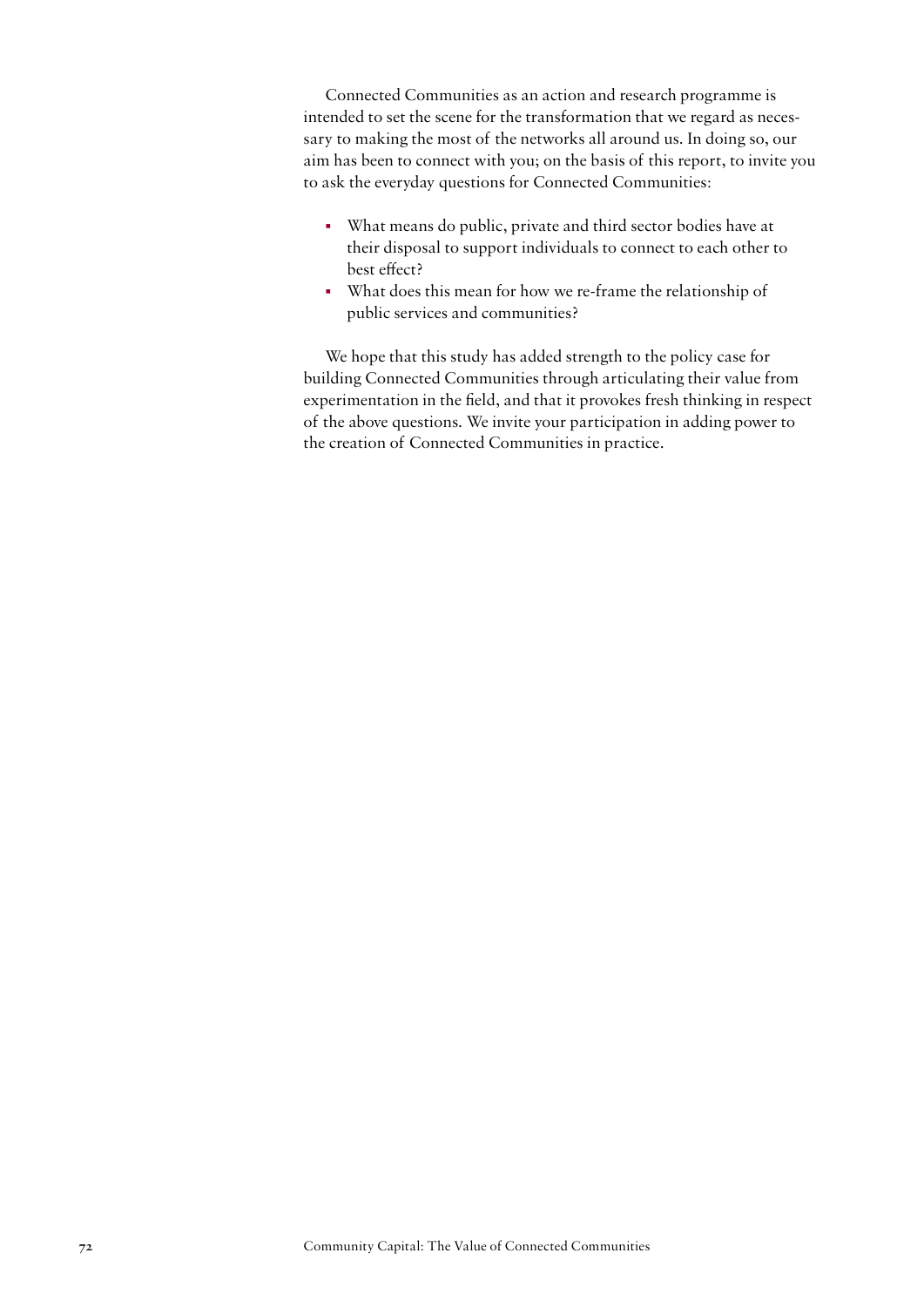Connected Communities as an action and research programme is intended to set the scene for the transformation that we regard as necessary to making the most of the networks all around us. In doing so, our aim has been to connect with you; on the basis of this report, to invite you to ask the everyday questions for Connected Communities:

- What means do public, private and third sector bodies have at their disposal to support individuals to connect to each other to best effect?
- What does this mean for how we re-frame the relationship of public services and communities?

We hope that this study has added strength to the policy case for building Connected Communities through articulating their value from experimentation in the field, and that it provokes fresh thinking in respect of the above questions. We invite your participation in adding power to the creation of Connected Communities in practice.